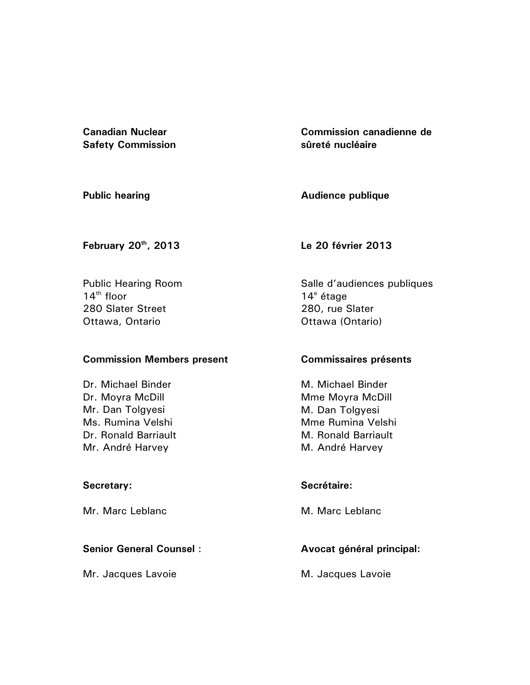**Canadian Nuclear Safety Commission**  **Commission canadienne de sûreté nucléaire** 

**Public hearing** 

**Audience publique** 

**February 20th, 2013** 

**Le 20 février 2013** 

Public Hearing Room  $14<sup>th</sup>$  floor 280 Slater Street Ottawa, Ontario

## **Commission Members present**

Dr. Michael Binder Dr. Moyra McDill Mr. Dan Tolgyesi Ms. Rumina Velshi Dr. Ronald Barriault Mr. André Harvey

## **Secretary:**

Mr. Marc Leblanc

## **Senior General Counsel** :

Mr. Jacques Lavoie

Salle d'audiences publiques 14<sup>e</sup> étage 280, rue Slater Ottawa (Ontario)

## **Commissaires présents**

M. Michael Binder Mme Moyra McDill M. Dan Tolgyesi Mme Rumina Velshi M. Ronald Barriault M. André Harvey

## **Secrétaire:**

M. Marc Leblanc

# **Avocat général principal:**

M. Jacques Lavoie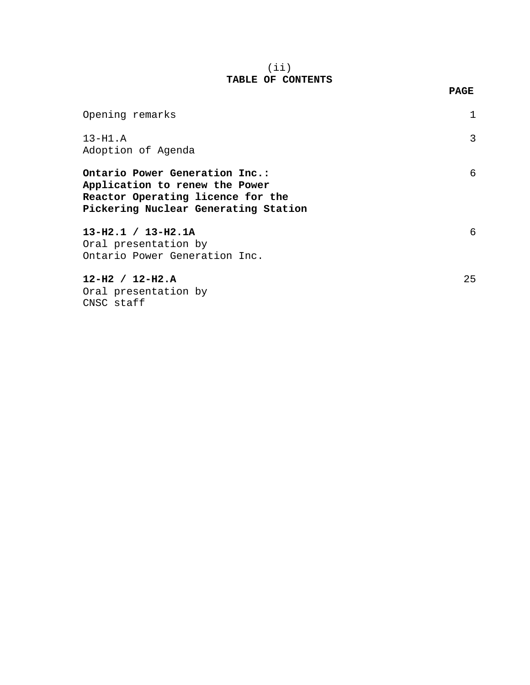#### (ii) **TABLE OF CONTENTS**

| Opening remarks                                                                                                                               |    |
|-----------------------------------------------------------------------------------------------------------------------------------------------|----|
| $13-H1.A$<br>Adoption of Agenda                                                                                                               | 3  |
| Ontario Power Generation Inc.:<br>Application to renew the Power<br>Reactor Operating licence for the<br>Pickering Nuclear Generating Station | 6  |
| $13-H2.1 / 13-H2.1A$<br>Oral presentation by<br>Ontario Power Generation Inc.                                                                 | 6  |
| $12-H2 / 12-H2.A$<br>Oral presentation by<br>CNSC staff                                                                                       | 25 |

#### **PAGE**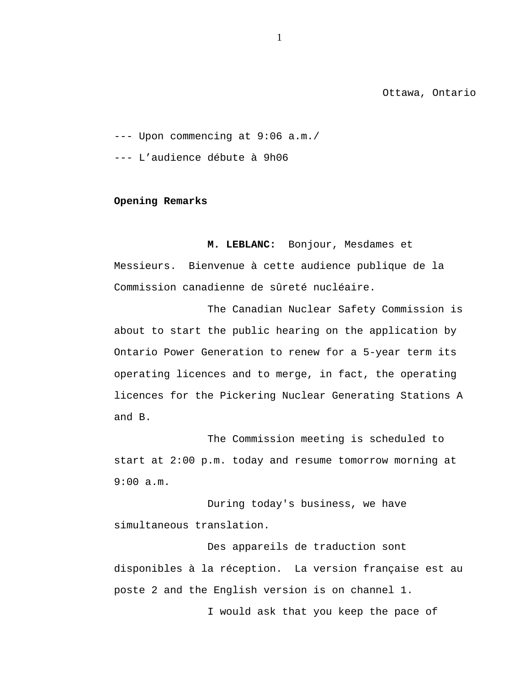Ottawa, Ontario

<span id="page-2-0"></span>--- Upon commencing at 9:06 a.m./

--- L'audience débute à 9h06

**Opening Remarks** 

**M. LEBLANC:** Bonjour, Mesdames et Messieurs. Bienvenue à cette audience publique de la Commission canadienne de sûreté nucléaire.

The Canadian Nuclear Safety Commission is about to start the public hearing on the application by Ontario Power Generation to renew for a 5-year term its operating licences and to merge, in fact, the operating licences for the Pickering Nuclear Generating Stations A and B.

The Commission meeting is scheduled to start at 2:00 p.m. today and resume tomorrow morning at 9:00 a.m.

During today's business, we have simultaneous translation.

Des appareils de traduction sont disponibles à la réception. La version française est au poste 2 and the English version is on channel 1.

I would ask that you keep the pace of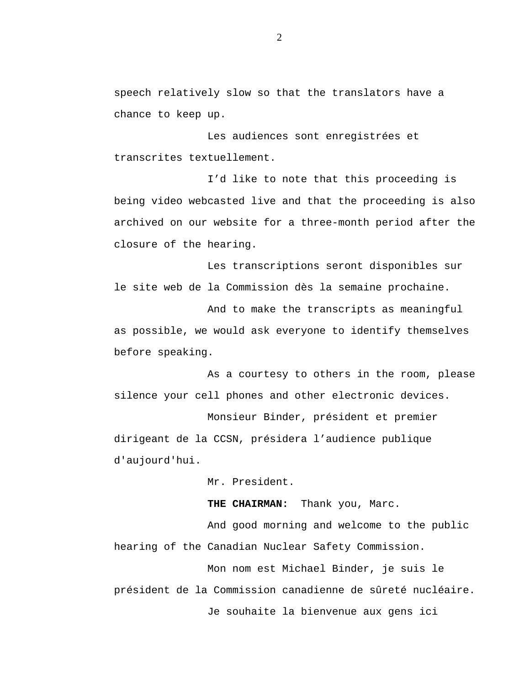speech relatively slow so that the translators have a chance to keep up.

Les audiences sont enregistrées et transcrites textuellement.

I'd like to note that this proceeding is being video webcasted live and that the proceeding is also archived on our website for a three-month period after the closure of the hearing.

Les transcriptions seront disponibles sur le site web de la Commission dès la semaine prochaine.

And to make the transcripts as meaningful as possible, we would ask everyone to identify themselves before speaking.

As a courtesy to others in the room, please silence your cell phones and other electronic devices.

Monsieur Binder, président et premier dirigeant de la CCSN, présidera l'audience publique d'aujourd'hui.

Mr. President.

**THE CHAIRMAN:** Thank you, Marc.

And good morning and welcome to the public hearing of the Canadian Nuclear Safety Commission.

Mon nom est Michael Binder, je suis le président de la Commission canadienne de sûreté nucléaire. Je souhaite la bienvenue aux gens ici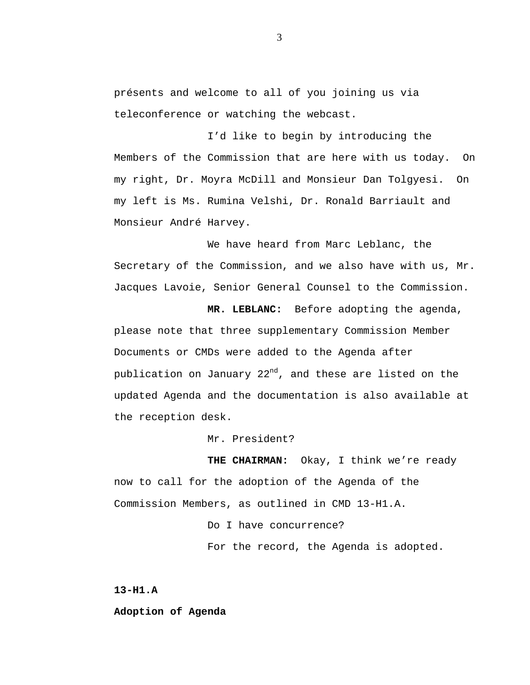<span id="page-4-0"></span>présents and welcome to all of you joining us via teleconference or watching the webcast.

I'd like to begin by introducing the Members of the Commission that are here with us today. On my right, Dr. Moyra McDill and Monsieur Dan Tolgyesi. On my left is Ms. Rumina Velshi, Dr. Ronald Barriault and Monsieur André Harvey.

We have heard from Marc Leblanc, the Secretary of the Commission, and we also have with us, Mr. Jacques Lavoie, Senior General Counsel to the Commission.

**MR. LEBLANC:** Before adopting the agenda, please note that three supplementary Commission Member Documents or CMDs were added to the Agenda after publication on January 22<sup>nd</sup>, and these are listed on the updated Agenda and the documentation is also available at the reception desk.

Mr. President?

**THE CHAIRMAN:** Okay, I think we're ready now to call for the adoption of the Agenda of the Commission Members, as outlined in CMD 13-H1.A.

> Do I have concurrence? For the record, the Agenda is adopted.

**13-H1.A** 

**Adoption of Agenda**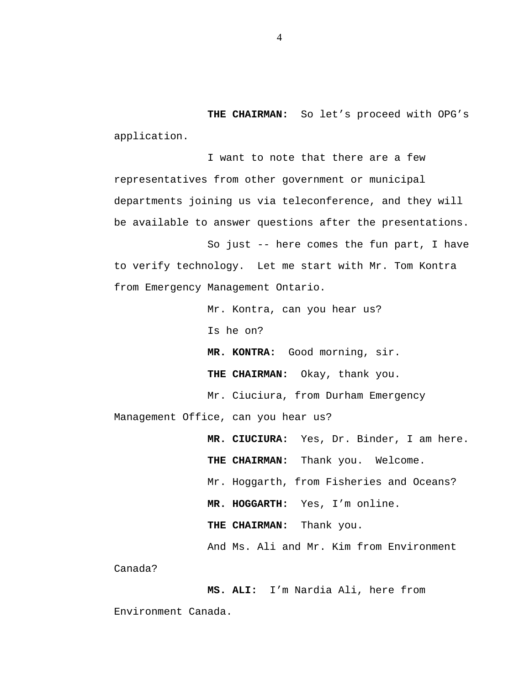**THE CHAIRMAN:** So let's proceed with OPG's application.

I want to note that there are a few representatives from other government or municipal departments joining us via teleconference, and they will be available to answer questions after the presentations.

So just -- here comes the fun part, I have to verify technology. Let me start with Mr. Tom Kontra from Emergency Management Ontario.

Mr. Kontra, can you hear us? Is he on? **MR. KONTRA:** Good morning, sir. **THE CHAIRMAN:** Okay, thank you. Mr. Ciuciura, from Durham Emergency Management Office, can you hear us? **MR. CIUCIURA:** Yes, Dr. Binder, I am here. **THE CHAIRMAN:** Thank you. Welcome. Mr. Hoggarth, from Fisheries and Oceans?

**MR. HOGGARTH:** Yes, I'm online.

**THE CHAIRMAN:** Thank you.

And Ms. Ali and Mr. Kim from Environment

Canada?

**MS. ALI:** I'm Nardia Ali, here from Environment Canada.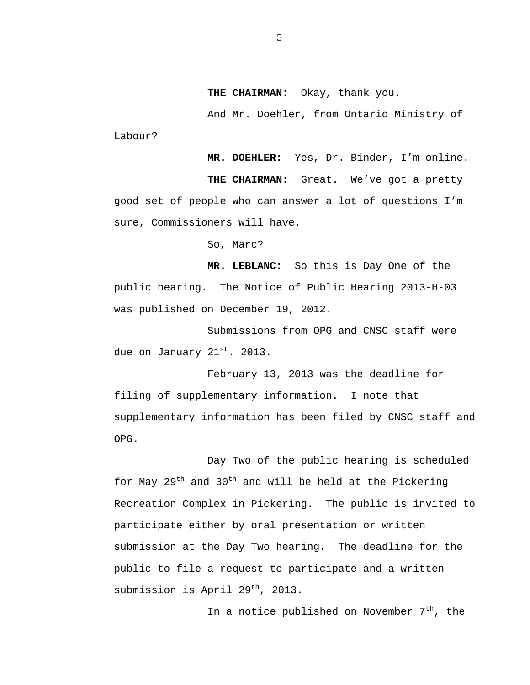**THE CHAIRMAN:** Okay, thank you.

And Mr. Doehler, from Ontario Ministry of Labour?

**MR. DOEHLER:** Yes, Dr. Binder, I'm online.

**THE CHAIRMAN:** Great. We've got a pretty good set of people who can answer a lot of questions I'm sure, Commissioners will have.

So, Marc?

**MR. LEBLANC:** So this is Day One of the public hearing. The Notice of Public Hearing 2013-H-03 was published on December 19, 2012.

Submissions from OPG and CNSC staff were due on January 21st. 2013.

February 13, 2013 was the deadline for filing of supplementary information. I note that supplementary information has been filed by CNSC staff and OPG.

Day Two of the public hearing is scheduled for May  $29^{th}$  and  $30^{th}$  and will be held at the Pickering Recreation Complex in Pickering. The public is invited to participate either by oral presentation or written submission at the Day Two hearing. The deadline for the public to file a request to participate and a written submission is April  $29^{th}$ , 2013.

In a notice published on November  $7<sup>th</sup>$ , the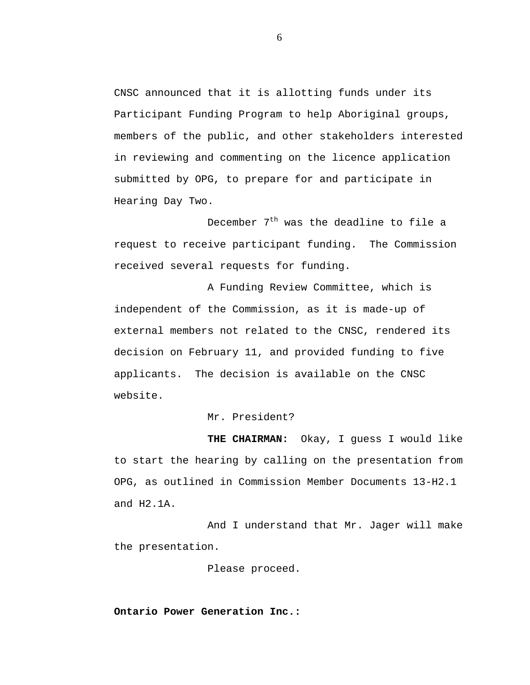<span id="page-7-0"></span>CNSC announced that it is allotting funds under its Participant Funding Program to help Aboriginal groups, members of the public, and other stakeholders interested in reviewing and commenting on the licence application submitted by OPG, to prepare for and participate in Hearing Day Two.

December  $7<sup>th</sup>$  was the deadline to file a request to receive participant funding. The Commission received several requests for funding.

A Funding Review Committee, which is independent of the Commission, as it is made-up of external members not related to the CNSC, rendered its decision on February 11, and provided funding to five applicants. The decision is available on the CNSC website.

Mr. President?

**THE CHAIRMAN:** Okay, I guess I would like to start the hearing by calling on the presentation from OPG, as outlined in Commission Member Documents 13-H2.1 and H2.1A.

And I understand that Mr. Jager will make the presentation.

Please proceed.

**Ontario Power Generation Inc.:**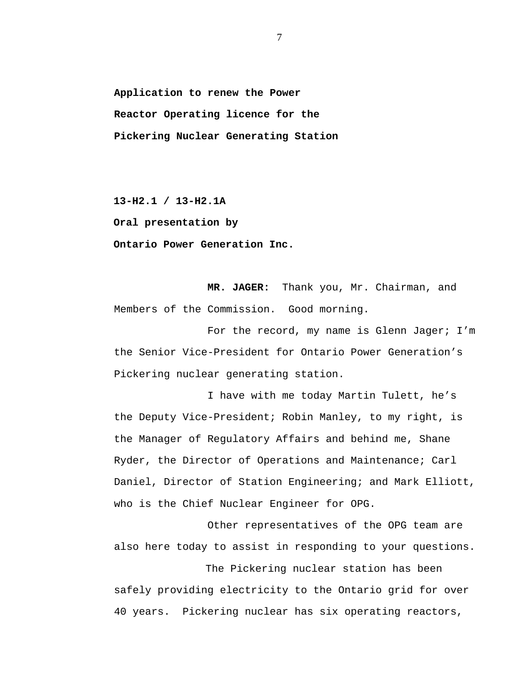**Application to renew the Power Reactor Operating licence for the Pickering Nuclear Generating Station** 

**13-H2.1 / 13-H2.1A** 

**Oral presentation by** 

**Ontario Power Generation Inc.** 

**MR. JAGER:** Thank you, Mr. Chairman, and Members of the Commission. Good morning.

For the record, my name is Glenn Jager; I'm the Senior Vice-President for Ontario Power Generation's Pickering nuclear generating station.

I have with me today Martin Tulett, he's the Deputy Vice-President; Robin Manley, to my right, is the Manager of Regulatory Affairs and behind me, Shane Ryder, the Director of Operations and Maintenance; Carl Daniel, Director of Station Engineering; and Mark Elliott, who is the Chief Nuclear Engineer for OPG.

Other representatives of the OPG team are also here today to assist in responding to your questions.

The Pickering nuclear station has been safely providing electricity to the Ontario grid for over 40 years. Pickering nuclear has six operating reactors,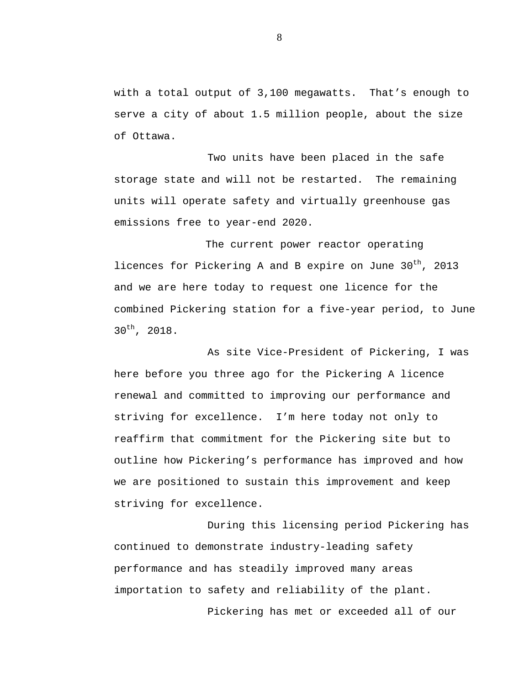with a total output of 3,100 megawatts. That's enough to serve a city of about 1.5 million people, about the size of Ottawa.

Two units have been placed in the safe storage state and will not be restarted. The remaining units will operate safety and virtually greenhouse gas emissions free to year-end 2020.

The current power reactor operating licences for Pickering A and B expire on June  $30<sup>th</sup>$ , 2013 and we are here today to request one licence for the combined Pickering station for a five-year period, to June  $30^{th}$ , 2018.

As site Vice-President of Pickering, I was here before you three ago for the Pickering A licence renewal and committed to improving our performance and striving for excellence. I'm here today not only to reaffirm that commitment for the Pickering site but to outline how Pickering's performance has improved and how we are positioned to sustain this improvement and keep striving for excellence.

During this licensing period Pickering has continued to demonstrate industry-leading safety performance and has steadily improved many areas importation to safety and reliability of the plant.

Pickering has met or exceeded all of our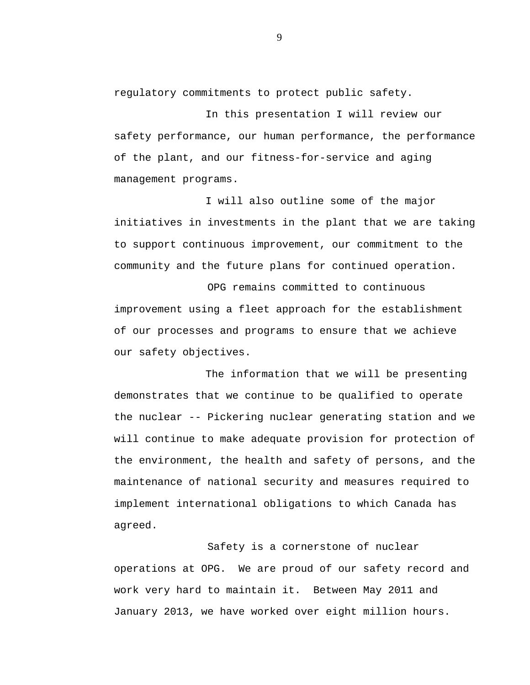regulatory commitments to protect public safety.

In this presentation I will review our safety performance, our human performance, the performance of the plant, and our fitness-for-service and aging management programs.

I will also outline some of the major initiatives in investments in the plant that we are taking to support continuous improvement, our commitment to the community and the future plans for continued operation.

OPG remains committed to continuous improvement using a fleet approach for the establishment of our processes and programs to ensure that we achieve our safety objectives.

The information that we will be presenting demonstrates that we continue to be qualified to operate the nuclear -- Pickering nuclear generating station and we will continue to make adequate provision for protection of the environment, the health and safety of persons, and the maintenance of national security and measures required to implement international obligations to which Canada has agreed.

Safety is a cornerstone of nuclear operations at OPG. We are proud of our safety record and work very hard to maintain it. Between May 2011 and January 2013, we have worked over eight million hours.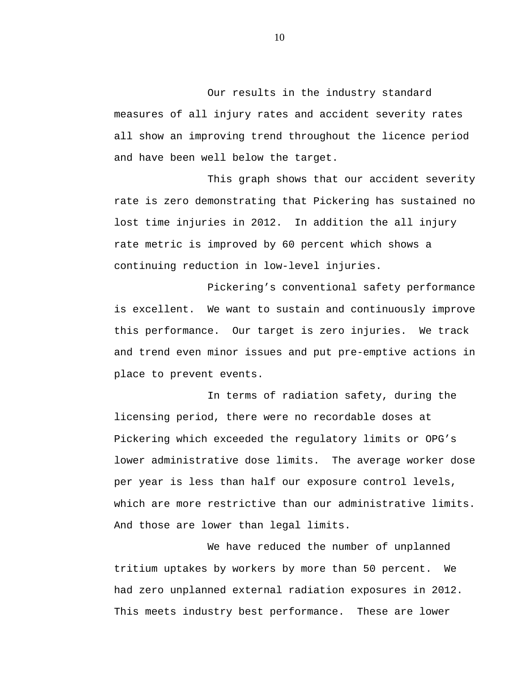Our results in the industry standard measures of all injury rates and accident severity rates all show an improving trend throughout the licence period and have been well below the target.

This graph shows that our accident severity rate is zero demonstrating that Pickering has sustained no lost time injuries in 2012. In addition the all injury rate metric is improved by 60 percent which shows a continuing reduction in low-level injuries.

Pickering's conventional safety performance is excellent. We want to sustain and continuously improve this performance. Our target is zero injuries. We track and trend even minor issues and put pre-emptive actions in place to prevent events.

In terms of radiation safety, during the licensing period, there were no recordable doses at Pickering which exceeded the regulatory limits or OPG's lower administrative dose limits. The average worker dose per year is less than half our exposure control levels, which are more restrictive than our administrative limits. And those are lower than legal limits.

We have reduced the number of unplanned tritium uptakes by workers by more than 50 percent. We had zero unplanned external radiation exposures in 2012. This meets industry best performance. These are lower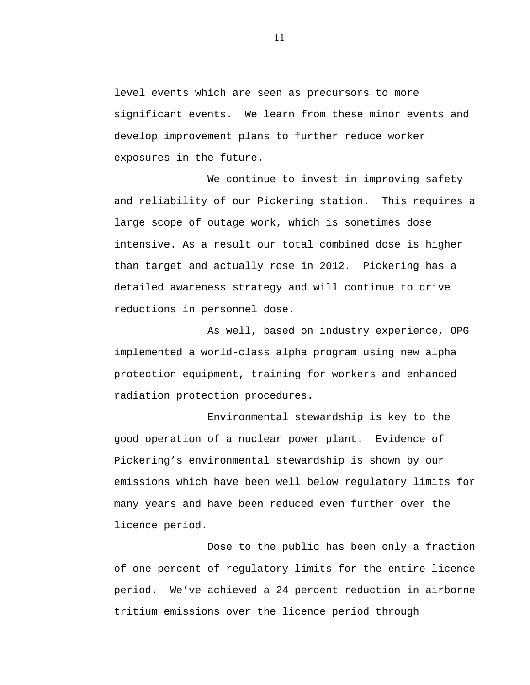level events which are seen as precursors to more significant events. We learn from these minor events and develop improvement plans to further reduce worker exposures in the future.

We continue to invest in improving safety and reliability of our Pickering station. This requires a large scope of outage work, which is sometimes dose intensive. As a result our total combined dose is higher than target and actually rose in 2012. Pickering has a detailed awareness strategy and will continue to drive reductions in personnel dose.

As well, based on industry experience, OPG implemented a world-class alpha program using new alpha protection equipment, training for workers and enhanced radiation protection procedures.

Environmental stewardship is key to the good operation of a nuclear power plant. Evidence of Pickering's environmental stewardship is shown by our emissions which have been well below regulatory limits for many years and have been reduced even further over the licence period.

Dose to the public has been only a fraction of one percent of regulatory limits for the entire licence period. We've achieved a 24 percent reduction in airborne tritium emissions over the licence period through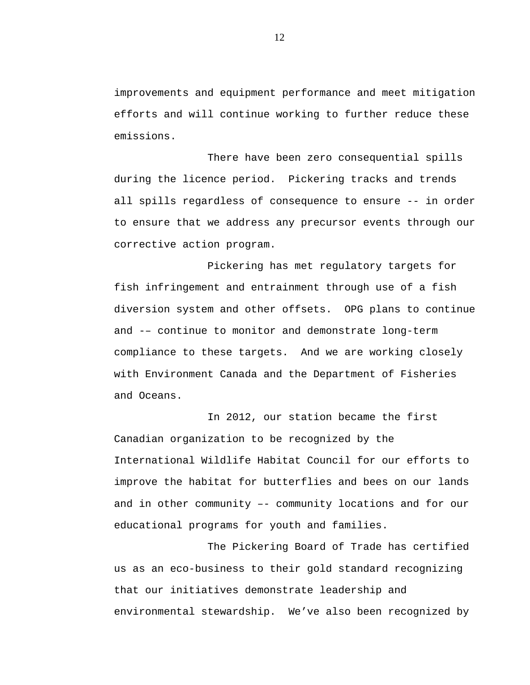improvements and equipment performance and meet mitigation efforts and will continue working to further reduce these emissions.

There have been zero consequential spills during the licence period. Pickering tracks and trends all spills regardless of consequence to ensure -- in order to ensure that we address any precursor events through our corrective action program.

Pickering has met regulatory targets for fish infringement and entrainment through use of a fish diversion system and other offsets. OPG plans to continue and -– continue to monitor and demonstrate long-term compliance to these targets. And we are working closely with Environment Canada and the Department of Fisheries and Oceans.

In 2012, our station became the first Canadian organization to be recognized by the International Wildlife Habitat Council for our efforts to improve the habitat for butterflies and bees on our lands and in other community –- community locations and for our educational programs for youth and families.

The Pickering Board of Trade has certified us as an eco-business to their gold standard recognizing that our initiatives demonstrate leadership and environmental stewardship. We've also been recognized by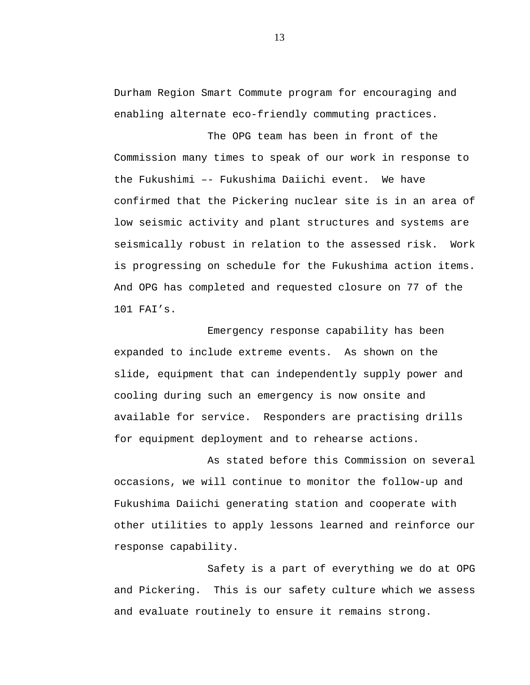Durham Region Smart Commute program for encouraging and enabling alternate eco-friendly commuting practices.

The OPG team has been in front of the Commission many times to speak of our work in response to the Fukushimi –- Fukushima Daiichi event. We have confirmed that the Pickering nuclear site is in an area of low seismic activity and plant structures and systems are seismically robust in relation to the assessed risk. Work is progressing on schedule for the Fukushima action items. And OPG has completed and requested closure on 77 of the 101 FAI's.

Emergency response capability has been expanded to include extreme events. As shown on the slide, equipment that can independently supply power and cooling during such an emergency is now onsite and available for service. Responders are practising drills for equipment deployment and to rehearse actions.

As stated before this Commission on several occasions, we will continue to monitor the follow-up and Fukushima Daiichi generating station and cooperate with other utilities to apply lessons learned and reinforce our response capability.

Safety is a part of everything we do at OPG and Pickering. This is our safety culture which we assess and evaluate routinely to ensure it remains strong.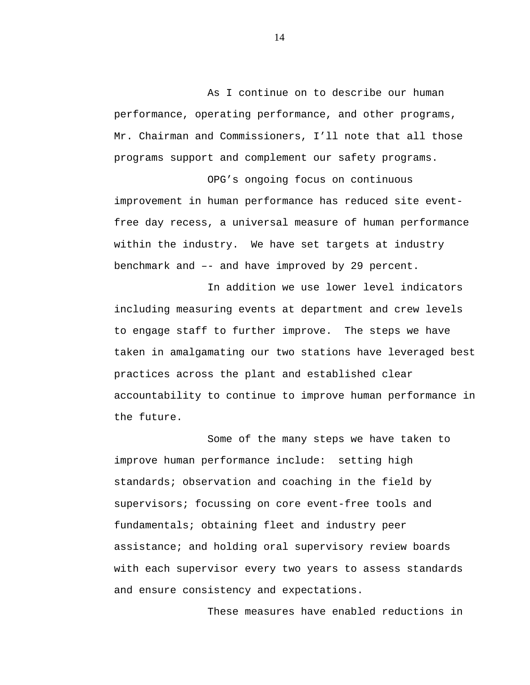As I continue on to describe our human performance, operating performance, and other programs, Mr. Chairman and Commissioners, I'll note that all those programs support and complement our safety programs.

OPG's ongoing focus on continuous improvement in human performance has reduced site eventfree day recess, a universal measure of human performance within the industry. We have set targets at industry benchmark and –- and have improved by 29 percent.

In addition we use lower level indicators including measuring events at department and crew levels to engage staff to further improve. The steps we have taken in amalgamating our two stations have leveraged best practices across the plant and established clear accountability to continue to improve human performance in the future.

Some of the many steps we have taken to improve human performance include: setting high standards; observation and coaching in the field by supervisors; focussing on core event-free tools and fundamentals; obtaining fleet and industry peer assistance; and holding oral supervisory review boards with each supervisor every two years to assess standards and ensure consistency and expectations.

These measures have enabled reductions in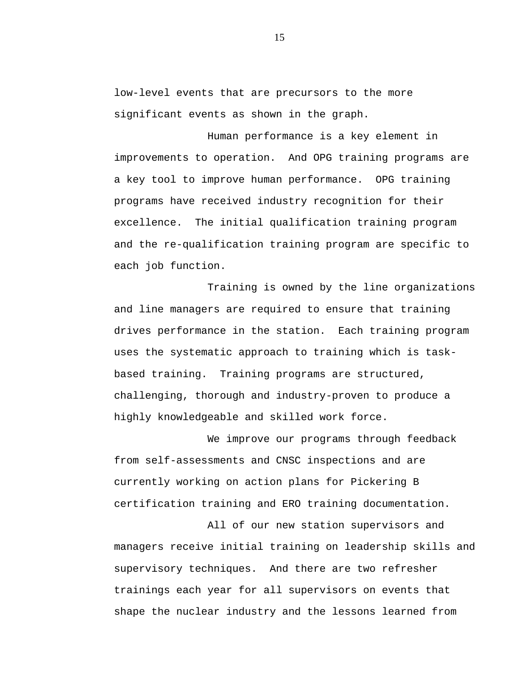low-level events that are precursors to the more significant events as shown in the graph.

Human performance is a key element in improvements to operation. And OPG training programs are a key tool to improve human performance. OPG training programs have received industry recognition for their excellence. The initial qualification training program and the re-qualification training program are specific to each job function.

Training is owned by the line organizations and line managers are required to ensure that training drives performance in the station. Each training program uses the systematic approach to training which is taskbased training. Training programs are structured, challenging, thorough and industry-proven to produce a highly knowledgeable and skilled work force.

We improve our programs through feedback from self-assessments and CNSC inspections and are currently working on action plans for Pickering B certification training and ERO training documentation.

All of our new station supervisors and managers receive initial training on leadership skills and supervisory techniques. And there are two refresher trainings each year for all supervisors on events that shape the nuclear industry and the lessons learned from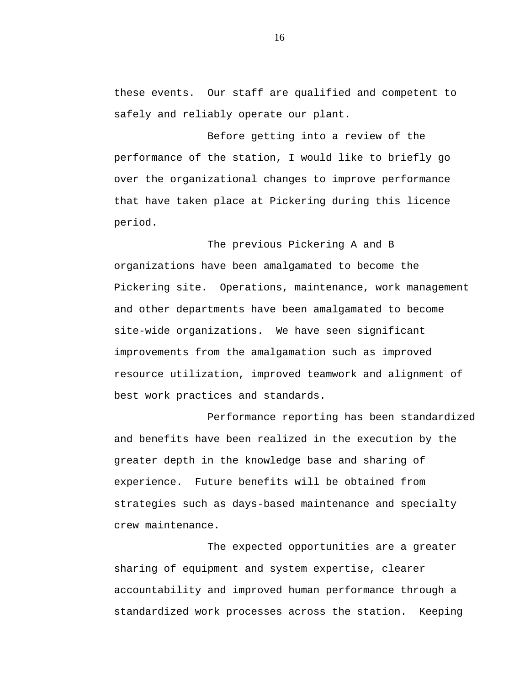these events. Our staff are qualified and competent to safely and reliably operate our plant.

Before getting into a review of the performance of the station, I would like to briefly go over the organizational changes to improve performance that have taken place at Pickering during this licence period.

The previous Pickering A and B organizations have been amalgamated to become the Pickering site. Operations, maintenance, work management and other departments have been amalgamated to become site-wide organizations. We have seen significant improvements from the amalgamation such as improved resource utilization, improved teamwork and alignment of best work practices and standards.

Performance reporting has been standardized and benefits have been realized in the execution by the greater depth in the knowledge base and sharing of experience. Future benefits will be obtained from strategies such as days-based maintenance and specialty crew maintenance.

The expected opportunities are a greater sharing of equipment and system expertise, clearer accountability and improved human performance through a standardized work processes across the station. Keeping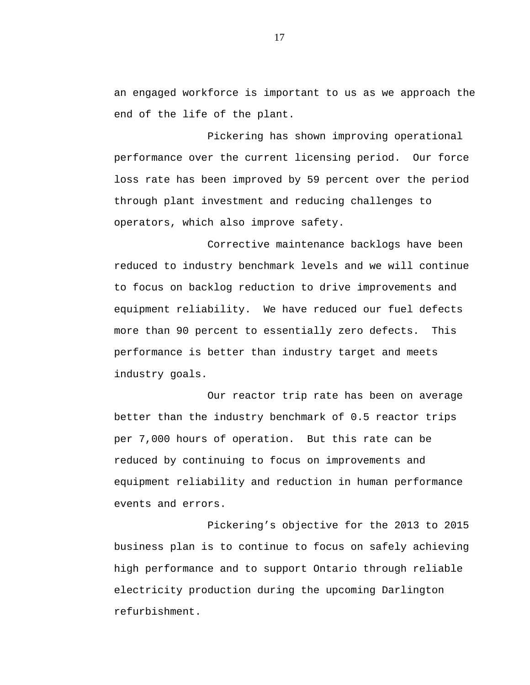an engaged workforce is important to us as we approach the end of the life of the plant.

Pickering has shown improving operational performance over the current licensing period. Our force loss rate has been improved by 59 percent over the period through plant investment and reducing challenges to operators, which also improve safety.

Corrective maintenance backlogs have been reduced to industry benchmark levels and we will continue to focus on backlog reduction to drive improvements and equipment reliability. We have reduced our fuel defects more than 90 percent to essentially zero defects. This performance is better than industry target and meets industry goals.

Our reactor trip rate has been on average better than the industry benchmark of 0.5 reactor trips per 7,000 hours of operation. But this rate can be reduced by continuing to focus on improvements and equipment reliability and reduction in human performance events and errors.

Pickering's objective for the 2013 to 2015 business plan is to continue to focus on safely achieving high performance and to support Ontario through reliable electricity production during the upcoming Darlington refurbishment.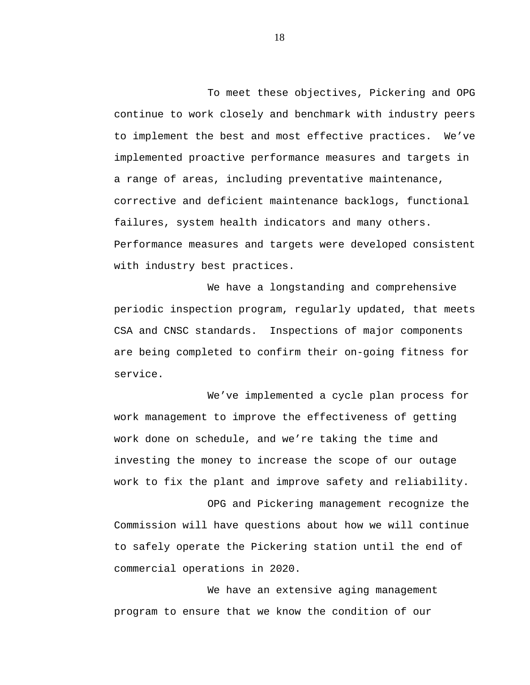To meet these objectives, Pickering and OPG continue to work closely and benchmark with industry peers to implement the best and most effective practices. We've implemented proactive performance measures and targets in a range of areas, including preventative maintenance, corrective and deficient maintenance backlogs, functional failures, system health indicators and many others. Performance measures and targets were developed consistent with industry best practices.

We have a longstanding and comprehensive periodic inspection program, regularly updated, that meets CSA and CNSC standards. Inspections of major components are being completed to confirm their on-going fitness for service.

We've implemented a cycle plan process for work management to improve the effectiveness of getting work done on schedule, and we're taking the time and investing the money to increase the scope of our outage work to fix the plant and improve safety and reliability.

OPG and Pickering management recognize the Commission will have questions about how we will continue to safely operate the Pickering station until the end of commercial operations in 2020.

We have an extensive aging management program to ensure that we know the condition of our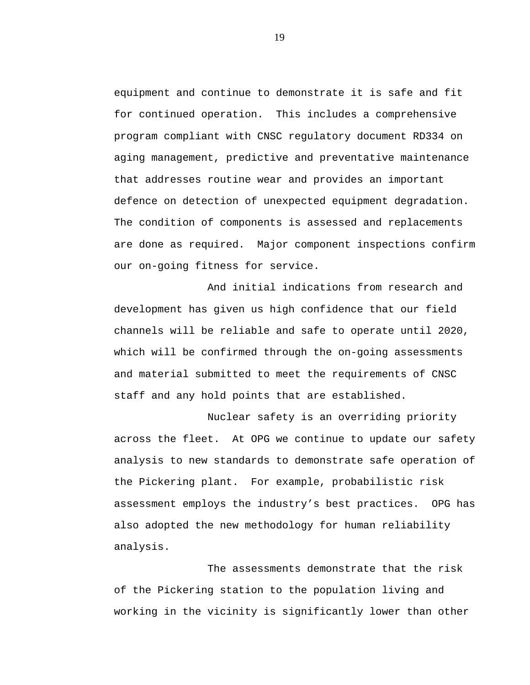equipment and continue to demonstrate it is safe and fit for continued operation. This includes a comprehensive program compliant with CNSC regulatory document RD334 on aging management, predictive and preventative maintenance that addresses routine wear and provides an important defence on detection of unexpected equipment degradation. The condition of components is assessed and replacements are done as required. Major component inspections confirm our on-going fitness for service.

And initial indications from research and development has given us high confidence that our field channels will be reliable and safe to operate until 2020, which will be confirmed through the on-going assessments and material submitted to meet the requirements of CNSC staff and any hold points that are established.

Nuclear safety is an overriding priority across the fleet. At OPG we continue to update our safety analysis to new standards to demonstrate safe operation of the Pickering plant. For example, probabilistic risk assessment employs the industry's best practices. OPG has also adopted the new methodology for human reliability analysis.

The assessments demonstrate that the risk of the Pickering station to the population living and working in the vicinity is significantly lower than other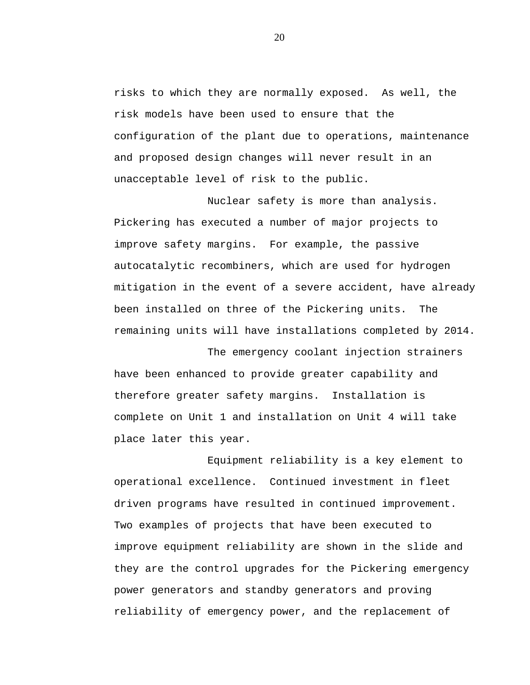risks to which they are normally exposed. As well, the risk models have been used to ensure that the configuration of the plant due to operations, maintenance and proposed design changes will never result in an unacceptable level of risk to the public.

Nuclear safety is more than analysis. Pickering has executed a number of major projects to improve safety margins. For example, the passive autocatalytic recombiners, which are used for hydrogen mitigation in the event of a severe accident, have already been installed on three of the Pickering units. The remaining units will have installations completed by 2014.

The emergency coolant injection strainers have been enhanced to provide greater capability and therefore greater safety margins. Installation is complete on Unit 1 and installation on Unit 4 will take place later this year.

Equipment reliability is a key element to operational excellence. Continued investment in fleet driven programs have resulted in continued improvement. Two examples of projects that have been executed to improve equipment reliability are shown in the slide and they are the control upgrades for the Pickering emergency power generators and standby generators and proving reliability of emergency power, and the replacement of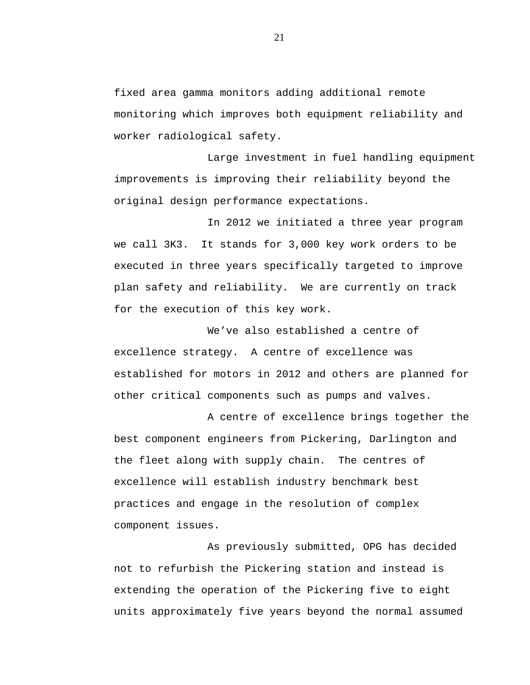fixed area gamma monitors adding additional remote monitoring which improves both equipment reliability and worker radiological safety.

Large investment in fuel handling equipment improvements is improving their reliability beyond the original design performance expectations.

In 2012 we initiated a three year program we call 3K3. It stands for 3,000 key work orders to be executed in three years specifically targeted to improve plan safety and reliability. We are currently on track for the execution of this key work.

We've also established a centre of excellence strategy. A centre of excellence was established for motors in 2012 and others are planned for other critical components such as pumps and valves.

A centre of excellence brings together the best component engineers from Pickering, Darlington and the fleet along with supply chain. The centres of excellence will establish industry benchmark best practices and engage in the resolution of complex component issues.

As previously submitted, OPG has decided not to refurbish the Pickering station and instead is extending the operation of the Pickering five to eight units approximately five years beyond the normal assumed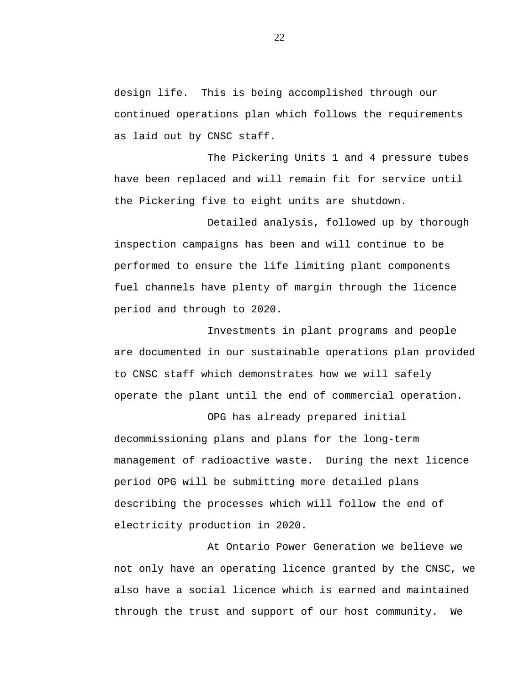design life. This is being accomplished through our continued operations plan which follows the requirements as laid out by CNSC staff.

The Pickering Units 1 and 4 pressure tubes have been replaced and will remain fit for service until the Pickering five to eight units are shutdown.

Detailed analysis, followed up by thorough inspection campaigns has been and will continue to be performed to ensure the life limiting plant components fuel channels have plenty of margin through the licence period and through to 2020.

Investments in plant programs and people are documented in our sustainable operations plan provided to CNSC staff which demonstrates how we will safely operate the plant until the end of commercial operation.

OPG has already prepared initial decommissioning plans and plans for the long-term management of radioactive waste. During the next licence period OPG will be submitting more detailed plans describing the processes which will follow the end of electricity production in 2020.

At Ontario Power Generation we believe we not only have an operating licence granted by the CNSC, we also have a social licence which is earned and maintained through the trust and support of our host community. We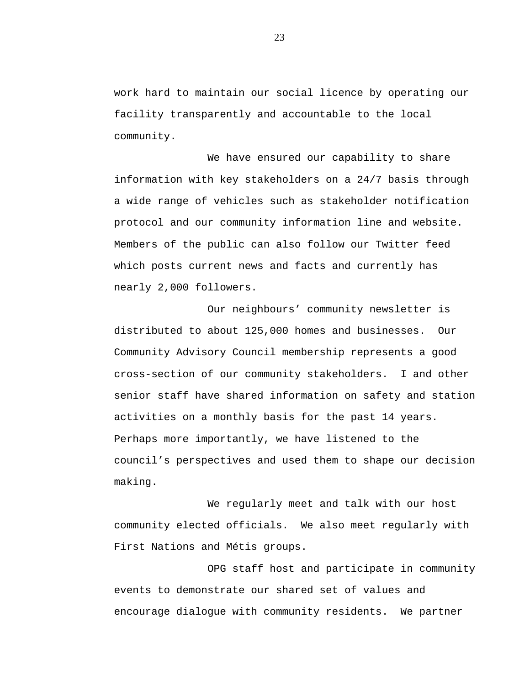work hard to maintain our social licence by operating our facility transparently and accountable to the local community.

We have ensured our capability to share information with key stakeholders on a 24/7 basis through a wide range of vehicles such as stakeholder notification protocol and our community information line and website. Members of the public can also follow our Twitter feed which posts current news and facts and currently has nearly 2,000 followers.

Our neighbours' community newsletter is distributed to about 125,000 homes and businesses. Our Community Advisory Council membership represents a good cross-section of our community stakeholders. I and other senior staff have shared information on safety and station activities on a monthly basis for the past 14 years. Perhaps more importantly, we have listened to the council's perspectives and used them to shape our decision making.

We regularly meet and talk with our host community elected officials. We also meet regularly with First Nations and Métis groups.

OPG staff host and participate in community events to demonstrate our shared set of values and encourage dialogue with community residents. We partner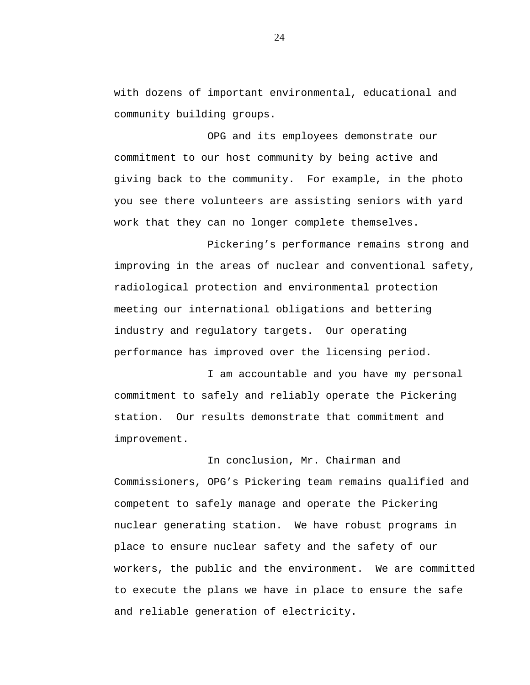with dozens of important environmental, educational and community building groups.

OPG and its employees demonstrate our commitment to our host community by being active and giving back to the community. For example, in the photo you see there volunteers are assisting seniors with yard work that they can no longer complete themselves.

Pickering's performance remains strong and improving in the areas of nuclear and conventional safety, radiological protection and environmental protection meeting our international obligations and bettering industry and regulatory targets. Our operating performance has improved over the licensing period.

I am accountable and you have my personal commitment to safely and reliably operate the Pickering station. Our results demonstrate that commitment and improvement.

In conclusion, Mr. Chairman and Commissioners, OPG's Pickering team remains qualified and competent to safely manage and operate the Pickering nuclear generating station. We have robust programs in place to ensure nuclear safety and the safety of our workers, the public and the environment. We are committed to execute the plans we have in place to ensure the safe and reliable generation of electricity.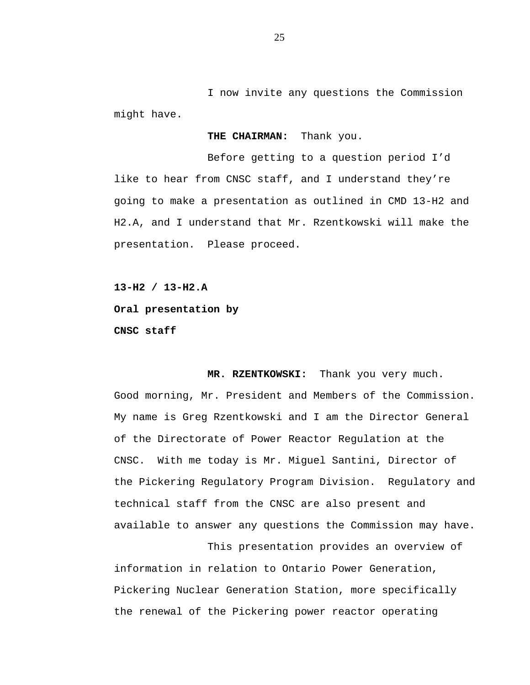<span id="page-26-0"></span>I now invite any questions the Commission might have.

**THE CHAIRMAN:** Thank you.

Before getting to a question period I'd like to hear from CNSC staff, and I understand they're going to make a presentation as outlined in CMD 13-H2 and H2.A, and I understand that Mr. Rzentkowski will make the presentation. Please proceed.

**13-H2 / 13-H2.A** 

**Oral presentation by** 

**CNSC staff** 

**MR. RZENTKOWSKI:** Thank you very much. Good morning, Mr. President and Members of the Commission. My name is Greg Rzentkowski and I am the Director General of the Directorate of Power Reactor Regulation at the CNSC. With me today is Mr. Miguel Santini, Director of the Pickering Regulatory Program Division. Regulatory and technical staff from the CNSC are also present and available to answer any questions the Commission may have.

This presentation provides an overview of information in relation to Ontario Power Generation, Pickering Nuclear Generation Station, more specifically the renewal of the Pickering power reactor operating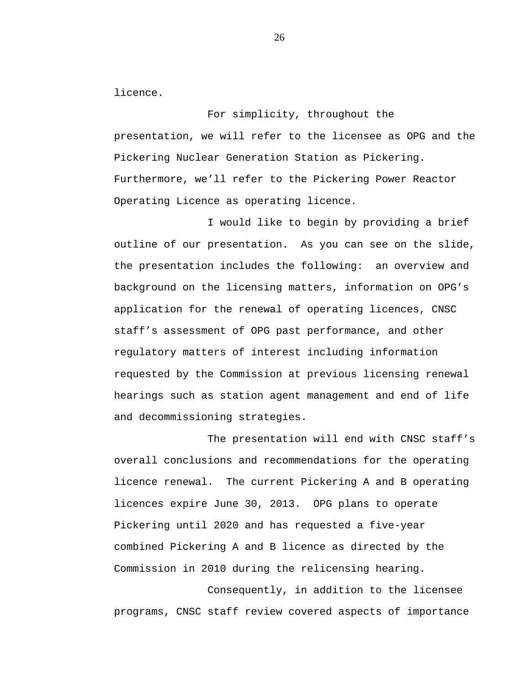licence.

For simplicity, throughout the presentation, we will refer to the licensee as OPG and the Pickering Nuclear Generation Station as Pickering. Furthermore, we'll refer to the Pickering Power Reactor Operating Licence as operating licence.

I would like to begin by providing a brief outline of our presentation. As you can see on the slide, the presentation includes the following: an overview and background on the licensing matters, information on OPG's application for the renewal of operating licences, CNSC staff's assessment of OPG past performance, and other regulatory matters of interest including information requested by the Commission at previous licensing renewal hearings such as station agent management and end of life and decommissioning strategies.

The presentation will end with CNSC staff's overall conclusions and recommendations for the operating licence renewal. The current Pickering A and B operating licences expire June 30, 2013. OPG plans to operate Pickering until 2020 and has requested a five-year combined Pickering A and B licence as directed by the Commission in 2010 during the relicensing hearing.

Consequently, in addition to the licensee programs, CNSC staff review covered aspects of importance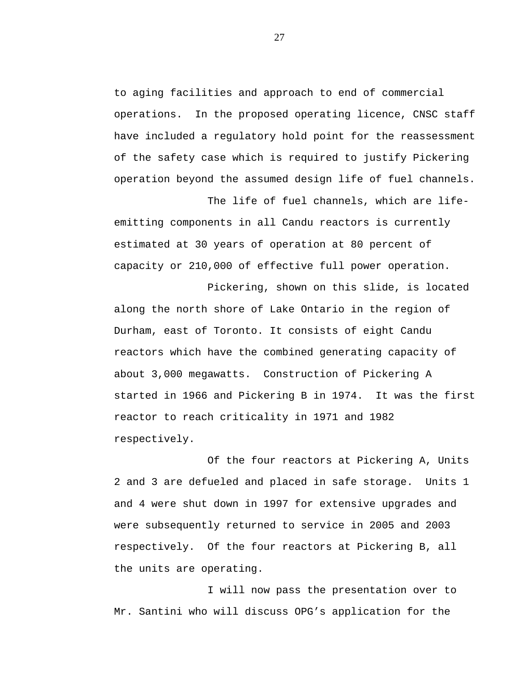to aging facilities and approach to end of commercial operations. In the proposed operating licence, CNSC staff have included a regulatory hold point for the reassessment of the safety case which is required to justify Pickering operation beyond the assumed design life of fuel channels.

The life of fuel channels, which are life-

emitting components in all Candu reactors is currently estimated at 30 years of operation at 80 percent of capacity or 210,000 of effective full power operation.

Pickering, shown on this slide, is located along the north shore of Lake Ontario in the region of Durham, east of Toronto. It consists of eight Candu reactors which have the combined generating capacity of about 3,000 megawatts. Construction of Pickering A started in 1966 and Pickering B in 1974. It was the first reactor to reach criticality in 1971 and 1982 respectively.

Of the four reactors at Pickering A, Units 2 and 3 are defueled and placed in safe storage. Units 1 and 4 were shut down in 1997 for extensive upgrades and were subsequently returned to service in 2005 and 2003 respectively. Of the four reactors at Pickering B, all the units are operating.

I will now pass the presentation over to Mr. Santini who will discuss OPG's application for the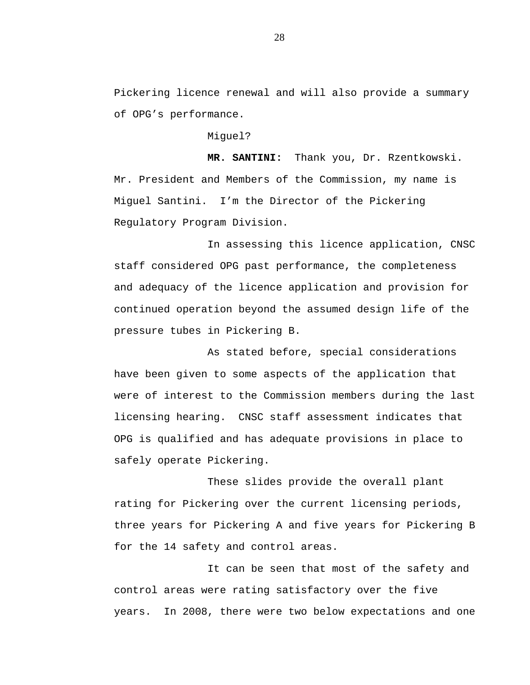Pickering licence renewal and will also provide a summary of OPG's performance.

Miguel?

**MR. SANTINI:** Thank you, Dr. Rzentkowski. Mr. President and Members of the Commission, my name is Miguel Santini. I'm the Director of the Pickering Regulatory Program Division.

In assessing this licence application, CNSC staff considered OPG past performance, the completeness and adequacy of the licence application and provision for continued operation beyond the assumed design life of the pressure tubes in Pickering B.

As stated before, special considerations have been given to some aspects of the application that were of interest to the Commission members during the last licensing hearing. CNSC staff assessment indicates that OPG is qualified and has adequate provisions in place to safely operate Pickering.

These slides provide the overall plant rating for Pickering over the current licensing periods, three years for Pickering A and five years for Pickering B for the 14 safety and control areas.

It can be seen that most of the safety and control areas were rating satisfactory over the five years. In 2008, there were two below expectations and one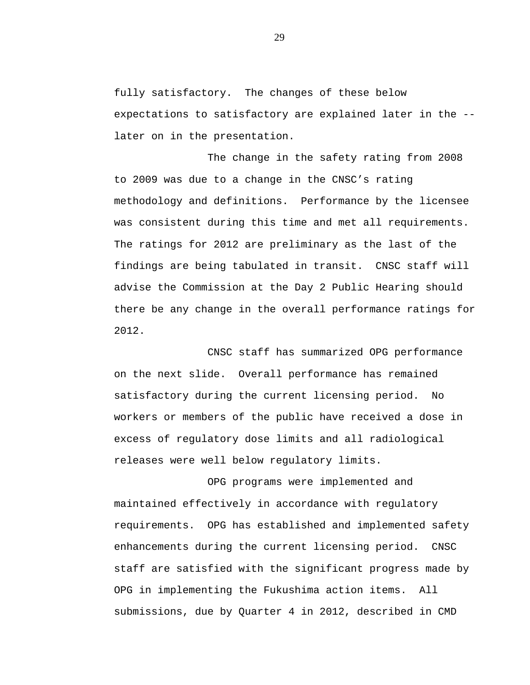fully satisfactory. The changes of these below expectations to satisfactory are explained later in the - later on in the presentation.

The change in the safety rating from 2008 to 2009 was due to a change in the CNSC's rating methodology and definitions. Performance by the licensee was consistent during this time and met all requirements. The ratings for 2012 are preliminary as the last of the findings are being tabulated in transit. CNSC staff will advise the Commission at the Day 2 Public Hearing should there be any change in the overall performance ratings for 2012.

CNSC staff has summarized OPG performance on the next slide. Overall performance has remained satisfactory during the current licensing period. No workers or members of the public have received a dose in excess of regulatory dose limits and all radiological releases were well below regulatory limits.

OPG programs were implemented and maintained effectively in accordance with regulatory requirements. OPG has established and implemented safety enhancements during the current licensing period. CNSC staff are satisfied with the significant progress made by OPG in implementing the Fukushima action items. All submissions, due by Quarter 4 in 2012, described in CMD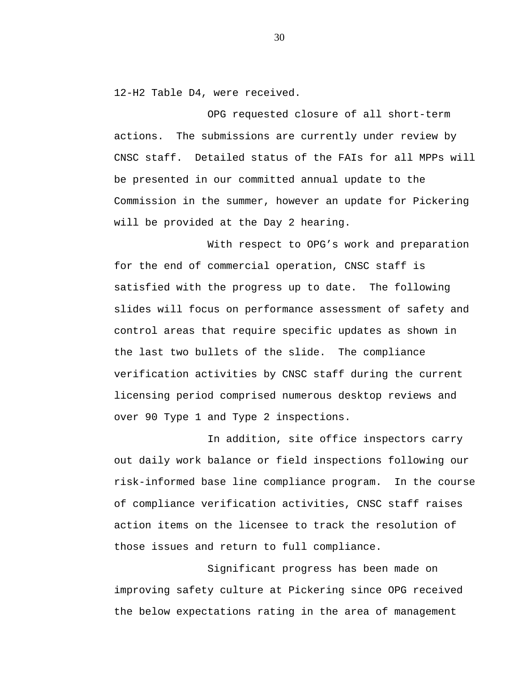12-H2 Table D4, were received.

OPG requested closure of all short-term actions. The submissions are currently under review by CNSC staff. Detailed status of the FAIs for all MPPs will be presented in our committed annual update to the Commission in the summer, however an update for Pickering will be provided at the Day 2 hearing.

With respect to OPG's work and preparation for the end of commercial operation, CNSC staff is satisfied with the progress up to date. The following slides will focus on performance assessment of safety and control areas that require specific updates as shown in the last two bullets of the slide. The compliance verification activities by CNSC staff during the current licensing period comprised numerous desktop reviews and over 90 Type 1 and Type 2 inspections.

In addition, site office inspectors carry out daily work balance or field inspections following our risk-informed base line compliance program. In the course of compliance verification activities, CNSC staff raises action items on the licensee to track the resolution of those issues and return to full compliance.

Significant progress has been made on improving safety culture at Pickering since OPG received the below expectations rating in the area of management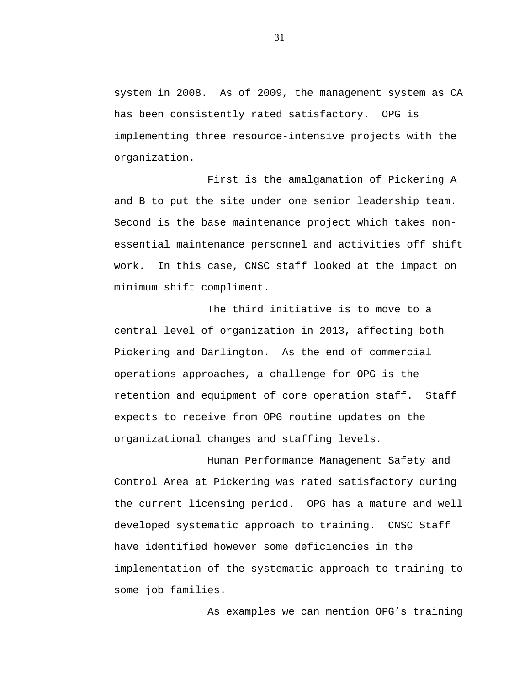system in 2008. As of 2009, the management system as CA has been consistently rated satisfactory. OPG is implementing three resource-intensive projects with the organization.

First is the amalgamation of Pickering A and B to put the site under one senior leadership team. Second is the base maintenance project which takes nonessential maintenance personnel and activities off shift work. In this case, CNSC staff looked at the impact on minimum shift compliment.

The third initiative is to move to a central level of organization in 2013, affecting both Pickering and Darlington. As the end of commercial operations approaches, a challenge for OPG is the retention and equipment of core operation staff. Staff expects to receive from OPG routine updates on the organizational changes and staffing levels.

Human Performance Management Safety and Control Area at Pickering was rated satisfactory during the current licensing period. OPG has a mature and well developed systematic approach to training. CNSC Staff have identified however some deficiencies in the implementation of the systematic approach to training to some job families.

As examples we can mention OPG's training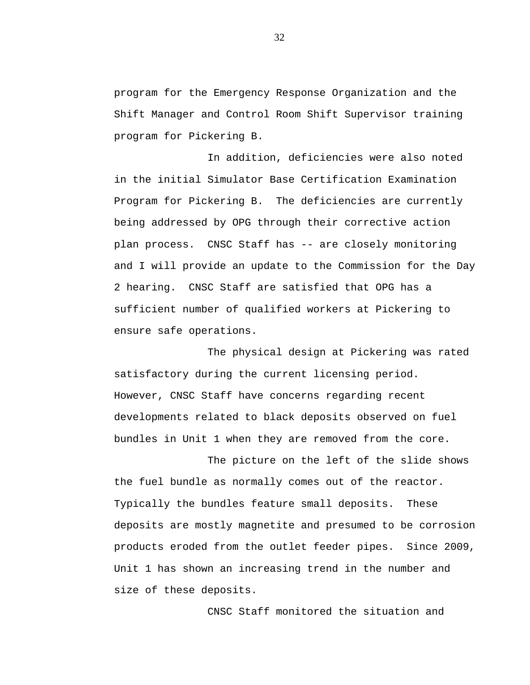program for the Emergency Response Organization and the Shift Manager and Control Room Shift Supervisor training program for Pickering B.

In addition, deficiencies were also noted in the initial Simulator Base Certification Examination Program for Pickering B. The deficiencies are currently being addressed by OPG through their corrective action plan process. CNSC Staff has -- are closely monitoring and I will provide an update to the Commission for the Day 2 hearing. CNSC Staff are satisfied that OPG has a sufficient number of qualified workers at Pickering to ensure safe operations.

The physical design at Pickering was rated satisfactory during the current licensing period. However, CNSC Staff have concerns regarding recent developments related to black deposits observed on fuel bundles in Unit 1 when they are removed from the core.

The picture on the left of the slide shows the fuel bundle as normally comes out of the reactor. Typically the bundles feature small deposits. These deposits are mostly magnetite and presumed to be corrosion products eroded from the outlet feeder pipes. Since 2009, Unit 1 has shown an increasing trend in the number and size of these deposits.

CNSC Staff monitored the situation and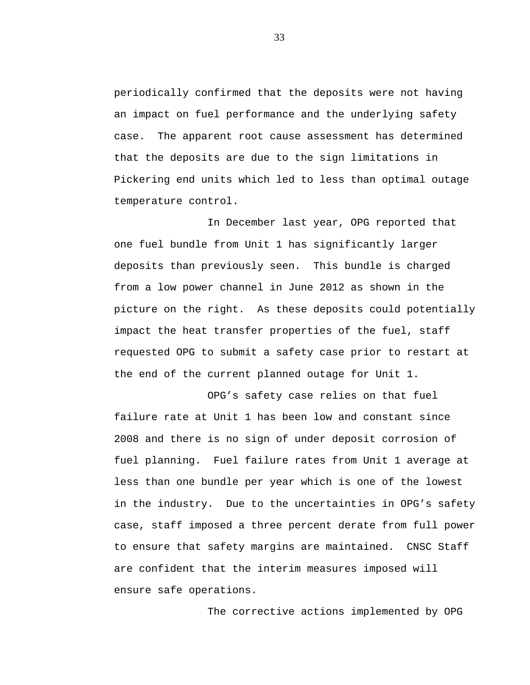periodically confirmed that the deposits were not having an impact on fuel performance and the underlying safety case. The apparent root cause assessment has determined that the deposits are due to the sign limitations in Pickering end units which led to less than optimal outage temperature control.

In December last year, OPG reported that one fuel bundle from Unit 1 has significantly larger deposits than previously seen. This bundle is charged from a low power channel in June 2012 as shown in the picture on the right. As these deposits could potentially impact the heat transfer properties of the fuel, staff requested OPG to submit a safety case prior to restart at the end of the current planned outage for Unit 1.

OPG's safety case relies on that fuel failure rate at Unit 1 has been low and constant since 2008 and there is no sign of under deposit corrosion of fuel planning. Fuel failure rates from Unit 1 average at less than one bundle per year which is one of the lowest in the industry. Due to the uncertainties in OPG's safety case, staff imposed a three percent derate from full power to ensure that safety margins are maintained. CNSC Staff are confident that the interim measures imposed will ensure safe operations.

The corrective actions implemented by OPG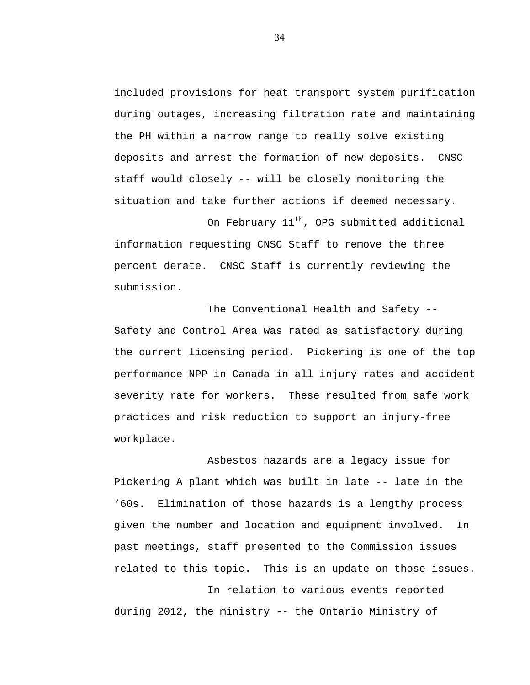included provisions for heat transport system purification during outages, increasing filtration rate and maintaining the PH within a narrow range to really solve existing deposits and arrest the formation of new deposits. CNSC staff would closely -- will be closely monitoring the situation and take further actions if deemed necessary.

On February 11<sup>th</sup>, OPG submitted additional information requesting CNSC Staff to remove the three percent derate. CNSC Staff is currently reviewing the submission.

The Conventional Health and Safety -- Safety and Control Area was rated as satisfactory during the current licensing period. Pickering is one of the top performance NPP in Canada in all injury rates and accident severity rate for workers. These resulted from safe work practices and risk reduction to support an injury-free workplace.

Asbestos hazards are a legacy issue for Pickering A plant which was built in late -- late in the '60s. Elimination of those hazards is a lengthy process given the number and location and equipment involved. In past meetings, staff presented to the Commission issues related to this topic. This is an update on those issues.

In relation to various events reported during 2012, the ministry -- the Ontario Ministry of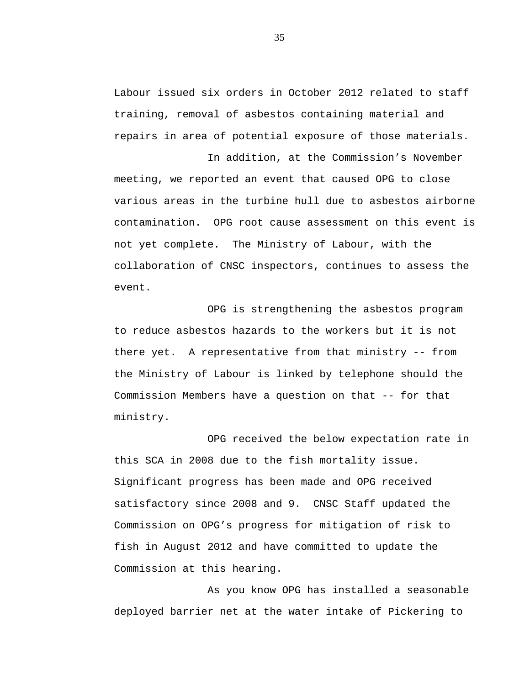Labour issued six orders in October 2012 related to staff training, removal of asbestos containing material and repairs in area of potential exposure of those materials.

In addition, at the Commission's November

meeting, we reported an event that caused OPG to close various areas in the turbine hull due to asbestos airborne contamination. OPG root cause assessment on this event is not yet complete. The Ministry of Labour, with the collaboration of CNSC inspectors, continues to assess the event.

OPG is strengthening the asbestos program to reduce asbestos hazards to the workers but it is not there yet. A representative from that ministry -- from the Ministry of Labour is linked by telephone should the Commission Members have a question on that -- for that ministry.

OPG received the below expectation rate in this SCA in 2008 due to the fish mortality issue. Significant progress has been made and OPG received satisfactory since 2008 and 9. CNSC Staff updated the Commission on OPG's progress for mitigation of risk to fish in August 2012 and have committed to update the Commission at this hearing.

As you know OPG has installed a seasonable deployed barrier net at the water intake of Pickering to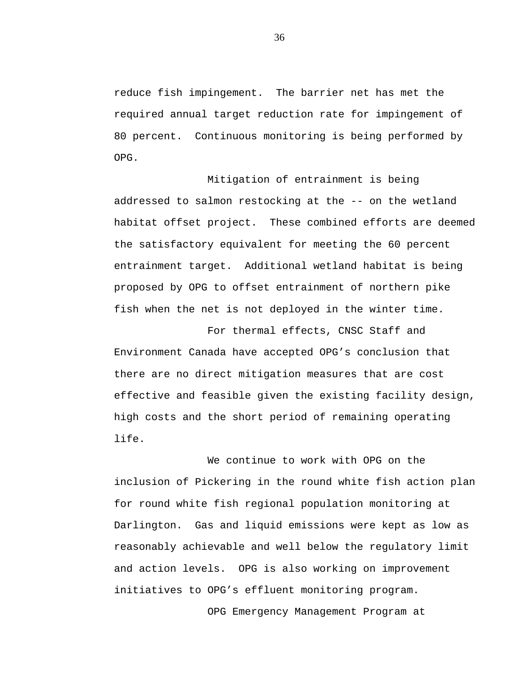reduce fish impingement. The barrier net has met the required annual target reduction rate for impingement of 80 percent. Continuous monitoring is being performed by OPG.

Mitigation of entrainment is being addressed to salmon restocking at the -- on the wetland habitat offset project. These combined efforts are deemed the satisfactory equivalent for meeting the 60 percent entrainment target. Additional wetland habitat is being proposed by OPG to offset entrainment of northern pike fish when the net is not deployed in the winter time.

For thermal effects, CNSC Staff and Environment Canada have accepted OPG's conclusion that there are no direct mitigation measures that are cost effective and feasible given the existing facility design, high costs and the short period of remaining operating life.

We continue to work with OPG on the inclusion of Pickering in the round white fish action plan for round white fish regional population monitoring at Darlington. Gas and liquid emissions were kept as low as reasonably achievable and well below the regulatory limit and action levels. OPG is also working on improvement initiatives to OPG's effluent monitoring program.

OPG Emergency Management Program at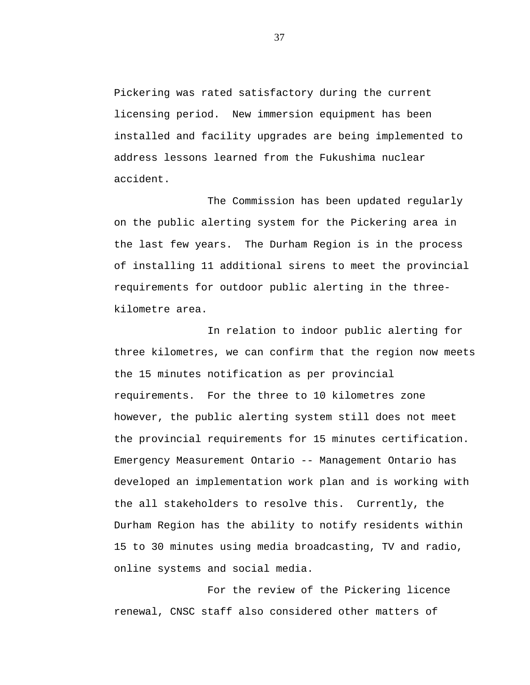Pickering was rated satisfactory during the current licensing period. New immersion equipment has been installed and facility upgrades are being implemented to address lessons learned from the Fukushima nuclear accident.

The Commission has been updated regularly on the public alerting system for the Pickering area in the last few years. The Durham Region is in the process of installing 11 additional sirens to meet the provincial requirements for outdoor public alerting in the threekilometre area.

In relation to indoor public alerting for three kilometres, we can confirm that the region now meets the 15 minutes notification as per provincial requirements. For the three to 10 kilometres zone however, the public alerting system still does not meet the provincial requirements for 15 minutes certification. Emergency Measurement Ontario -- Management Ontario has developed an implementation work plan and is working with the all stakeholders to resolve this. Currently, the Durham Region has the ability to notify residents within 15 to 30 minutes using media broadcasting, TV and radio, online systems and social media.

For the review of the Pickering licence renewal, CNSC staff also considered other matters of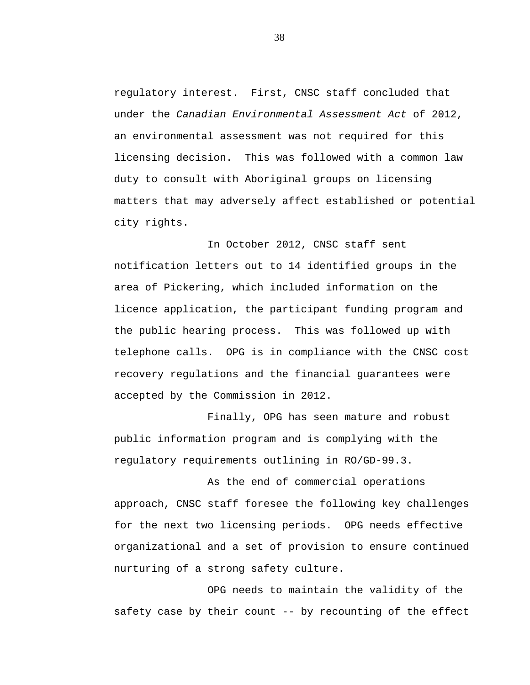regulatory interest. First, CNSC staff concluded that under the *Canadian Environmental Assessment Act* of 2012, an environmental assessment was not required for this licensing decision. This was followed with a common law duty to consult with Aboriginal groups on licensing matters that may adversely affect established or potential city rights.

In October 2012, CNSC staff sent notification letters out to 14 identified groups in the area of Pickering, which included information on the licence application, the participant funding program and the public hearing process. This was followed up with telephone calls. OPG is in compliance with the CNSC cost recovery regulations and the financial guarantees were accepted by the Commission in 2012.

Finally, OPG has seen mature and robust public information program and is complying with the regulatory requirements outlining in RO/GD-99.3.

As the end of commercial operations approach, CNSC staff foresee the following key challenges for the next two licensing periods. OPG needs effective organizational and a set of provision to ensure continued nurturing of a strong safety culture.

OPG needs to maintain the validity of the safety case by their count -- by recounting of the effect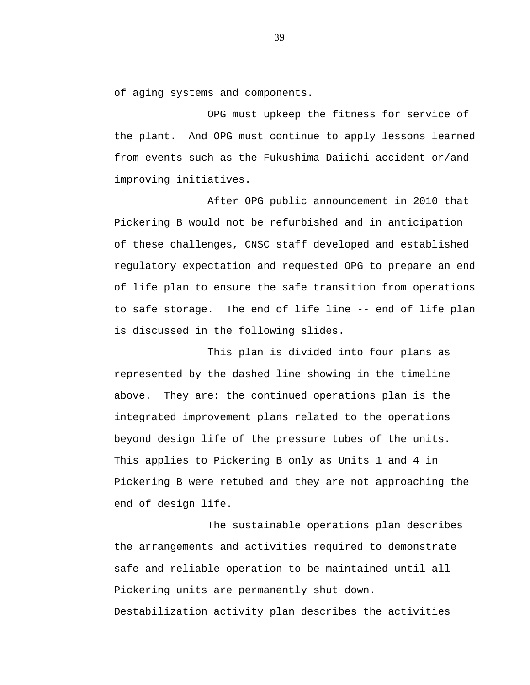of aging systems and components.

OPG must upkeep the fitness for service of the plant. And OPG must continue to apply lessons learned from events such as the Fukushima Daiichi accident or/and improving initiatives.

After OPG public announcement in 2010 that Pickering B would not be refurbished and in anticipation of these challenges, CNSC staff developed and established regulatory expectation and requested OPG to prepare an end of life plan to ensure the safe transition from operations to safe storage. The end of life line -- end of life plan is discussed in the following slides.

This plan is divided into four plans as represented by the dashed line showing in the timeline above. They are: the continued operations plan is the integrated improvement plans related to the operations beyond design life of the pressure tubes of the units. This applies to Pickering B only as Units 1 and 4 in Pickering B were retubed and they are not approaching the end of design life.

The sustainable operations plan describes the arrangements and activities required to demonstrate safe and reliable operation to be maintained until all Pickering units are permanently shut down. Destabilization activity plan describes the activities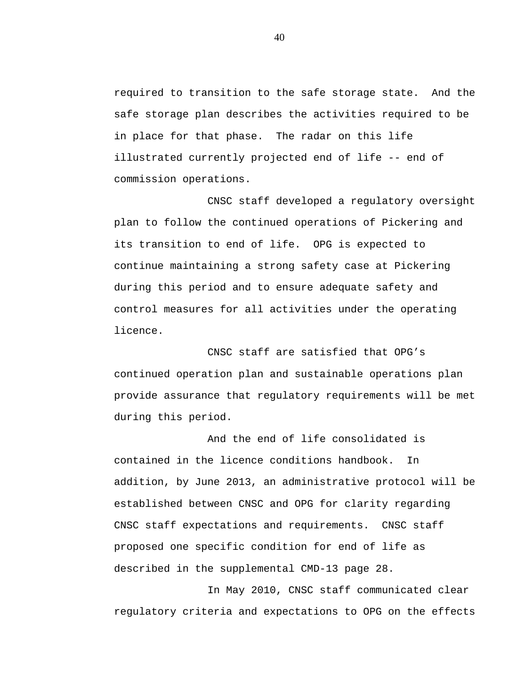required to transition to the safe storage state. And the safe storage plan describes the activities required to be in place for that phase. The radar on this life illustrated currently projected end of life -- end of commission operations.

CNSC staff developed a regulatory oversight plan to follow the continued operations of Pickering and its transition to end of life. OPG is expected to continue maintaining a strong safety case at Pickering during this period and to ensure adequate safety and control measures for all activities under the operating licence.

CNSC staff are satisfied that OPG's continued operation plan and sustainable operations plan provide assurance that regulatory requirements will be met during this period.

And the end of life consolidated is contained in the licence conditions handbook. In addition, by June 2013, an administrative protocol will be established between CNSC and OPG for clarity regarding CNSC staff expectations and requirements. CNSC staff proposed one specific condition for end of life as described in the supplemental CMD-13 page 28.

In May 2010, CNSC staff communicated clear regulatory criteria and expectations to OPG on the effects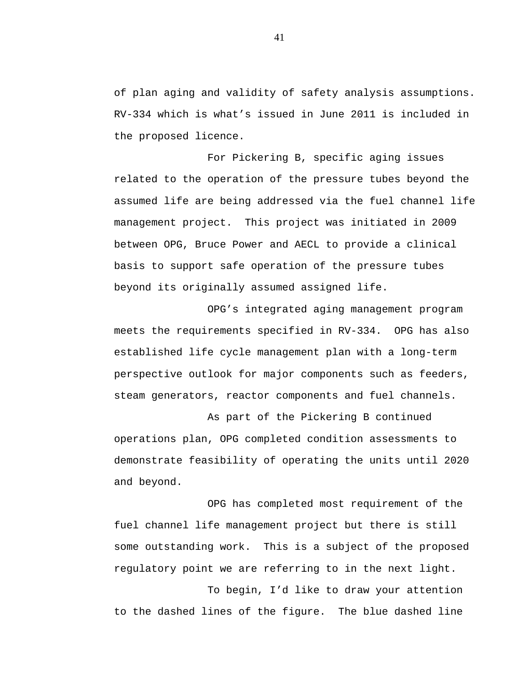of plan aging and validity of safety analysis assumptions. RV-334 which is what's issued in June 2011 is included in the proposed licence.

For Pickering B, specific aging issues related to the operation of the pressure tubes beyond the assumed life are being addressed via the fuel channel life management project. This project was initiated in 2009 between OPG, Bruce Power and AECL to provide a clinical basis to support safe operation of the pressure tubes beyond its originally assumed assigned life.

OPG's integrated aging management program meets the requirements specified in RV-334. OPG has also established life cycle management plan with a long-term perspective outlook for major components such as feeders, steam generators, reactor components and fuel channels.

As part of the Pickering B continued operations plan, OPG completed condition assessments to demonstrate feasibility of operating the units until 2020 and beyond.

OPG has completed most requirement of the fuel channel life management project but there is still some outstanding work. This is a subject of the proposed regulatory point we are referring to in the next light.

To begin, I'd like to draw your attention to the dashed lines of the figure. The blue dashed line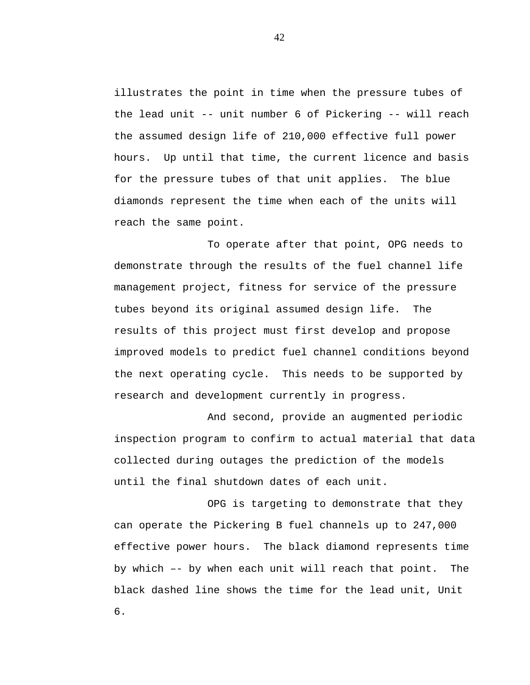illustrates the point in time when the pressure tubes of the lead unit -- unit number 6 of Pickering -- will reach the assumed design life of 210,000 effective full power hours. Up until that time, the current licence and basis for the pressure tubes of that unit applies. The blue diamonds represent the time when each of the units will reach the same point.

To operate after that point, OPG needs to demonstrate through the results of the fuel channel life management project, fitness for service of the pressure tubes beyond its original assumed design life. The results of this project must first develop and propose improved models to predict fuel channel conditions beyond the next operating cycle. This needs to be supported by research and development currently in progress.

And second, provide an augmented periodic inspection program to confirm to actual material that data collected during outages the prediction of the models until the final shutdown dates of each unit.

OPG is targeting to demonstrate that they can operate the Pickering B fuel channels up to 247,000 effective power hours. The black diamond represents time by which –- by when each unit will reach that point. The black dashed line shows the time for the lead unit, Unit 6.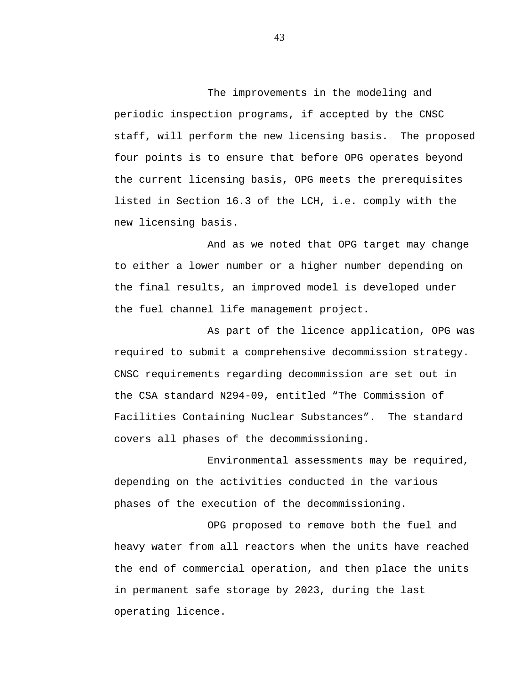The improvements in the modeling and periodic inspection programs, if accepted by the CNSC staff, will perform the new licensing basis. The proposed four points is to ensure that before OPG operates beyond the current licensing basis, OPG meets the prerequisites listed in Section 16.3 of the LCH, i.e. comply with the new licensing basis.

And as we noted that OPG target may change to either a lower number or a higher number depending on the final results, an improved model is developed under the fuel channel life management project.

As part of the licence application, OPG was required to submit a comprehensive decommission strategy. CNSC requirements regarding decommission are set out in the CSA standard N294-09, entitled "The Commission of Facilities Containing Nuclear Substances". The standard covers all phases of the decommissioning.

Environmental assessments may be required, depending on the activities conducted in the various phases of the execution of the decommissioning.

OPG proposed to remove both the fuel and heavy water from all reactors when the units have reached the end of commercial operation, and then place the units in permanent safe storage by 2023, during the last operating licence.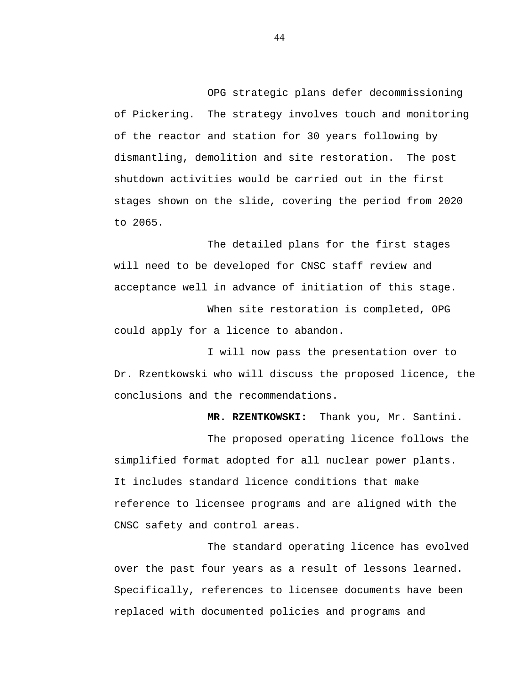OPG strategic plans defer decommissioning of Pickering. The strategy involves touch and monitoring of the reactor and station for 30 years following by dismantling, demolition and site restoration. The post shutdown activities would be carried out in the first stages shown on the slide, covering the period from 2020 to 2065.

The detailed plans for the first stages will need to be developed for CNSC staff review and acceptance well in advance of initiation of this stage. When site restoration is completed, OPG

could apply for a licence to abandon.

I will now pass the presentation over to Dr. Rzentkowski who will discuss the proposed licence, the conclusions and the recommendations.

**MR. RZENTKOWSKI:** Thank you, Mr. Santini.

The proposed operating licence follows the simplified format adopted for all nuclear power plants. It includes standard licence conditions that make reference to licensee programs and are aligned with the CNSC safety and control areas.

The standard operating licence has evolved over the past four years as a result of lessons learned. Specifically, references to licensee documents have been replaced with documented policies and programs and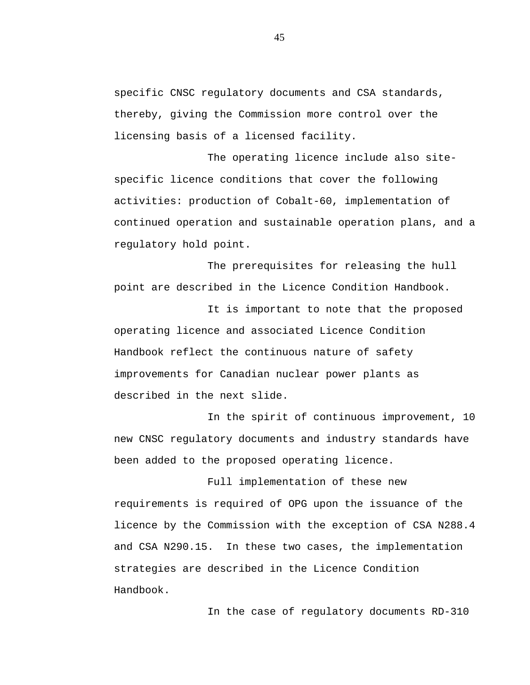specific CNSC regulatory documents and CSA standards, thereby, giving the Commission more control over the licensing basis of a licensed facility.

The operating licence include also sitespecific licence conditions that cover the following activities: production of Cobalt-60, implementation of continued operation and sustainable operation plans, and a regulatory hold point.

The prerequisites for releasing the hull point are described in the Licence Condition Handbook.

It is important to note that the proposed operating licence and associated Licence Condition Handbook reflect the continuous nature of safety improvements for Canadian nuclear power plants as described in the next slide.

In the spirit of continuous improvement, 10 new CNSC regulatory documents and industry standards have been added to the proposed operating licence.

Full implementation of these new requirements is required of OPG upon the issuance of the licence by the Commission with the exception of CSA N288.4 and CSA N290.15. In these two cases, the implementation strategies are described in the Licence Condition Handbook.

In the case of regulatory documents RD-310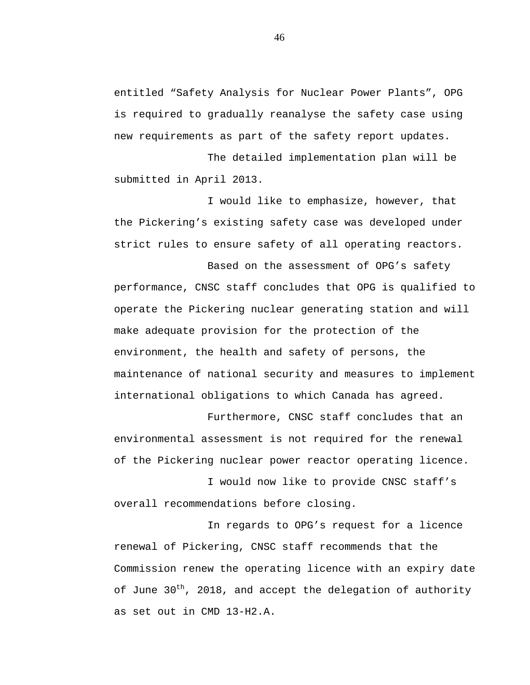entitled "Safety Analysis for Nuclear Power Plants", OPG is required to gradually reanalyse the safety case using new requirements as part of the safety report updates.

The detailed implementation plan will be submitted in April 2013.

I would like to emphasize, however, that the Pickering's existing safety case was developed under strict rules to ensure safety of all operating reactors.

Based on the assessment of OPG's safety performance, CNSC staff concludes that OPG is qualified to operate the Pickering nuclear generating station and will make adequate provision for the protection of the environment, the health and safety of persons, the maintenance of national security and measures to implement international obligations to which Canada has agreed.

Furthermore, CNSC staff concludes that an environmental assessment is not required for the renewal of the Pickering nuclear power reactor operating licence.

I would now like to provide CNSC staff's overall recommendations before closing.

In regards to OPG's request for a licence renewal of Pickering, CNSC staff recommends that the Commission renew the operating licence with an expiry date of June 30<sup>th</sup>, 2018, and accept the delegation of authority as set out in CMD 13-H2.A.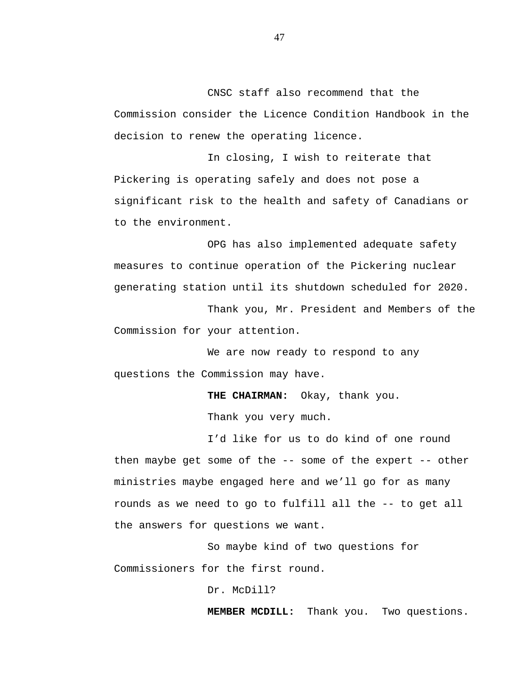CNSC staff also recommend that the Commission consider the Licence Condition Handbook in the decision to renew the operating licence.

In closing, I wish to reiterate that Pickering is operating safely and does not pose a significant risk to the health and safety of Canadians or to the environment.

OPG has also implemented adequate safety measures to continue operation of the Pickering nuclear generating station until its shutdown scheduled for 2020.

Thank you, Mr. President and Members of the Commission for your attention.

We are now ready to respond to any questions the Commission may have.

**THE CHAIRMAN:** Okay, thank you.

Thank you very much.

I'd like for us to do kind of one round then maybe get some of the -- some of the expert -- other ministries maybe engaged here and we'll go for as many rounds as we need to go to fulfill all the -- to get all the answers for questions we want.

So maybe kind of two questions for Commissioners for the first round.

Dr. McDill?

**MEMBER MCDILL:** Thank you. Two questions.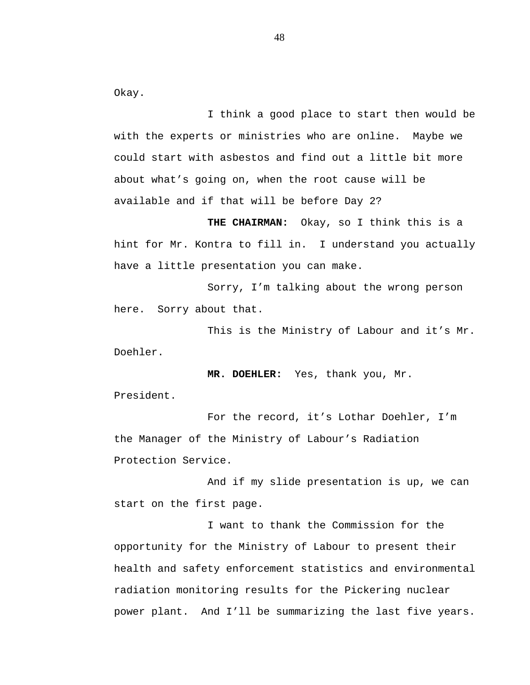Okay.

I think a good place to start then would be with the experts or ministries who are online. Maybe we could start with asbestos and find out a little bit more about what's going on, when the root cause will be available and if that will be before Day 2?

**THE CHAIRMAN:** Okay, so I think this is a hint for Mr. Kontra to fill in. I understand you actually have a little presentation you can make.

Sorry, I'm talking about the wrong person here. Sorry about that.

This is the Ministry of Labour and it's Mr. Doehler.

**MR. DOEHLER:** Yes, thank you, Mr. President.

For the record, it's Lothar Doehler, I'm the Manager of the Ministry of Labour's Radiation Protection Service.

And if my slide presentation is up, we can start on the first page.

I want to thank the Commission for the opportunity for the Ministry of Labour to present their health and safety enforcement statistics and environmental radiation monitoring results for the Pickering nuclear power plant. And I'll be summarizing the last five years.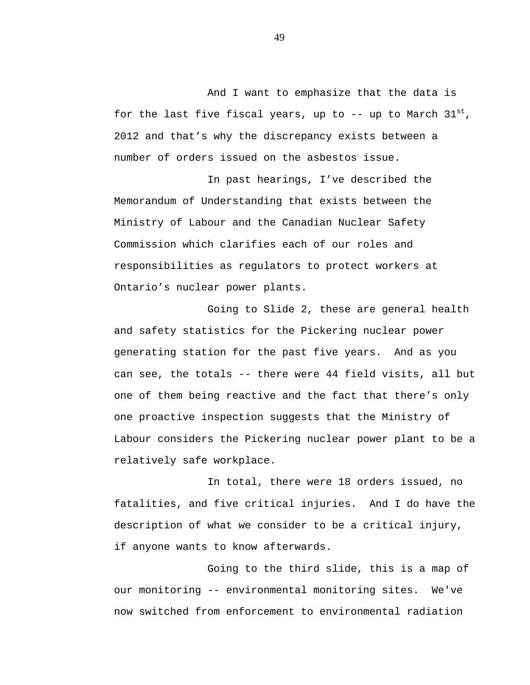And I want to emphasize that the data is for the last five fiscal years, up to  $--$  up to March  $31^{st}$ , 2012 and that's why the discrepancy exists between a number of orders issued on the asbestos issue.

In past hearings, I've described the Memorandum of Understanding that exists between the Ministry of Labour and the Canadian Nuclear Safety Commission which clarifies each of our roles and responsibilities as regulators to protect workers at Ontario's nuclear power plants.

Going to Slide 2, these are general health and safety statistics for the Pickering nuclear power generating station for the past five years. And as you can see, the totals -- there were 44 field visits, all but one of them being reactive and the fact that there's only one proactive inspection suggests that the Ministry of Labour considers the Pickering nuclear power plant to be a relatively safe workplace.

In total, there were 18 orders issued, no fatalities, and five critical injuries. And I do have the description of what we consider to be a critical injury, if anyone wants to know afterwards.

Going to the third slide, this is a map of our monitoring -- environmental monitoring sites. We've now switched from enforcement to environmental radiation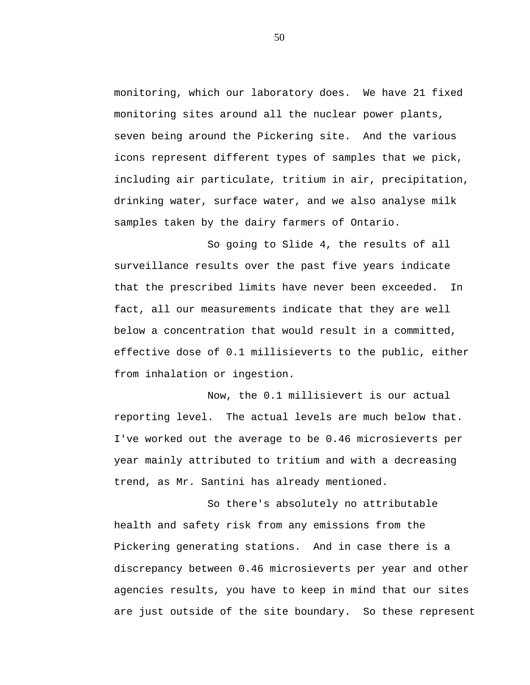monitoring, which our laboratory does. We have 21 fixed monitoring sites around all the nuclear power plants, seven being around the Pickering site. And the various icons represent different types of samples that we pick, including air particulate, tritium in air, precipitation, drinking water, surface water, and we also analyse milk samples taken by the dairy farmers of Ontario.

So going to Slide 4, the results of all surveillance results over the past five years indicate that the prescribed limits have never been exceeded. In fact, all our measurements indicate that they are well below a concentration that would result in a committed, effective dose of 0.1 millisieverts to the public, either from inhalation or ingestion.

Now, the 0.1 millisievert is our actual reporting level. The actual levels are much below that. I've worked out the average to be 0.46 microsieverts per year mainly attributed to tritium and with a decreasing trend, as Mr. Santini has already mentioned.

So there's absolutely no attributable health and safety risk from any emissions from the Pickering generating stations. And in case there is a discrepancy between 0.46 microsieverts per year and other agencies results, you have to keep in mind that our sites are just outside of the site boundary. So these represent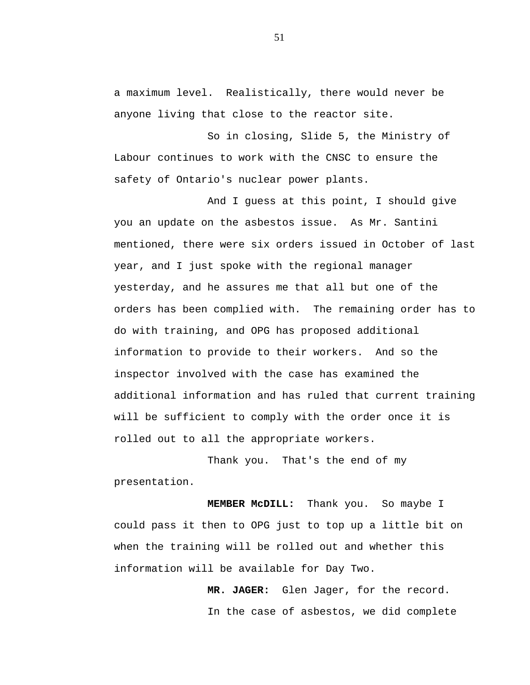a maximum level. Realistically, there would never be anyone living that close to the reactor site.

So in closing, Slide 5, the Ministry of Labour continues to work with the CNSC to ensure the safety of Ontario's nuclear power plants.

And I guess at this point, I should give you an update on the asbestos issue. As Mr. Santini mentioned, there were six orders issued in October of last year, and I just spoke with the regional manager yesterday, and he assures me that all but one of the orders has been complied with. The remaining order has to do with training, and OPG has proposed additional information to provide to their workers. And so the inspector involved with the case has examined the additional information and has ruled that current training will be sufficient to comply with the order once it is rolled out to all the appropriate workers.

Thank you. That's the end of my presentation.

**MEMBER McDILL:** Thank you. So maybe I could pass it then to OPG just to top up a little bit on when the training will be rolled out and whether this information will be available for Day Two.

> **MR. JAGER:** Glen Jager, for the record. In the case of asbestos, we did complete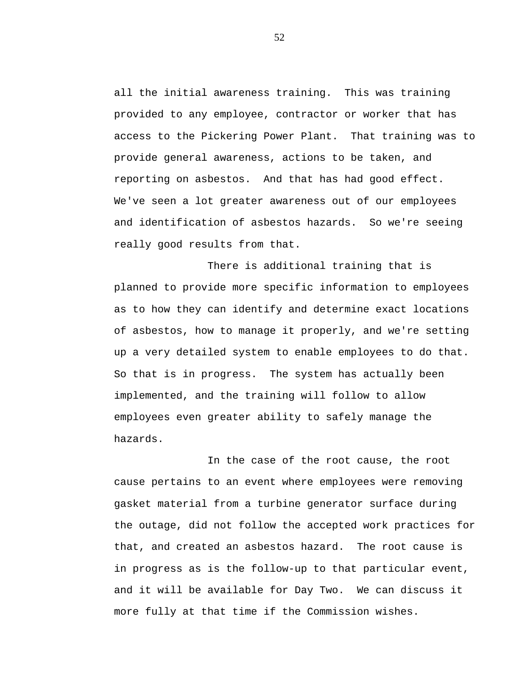all the initial awareness training. This was training provided to any employee, contractor or worker that has access to the Pickering Power Plant. That training was to provide general awareness, actions to be taken, and reporting on asbestos. And that has had good effect. We've seen a lot greater awareness out of our employees and identification of asbestos hazards. So we're seeing really good results from that.

There is additional training that is planned to provide more specific information to employees as to how they can identify and determine exact locations of asbestos, how to manage it properly, and we're setting up a very detailed system to enable employees to do that. So that is in progress. The system has actually been implemented, and the training will follow to allow employees even greater ability to safely manage the hazards.

In the case of the root cause, the root cause pertains to an event where employees were removing gasket material from a turbine generator surface during the outage, did not follow the accepted work practices for that, and created an asbestos hazard. The root cause is in progress as is the follow-up to that particular event, and it will be available for Day Two. We can discuss it more fully at that time if the Commission wishes.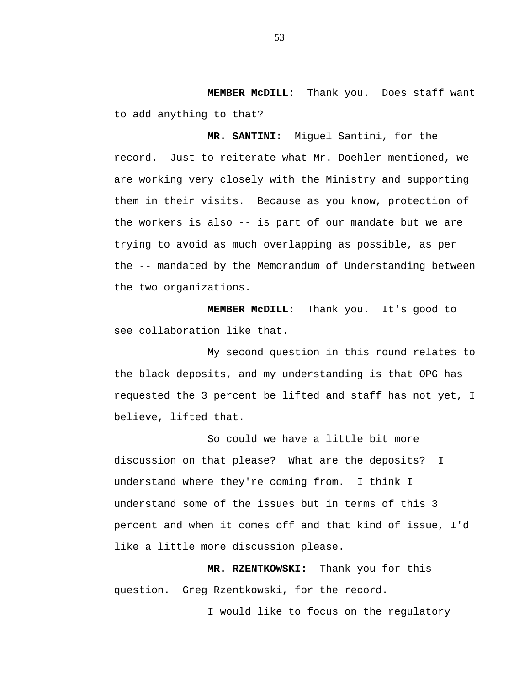**MEMBER McDILL:** Thank you. Does staff want to add anything to that?

**MR. SANTINI:** Miguel Santini, for the record. Just to reiterate what Mr. Doehler mentioned, we are working very closely with the Ministry and supporting them in their visits. Because as you know, protection of the workers is also -- is part of our mandate but we are trying to avoid as much overlapping as possible, as per the -- mandated by the Memorandum of Understanding between the two organizations.

**MEMBER McDILL:** Thank you. It's good to see collaboration like that.

My second question in this round relates to the black deposits, and my understanding is that OPG has requested the 3 percent be lifted and staff has not yet, I believe, lifted that.

So could we have a little bit more discussion on that please? What are the deposits? I understand where they're coming from. I think I understand some of the issues but in terms of this 3 percent and when it comes off and that kind of issue, I'd like a little more discussion please.

**MR. RZENTKOWSKI:** Thank you for this question. Greg Rzentkowski, for the record.

I would like to focus on the regulatory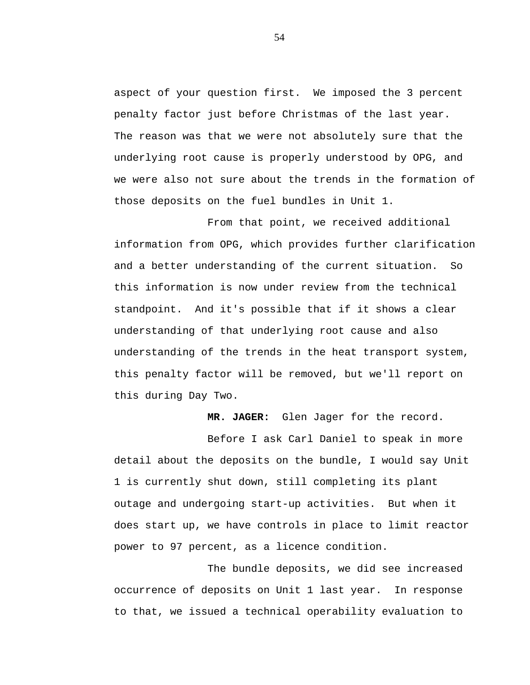aspect of your question first. We imposed the 3 percent penalty factor just before Christmas of the last year. The reason was that we were not absolutely sure that the underlying root cause is properly understood by OPG, and we were also not sure about the trends in the formation of those deposits on the fuel bundles in Unit 1.

From that point, we received additional information from OPG, which provides further clarification and a better understanding of the current situation. So this information is now under review from the technical standpoint. And it's possible that if it shows a clear understanding of that underlying root cause and also understanding of the trends in the heat transport system, this penalty factor will be removed, but we'll report on this during Day Two.

**MR. JAGER:** Glen Jager for the record.

Before I ask Carl Daniel to speak in more detail about the deposits on the bundle, I would say Unit 1 is currently shut down, still completing its plant outage and undergoing start-up activities. But when it does start up, we have controls in place to limit reactor power to 97 percent, as a licence condition.

The bundle deposits, we did see increased occurrence of deposits on Unit 1 last year. In response to that, we issued a technical operability evaluation to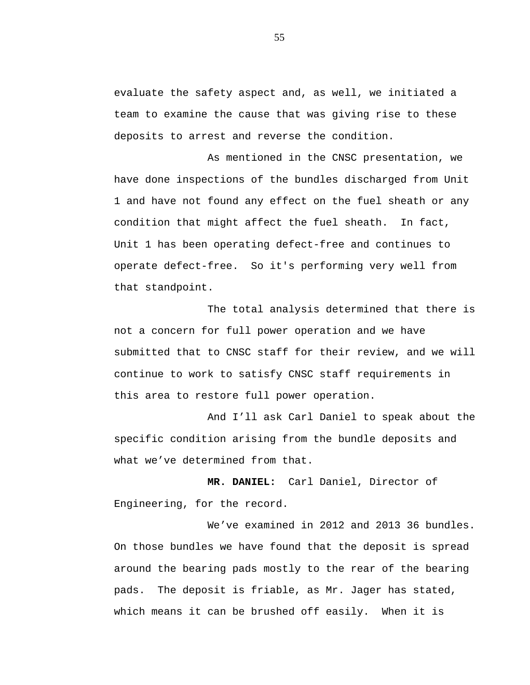evaluate the safety aspect and, as well, we initiated a team to examine the cause that was giving rise to these deposits to arrest and reverse the condition.

As mentioned in the CNSC presentation, we have done inspections of the bundles discharged from Unit 1 and have not found any effect on the fuel sheath or any condition that might affect the fuel sheath. In fact, Unit 1 has been operating defect-free and continues to operate defect-free. So it's performing very well from that standpoint.

The total analysis determined that there is not a concern for full power operation and we have submitted that to CNSC staff for their review, and we will continue to work to satisfy CNSC staff requirements in this area to restore full power operation.

And I'll ask Carl Daniel to speak about the specific condition arising from the bundle deposits and what we've determined from that.

**MR. DANIEL:** Carl Daniel, Director of Engineering, for the record.

We've examined in 2012 and 2013 36 bundles. On those bundles we have found that the deposit is spread around the bearing pads mostly to the rear of the bearing pads. The deposit is friable, as Mr. Jager has stated, which means it can be brushed off easily. When it is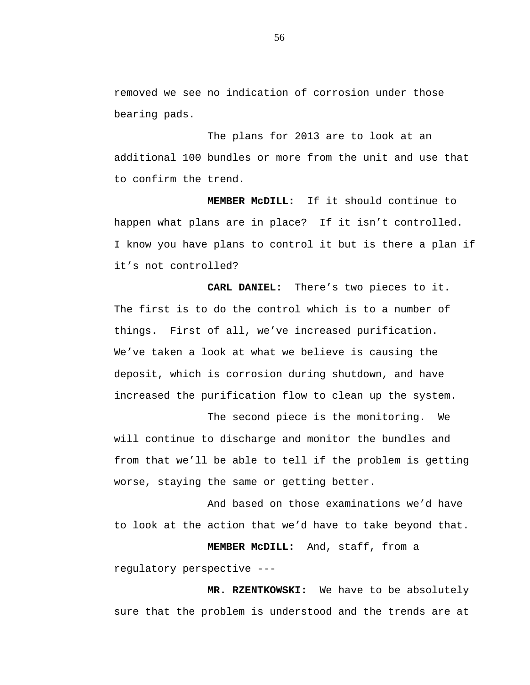removed we see no indication of corrosion under those bearing pads.

The plans for 2013 are to look at an additional 100 bundles or more from the unit and use that to confirm the trend.

**MEMBER McDILL:** If it should continue to happen what plans are in place? If it isn't controlled. I know you have plans to control it but is there a plan if it's not controlled?

 **CARL DANIEL:** There's two pieces to it. The first is to do the control which is to a number of things. First of all, we've increased purification. We've taken a look at what we believe is causing the deposit, which is corrosion during shutdown, and have increased the purification flow to clean up the system.

The second piece is the monitoring. We will continue to discharge and monitor the bundles and from that we'll be able to tell if the problem is getting worse, staying the same or getting better.

And based on those examinations we'd have to look at the action that we'd have to take beyond that.

**MEMBER McDILL:** And, staff, from a regulatory perspective ---

**MR. RZENTKOWSKI:** We have to be absolutely sure that the problem is understood and the trends are at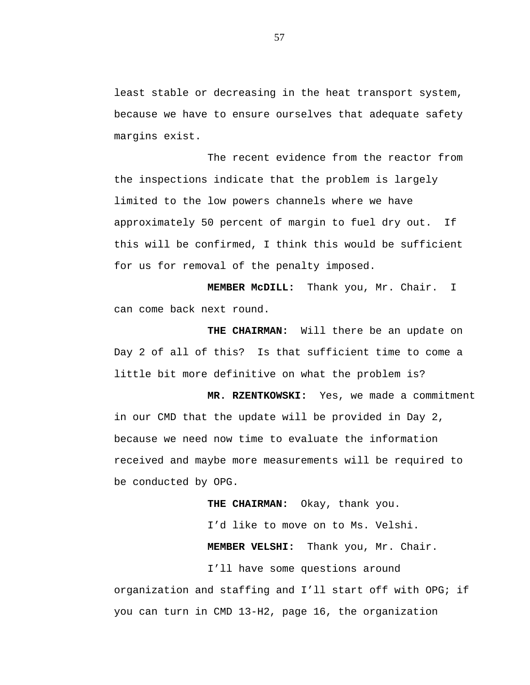least stable or decreasing in the heat transport system, because we have to ensure ourselves that adequate safety margins exist.

The recent evidence from the reactor from the inspections indicate that the problem is largely limited to the low powers channels where we have approximately 50 percent of margin to fuel dry out. If this will be confirmed, I think this would be sufficient for us for removal of the penalty imposed.

**MEMBER McDILL:** Thank you, Mr. Chair. I can come back next round.

**THE CHAIRMAN:** Will there be an update on Day 2 of all of this? Is that sufficient time to come a little bit more definitive on what the problem is?

**MR. RZENTKOWSKI:** Yes, we made a commitment in our CMD that the update will be provided in Day 2, because we need now time to evaluate the information received and maybe more measurements will be required to be conducted by OPG.

**THE CHAIRMAN:** Okay, thank you.

I'd like to move on to Ms. Velshi. **MEMBER VELSHI:** Thank you, Mr. Chair.

I'll have some questions around organization and staffing and I'll start off with OPG; if you can turn in CMD 13-H2, page 16, the organization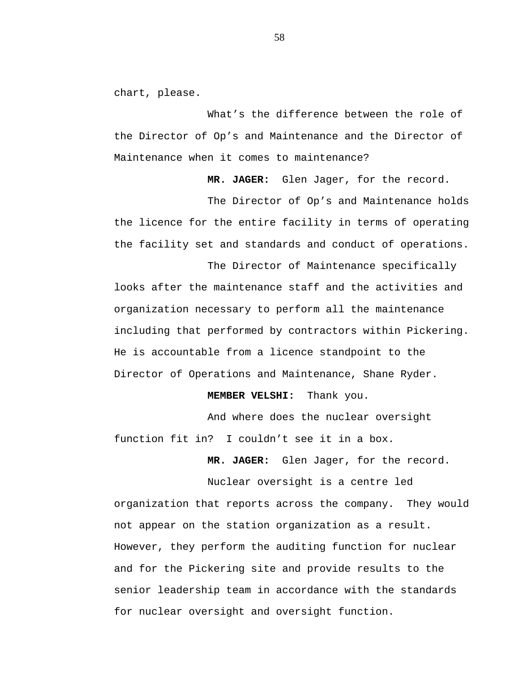chart, please.

What's the difference between the role of the Director of Op's and Maintenance and the Director of Maintenance when it comes to maintenance?

**MR. JAGER:** Glen Jager, for the record.

The Director of Op's and Maintenance holds the licence for the entire facility in terms of operating the facility set and standards and conduct of operations.

The Director of Maintenance specifically looks after the maintenance staff and the activities and organization necessary to perform all the maintenance including that performed by contractors within Pickering. He is accountable from a licence standpoint to the Director of Operations and Maintenance, Shane Ryder.

**MEMBER VELSHI:** Thank you.

And where does the nuclear oversight function fit in? I couldn't see it in a box.

**MR. JAGER:** Glen Jager, for the record.

Nuclear oversight is a centre led organization that reports across the company. They would not appear on the station organization as a result. However, they perform the auditing function for nuclear and for the Pickering site and provide results to the senior leadership team in accordance with the standards for nuclear oversight and oversight function.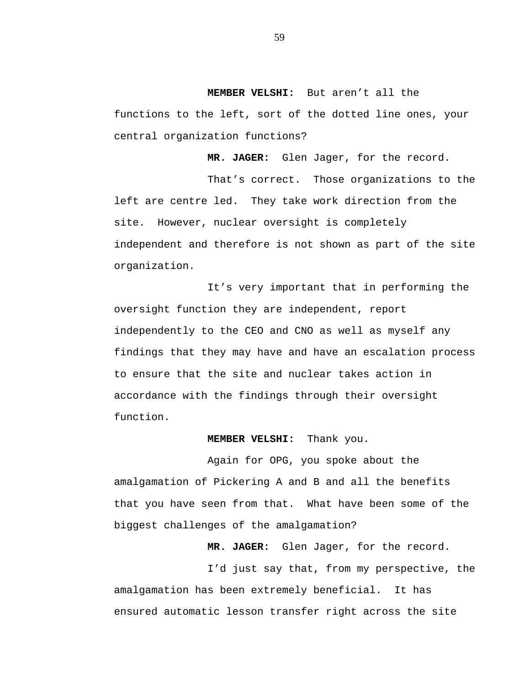**MEMBER VELSHI:** But aren't all the

functions to the left, sort of the dotted line ones, your central organization functions?

**MR. JAGER:** Glen Jager, for the record.

That's correct. Those organizations to the left are centre led. They take work direction from the site. However, nuclear oversight is completely independent and therefore is not shown as part of the site organization.

It's very important that in performing the oversight function they are independent, report independently to the CEO and CNO as well as myself any findings that they may have and have an escalation process to ensure that the site and nuclear takes action in accordance with the findings through their oversight function.

## **MEMBER VELSHI:** Thank you.

Again for OPG, you spoke about the amalgamation of Pickering A and B and all the benefits that you have seen from that. What have been some of the biggest challenges of the amalgamation?

**MR. JAGER:** Glen Jager, for the record.

I'd just say that, from my perspective, the amalgamation has been extremely beneficial. It has ensured automatic lesson transfer right across the site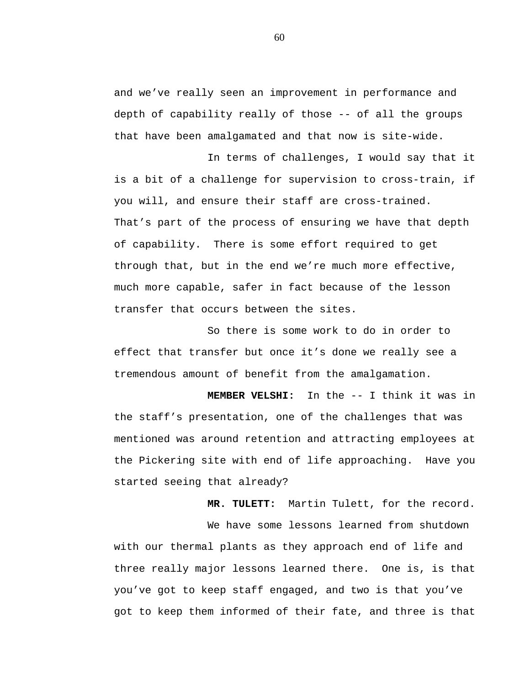and we've really seen an improvement in performance and depth of capability really of those -- of all the groups that have been amalgamated and that now is site-wide.

In terms of challenges, I would say that it is a bit of a challenge for supervision to cross-train, if you will, and ensure their staff are cross-trained. That's part of the process of ensuring we have that depth of capability. There is some effort required to get through that, but in the end we're much more effective, much more capable, safer in fact because of the lesson transfer that occurs between the sites.

So there is some work to do in order to effect that transfer but once it's done we really see a tremendous amount of benefit from the amalgamation.

**MEMBER VELSHI:** In the -- I think it was in the staff's presentation, one of the challenges that was mentioned was around retention and attracting employees at the Pickering site with end of life approaching. Have you started seeing that already?

**MR. TULETT:** Martin Tulett, for the record. We have some lessons learned from shutdown with our thermal plants as they approach end of life and three really major lessons learned there. One is, is that you've got to keep staff engaged, and two is that you've got to keep them informed of their fate, and three is that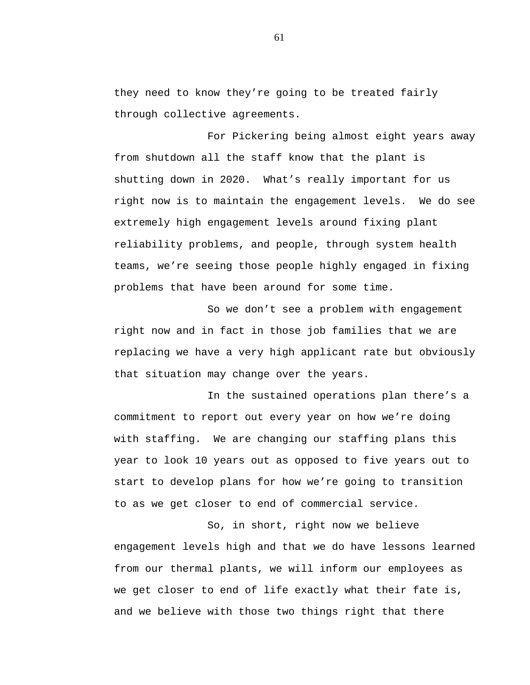they need to know they're going to be treated fairly through collective agreements.

For Pickering being almost eight years away from shutdown all the staff know that the plant is shutting down in 2020. What's really important for us right now is to maintain the engagement levels. We do see extremely high engagement levels around fixing plant reliability problems, and people, through system health teams, we're seeing those people highly engaged in fixing problems that have been around for some time.

So we don't see a problem with engagement right now and in fact in those job families that we are replacing we have a very high applicant rate but obviously that situation may change over the years.

In the sustained operations plan there's a commitment to report out every year on how we're doing with staffing. We are changing our staffing plans this year to look 10 years out as opposed to five years out to start to develop plans for how we're going to transition to as we get closer to end of commercial service.

So, in short, right now we believe engagement levels high and that we do have lessons learned from our thermal plants, we will inform our employees as we get closer to end of life exactly what their fate is, and we believe with those two things right that there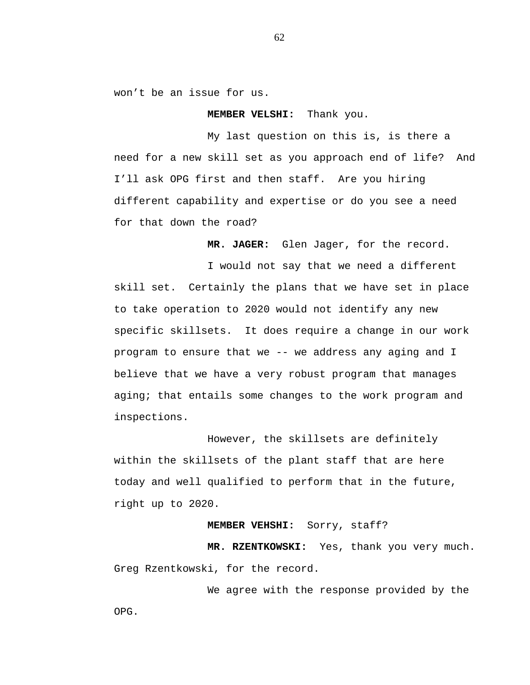won't be an issue for us.

## **MEMBER VELSHI:** Thank you.

My last question on this is, is there a need for a new skill set as you approach end of life? And I'll ask OPG first and then staff. Are you hiring different capability and expertise or do you see a need for that down the road?

**MR. JAGER:** Glen Jager, for the record.

I would not say that we need a different skill set. Certainly the plans that we have set in place to take operation to 2020 would not identify any new specific skillsets. It does require a change in our work program to ensure that we -- we address any aging and I believe that we have a very robust program that manages aging; that entails some changes to the work program and inspections.

However, the skillsets are definitely within the skillsets of the plant staff that are here today and well qualified to perform that in the future, right up to 2020.

## **MEMBER VEHSHI:** Sorry, staff?

**MR. RZENTKOWSKI:** Yes, thank you very much. Greg Rzentkowski, for the record.

We agree with the response provided by the OPG.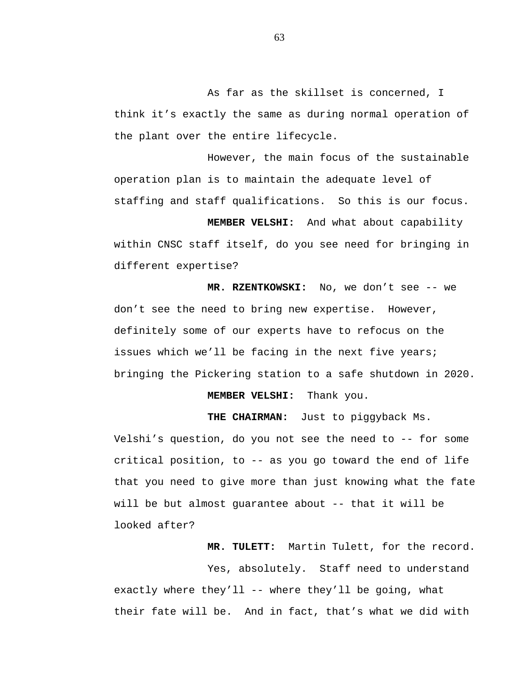As far as the skillset is concerned, I think it's exactly the same as during normal operation of the plant over the entire lifecycle.

However, the main focus of the sustainable operation plan is to maintain the adequate level of staffing and staff qualifications. So this is our focus.

**MEMBER VELSHI:** And what about capability within CNSC staff itself, do you see need for bringing in different expertise?

**MR. RZENTKOWSKI:** No, we don't see -- we don't see the need to bring new expertise. However, definitely some of our experts have to refocus on the issues which we'll be facing in the next five years; bringing the Pickering station to a safe shutdown in 2020.

**MEMBER VELSHI:** Thank you.

**THE CHAIRMAN:** Just to piggyback Ms.

Velshi's question, do you not see the need to -- for some critical position, to -- as you go toward the end of life that you need to give more than just knowing what the fate will be but almost guarantee about -- that it will be looked after?

**MR. TULETT:** Martin Tulett, for the record.

Yes, absolutely. Staff need to understand exactly where they'll -- where they'll be going, what their fate will be. And in fact, that's what we did with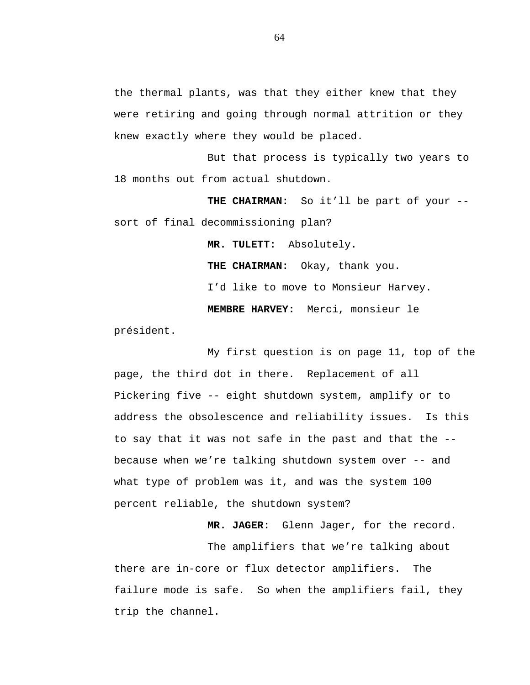the thermal plants, was that they either knew that they were retiring and going through normal attrition or they knew exactly where they would be placed.

But that process is typically two years to 18 months out from actual shutdown.

**THE CHAIRMAN:** So it'll be part of your - sort of final decommissioning plan?

> **MR. TULETT:** Absolutely. **THE CHAIRMAN:** Okay, thank you. I'd like to move to Monsieur Harvey. **MEMBRE HARVEY:** Merci, monsieur le

président.

My first question is on page 11, top of the page, the third dot in there. Replacement of all Pickering five -- eight shutdown system, amplify or to address the obsolescence and reliability issues. Is this to say that it was not safe in the past and that the - because when we're talking shutdown system over -- and what type of problem was it, and was the system 100 percent reliable, the shutdown system?

**MR. JAGER:** Glenn Jager, for the record.

The amplifiers that we're talking about there are in-core or flux detector amplifiers. The failure mode is safe. So when the amplifiers fail, they trip the channel.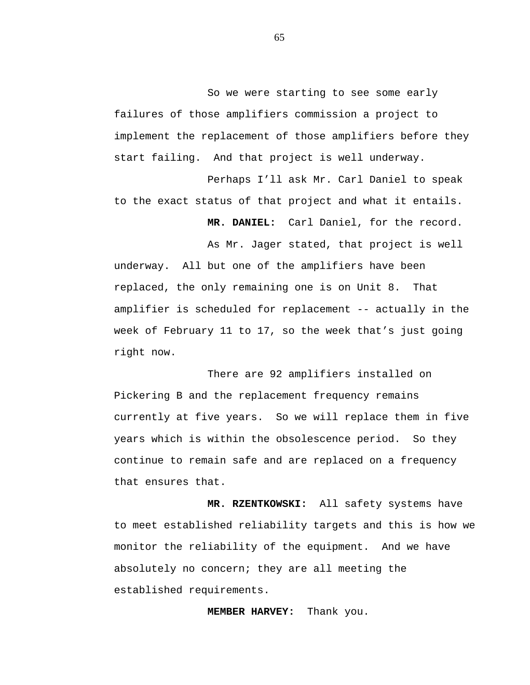So we were starting to see some early failures of those amplifiers commission a project to implement the replacement of those amplifiers before they start failing. And that project is well underway.

Perhaps I'll ask Mr. Carl Daniel to speak to the exact status of that project and what it entails.

**MR. DANIEL:** Carl Daniel, for the record.

As Mr. Jager stated, that project is well underway. All but one of the amplifiers have been replaced, the only remaining one is on Unit 8. That amplifier is scheduled for replacement -- actually in the week of February 11 to 17, so the week that's just going right now.

There are 92 amplifiers installed on Pickering B and the replacement frequency remains currently at five years. So we will replace them in five years which is within the obsolescence period. So they continue to remain safe and are replaced on a frequency that ensures that.

**MR. RZENTKOWSKI:** All safety systems have to meet established reliability targets and this is how we monitor the reliability of the equipment. And we have absolutely no concern; they are all meeting the established requirements.

**MEMBER HARVEY:** Thank you.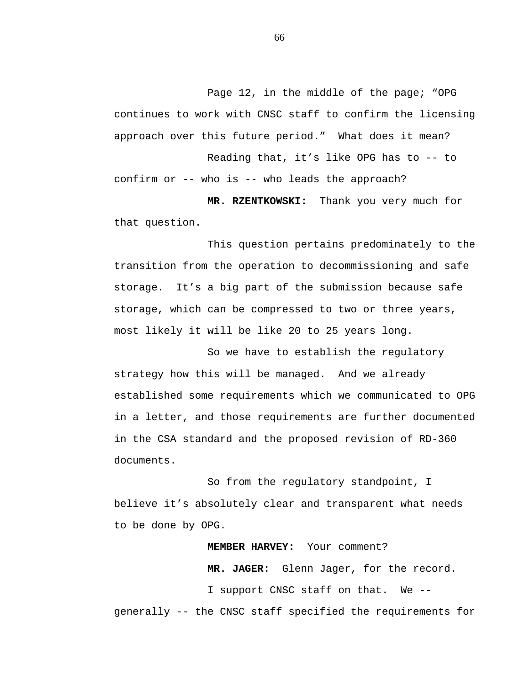Page 12, in the middle of the page; "OPG continues to work with CNSC staff to confirm the licensing approach over this future period." What does it mean? Reading that, it's like OPG has to -- to confirm or -- who is -- who leads the approach?

**MR. RZENTKOWSKI:** Thank you very much for that question.

This question pertains predominately to the transition from the operation to decommissioning and safe storage. It's a big part of the submission because safe storage, which can be compressed to two or three years, most likely it will be like 20 to 25 years long.

So we have to establish the regulatory strategy how this will be managed. And we already established some requirements which we communicated to OPG in a letter, and those requirements are further documented in the CSA standard and the proposed revision of RD-360 documents.

So from the regulatory standpoint, I believe it's absolutely clear and transparent what needs to be done by OPG.

**MEMBER HARVEY:** Your comment? **MR. JAGER:** Glenn Jager, for the record. I support CNSC staff on that. We - generally -- the CNSC staff specified the requirements for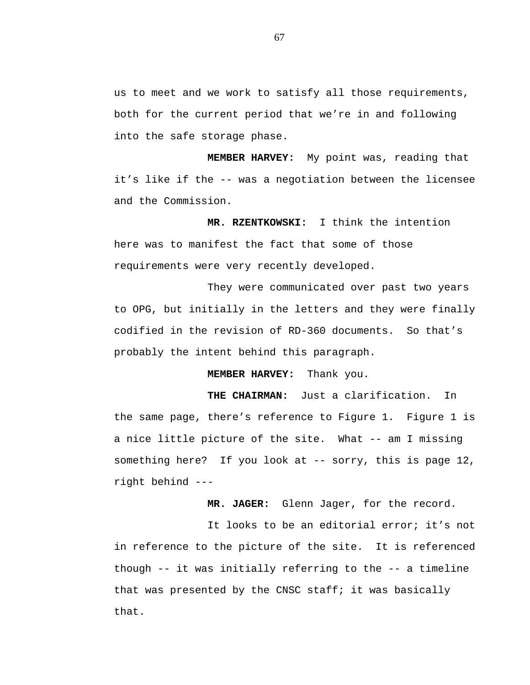us to meet and we work to satisfy all those requirements, both for the current period that we're in and following into the safe storage phase.

**MEMBER HARVEY:** My point was, reading that it's like if the -- was a negotiation between the licensee and the Commission.

**MR. RZENTKOWSKI:** I think the intention here was to manifest the fact that some of those requirements were very recently developed.

They were communicated over past two years to OPG, but initially in the letters and they were finally codified in the revision of RD-360 documents. So that's probably the intent behind this paragraph.

**MEMBER HARVEY:** Thank you.

 **THE CHAIRMAN:** Just a clarification. In the same page, there's reference to Figure 1. Figure 1 is a nice little picture of the site. What -- am I missing something here? If you look at -- sorry, this is page 12, right behind ---

**MR. JAGER:** Glenn Jager, for the record.

It looks to be an editorial error; it's not in reference to the picture of the site. It is referenced though -- it was initially referring to the -- a timeline that was presented by the CNSC staff; it was basically that.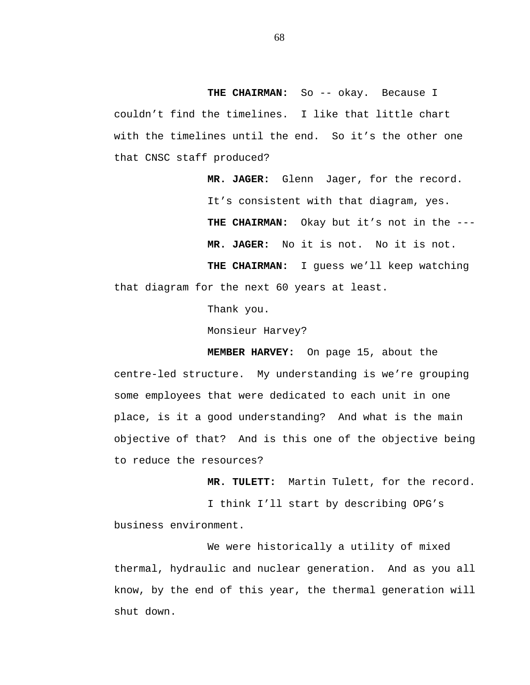THE CHAIRMAN: So -- okay. Because I couldn't find the timelines. I like that little chart with the timelines until the end. So it's the other one that CNSC staff produced?

**MR. JAGER:** Glenn Jager, for the record. It's consistent with that diagram, yes. **THE CHAIRMAN:** Okay but it's not in the --- **MR. JAGER:** No it is not. No it is not. **THE CHAIRMAN:** I guess we'll keep watching that diagram for the next 60 years at least.<br>Thank you.

Monsieur Harvey?

**MEMBER HARVEY:** On page 15, about the centre-led structure. My understanding is we're grouping some employees that were dedicated to each unit in one place, is it a good understanding? And what is the main objective of that? And is this one of the objective being to reduce the resources?

**MR. TULETT:** Martin Tulett, for the record.

I think I'll start by describing OPG's business environment.

We were historically a utility of mixed thermal, hydraulic and nuclear generation. And as you all know, by the end of this year, the thermal generation will shut down.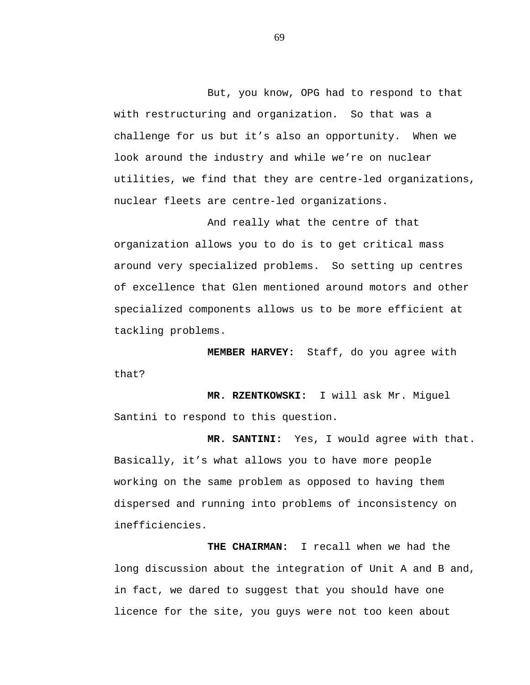But, you know, OPG had to respond to that with restructuring and organization. So that was a challenge for us but it's also an opportunity. When we look around the industry and while we're on nuclear utilities, we find that they are centre-led organizations, nuclear fleets are centre-led organizations.

And really what the centre of that organization allows you to do is to get critical mass around very specialized problems. So setting up centres of excellence that Glen mentioned around motors and other specialized components allows us to be more efficient at tackling problems.

**MEMBER HARVEY:** Staff, do you agree with that?

**MR. RZENTKOWSKI:** I will ask Mr. Miguel Santini to respond to this question.

**MR. SANTINI:** Yes, I would agree with that. Basically, it's what allows you to have more people working on the same problem as opposed to having them dispersed and running into problems of inconsistency on inefficiencies.

**THE CHAIRMAN:** I recall when we had the long discussion about the integration of Unit A and B and, in fact, we dared to suggest that you should have one licence for the site, you guys were not too keen about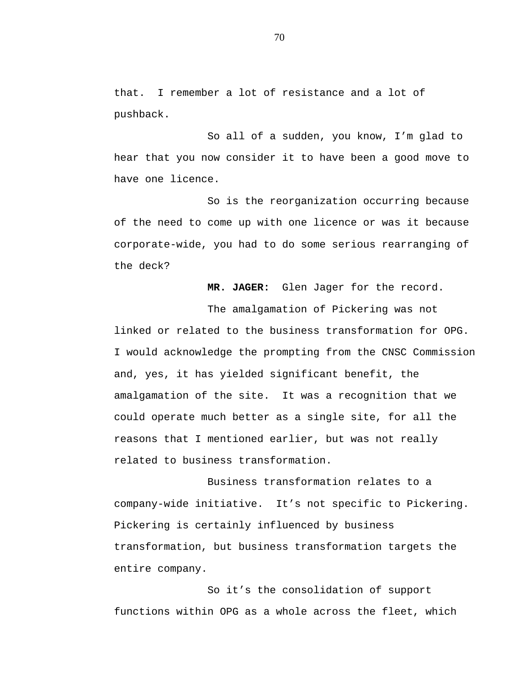that. I remember a lot of resistance and a lot of pushback.

So all of a sudden, you know, I'm glad to hear that you now consider it to have been a good move to have one licence.

So is the reorganization occurring because of the need to come up with one licence or was it because corporate-wide, you had to do some serious rearranging of the deck?

**MR. JAGER:** Glen Jager for the record.

The amalgamation of Pickering was not linked or related to the business transformation for OPG. I would acknowledge the prompting from the CNSC Commission and, yes, it has yielded significant benefit, the amalgamation of the site. It was a recognition that we could operate much better as a single site, for all the reasons that I mentioned earlier, but was not really related to business transformation.

Business transformation relates to a company-wide initiative. It's not specific to Pickering. Pickering is certainly influenced by business transformation, but business transformation targets the entire company.

So it's the consolidation of support functions within OPG as a whole across the fleet, which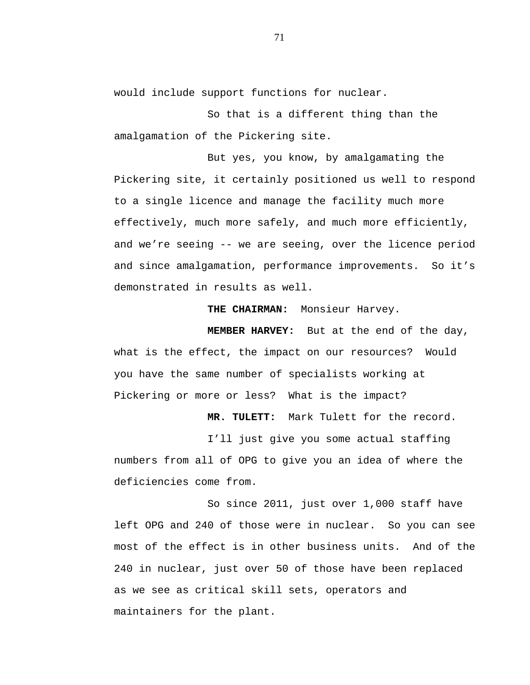would include support functions for nuclear.

So that is a different thing than the amalgamation of the Pickering site.

But yes, you know, by amalgamating the Pickering site, it certainly positioned us well to respond to a single licence and manage the facility much more effectively, much more safely, and much more efficiently, and we're seeing -- we are seeing, over the licence period and since amalgamation, performance improvements. So it's demonstrated in results as well.

**THE CHAIRMAN:** Monsieur Harvey.

**MEMBER HARVEY:** But at the end of the day, what is the effect, the impact on our resources? Would you have the same number of specialists working at Pickering or more or less? What is the impact?

**MR. TULETT:** Mark Tulett for the record.

I'll just give you some actual staffing numbers from all of OPG to give you an idea of where the deficiencies come from.

So since 2011, just over 1,000 staff have left OPG and 240 of those were in nuclear. So you can see most of the effect is in other business units. And of the 240 in nuclear, just over 50 of those have been replaced as we see as critical skill sets, operators and maintainers for the plant.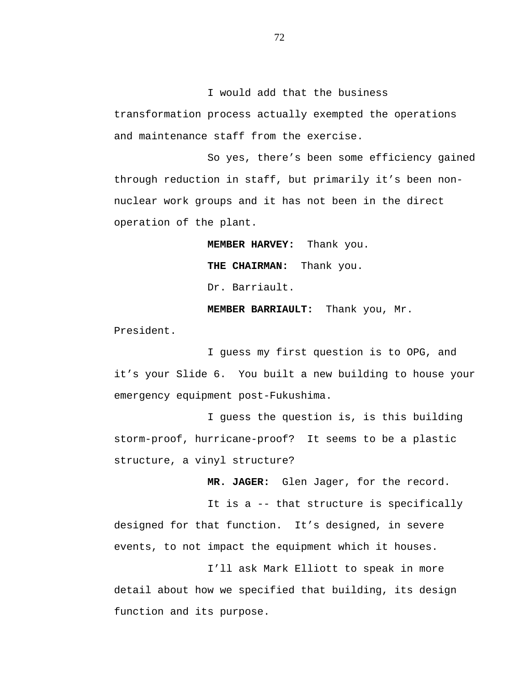I would add that the business transformation process actually exempted the operations and maintenance staff from the exercise.

So yes, there's been some efficiency gained through reduction in staff, but primarily it's been nonnuclear work groups and it has not been in the direct operation of the plant.

> **MEMBER HARVEY:** Thank you. **THE CHAIRMAN:** Thank you. Dr. Barriault.

**MEMBER BARRIAULT:** Thank you, Mr.

President.

I guess my first question is to OPG, and it's your Slide 6. You built a new building to house your emergency equipment post-Fukushima.

I guess the question is, is this building storm-proof, hurricane-proof? It seems to be a plastic structure, a vinyl structure?

**MR. JAGER:** Glen Jager, for the record.

It is a -- that structure is specifically designed for that function. It's designed, in severe events, to not impact the equipment which it houses.

I'll ask Mark Elliott to speak in more detail about how we specified that building, its design function and its purpose.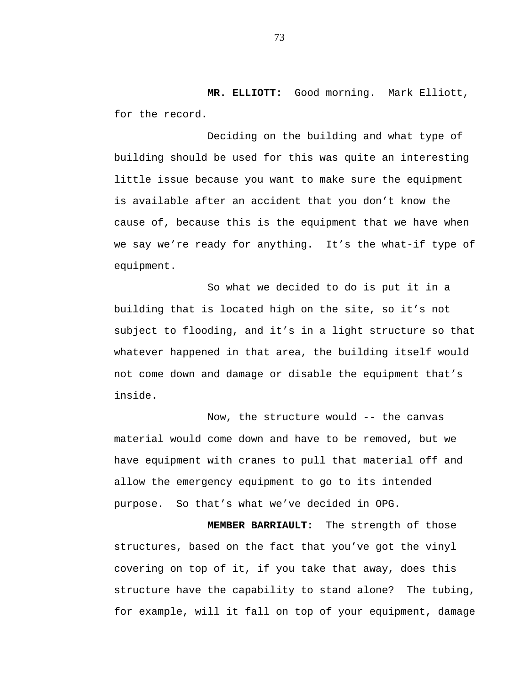**MR. ELLIOTT:** Good morning. Mark Elliott, for the record.

Deciding on the building and what type of building should be used for this was quite an interesting little issue because you want to make sure the equipment is available after an accident that you don't know the cause of, because this is the equipment that we have when we say we're ready for anything. It's the what-if type of equipment.

So what we decided to do is put it in a building that is located high on the site, so it's not subject to flooding, and it's in a light structure so that whatever happened in that area, the building itself would not come down and damage or disable the equipment that's inside.

Now, the structure would -- the canvas material would come down and have to be removed, but we have equipment with cranes to pull that material off and allow the emergency equipment to go to its intended purpose. So that's what we've decided in OPG.

**MEMBER BARRIAULT:** The strength of those structures, based on the fact that you've got the vinyl covering on top of it, if you take that away, does this structure have the capability to stand alone? The tubing, for example, will it fall on top of your equipment, damage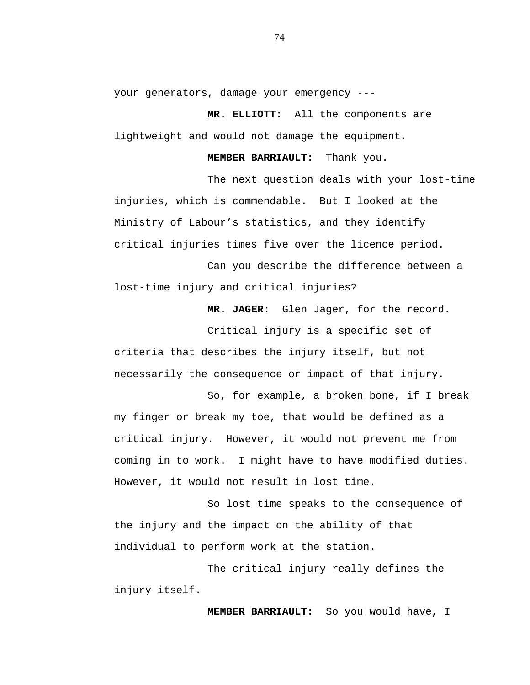your generators, damage your emergency ---

**MR. ELLIOTT:** All the components are lightweight and would not damage the equipment.

**MEMBER BARRIAULT:** Thank you.

The next question deals with your lost-time injuries, which is commendable. But I looked at the Ministry of Labour's statistics, and they identify critical injuries times five over the licence period.

Can you describe the difference between a lost-time injury and critical injuries?

**MR. JAGER:** Glen Jager, for the record.

Critical injury is a specific set of criteria that describes the injury itself, but not necessarily the consequence or impact of that injury.

So, for example, a broken bone, if I break my finger or break my toe, that would be defined as a critical injury. However, it would not prevent me from coming in to work. I might have to have modified duties. However, it would not result in lost time.

So lost time speaks to the consequence of the injury and the impact on the ability of that individual to perform work at the station.

The critical injury really defines the injury itself.

**MEMBER BARRIAULT:** So you would have, I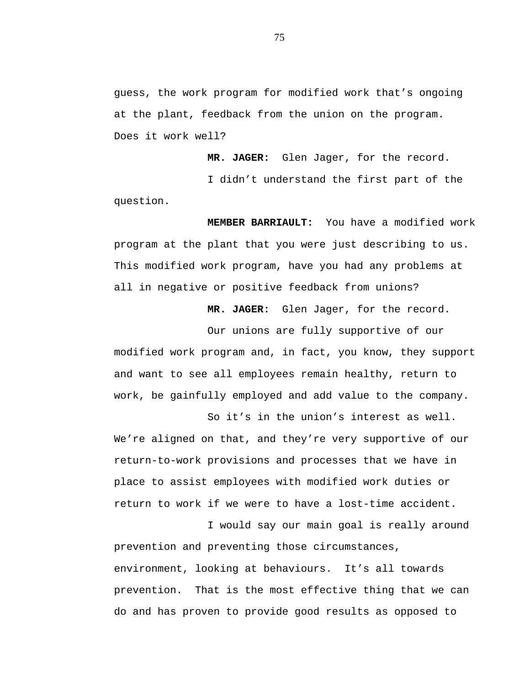guess, the work program for modified work that's ongoing at the plant, feedback from the union on the program. Does it work well?

I didn't understand the first part of the question.

**MEMBER BARRIAULT:** You have a modified work program at the plant that you were just describing to us. This modified work program, have you had any problems at all in negative or positive feedback from unions?

**MR. JAGER:** Glen Jager, for the record.

**MR. JAGER:** Glen Jager, for the record.

Our unions are fully supportive of our modified work program and, in fact, you know, they support and want to see all employees remain healthy, return to work, be gainfully employed and add value to the company.

So it's in the union's interest as well. We're aligned on that, and they're very supportive of our return-to-work provisions and processes that we have in place to assist employees with modified work duties or return to work if we were to have a lost-time accident.

I would say our main goal is really around prevention and preventing those circumstances, environment, looking at behaviours. It's all towards prevention. That is the most effective thing that we can do and has proven to provide good results as opposed to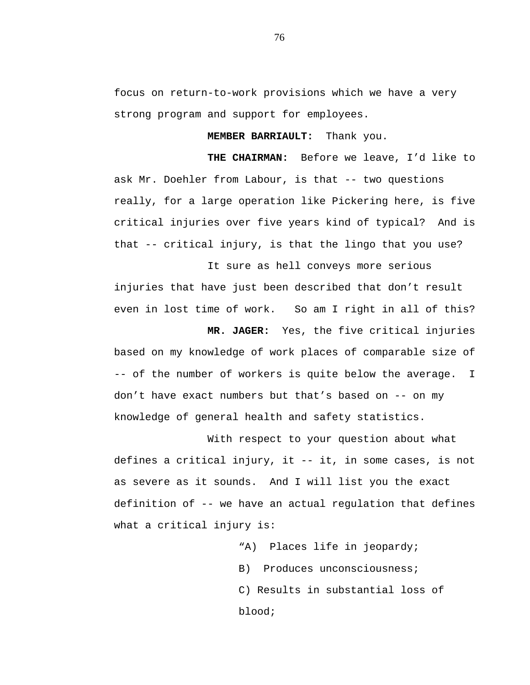focus on return-to-work provisions which we have a very strong program and support for employees.

**MEMBER BARRIAULT:** Thank you.

**THE CHAIRMAN:** Before we leave, I'd like to ask Mr. Doehler from Labour, is that -- two questions really, for a large operation like Pickering here, is five critical injuries over five years kind of typical? And is that -- critical injury, is that the lingo that you use?

It sure as hell conveys more serious injuries that have just been described that don't result even in lost time of work. So am I right in all of this?

**MR. JAGER:** Yes, the five critical injuries based on my knowledge of work places of comparable size of -- of the number of workers is quite below the average. I don't have exact numbers but that's based on -- on my knowledge of general health and safety statistics.

With respect to your question about what defines a critical injury, it -- it, in some cases, is not as severe as it sounds. And I will list you the exact definition of -- we have an actual regulation that defines what a critical injury is:

> "A) Places life in jeopardy; B) Produces unconsciousness; C) Results in substantial loss of blood;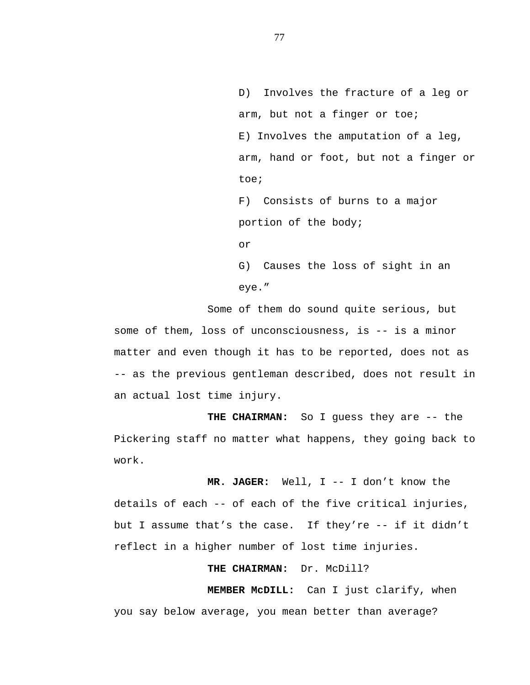D) Involves the fracture of a leg or arm, but not a finger or toe; E) Involves the amputation of a leg, arm, hand or foot, but not a finger or toe;

F) Consists of burns to a major portion of the body;

or

G) Causes the loss of sight in an eye."

Some of them do sound quite serious, but some of them, loss of unconsciousness, is -- is a minor matter and even though it has to be reported, does not as -- as the previous gentleman described, does not result in an actual lost time injury.

**THE CHAIRMAN:** So I guess they are -- the Pickering staff no matter what happens, they going back to work.

**MR. JAGER:** Well, I -- I don't know the details of each -- of each of the five critical injuries, but I assume that's the case. If they're -- if it didn't reflect in a higher number of lost time injuries.

# **THE CHAIRMAN:** Dr. McDill?

**MEMBER McDILL:** Can I just clarify, when you say below average, you mean better than average?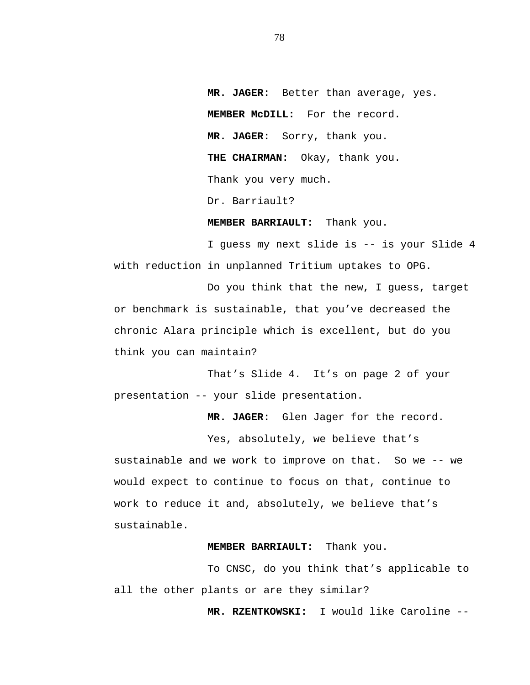**MR. JAGER:** Better than average, yes. **MEMBER McDILL:** For the record. **MR. JAGER:** Sorry, thank you. **THE CHAIRMAN:** Okay, thank you. Thank you very much. Dr. Barriault?

**MEMBER BARRIAULT:** Thank you.

I guess my next slide is -- is your Slide 4 with reduction in unplanned Tritium uptakes to OPG.

Do you think that the new, I guess, target or benchmark is sustainable, that you've decreased the chronic Alara principle which is excellent, but do you think you can maintain?

That's Slide 4. It's on page 2 of your presentation -- your slide presentation.

**MR. JAGER:** Glen Jager for the record.

Yes, absolutely, we believe that's

sustainable and we work to improve on that. So we -- we would expect to continue to focus on that, continue to work to reduce it and, absolutely, we believe that's sustainable.

# **MEMBER BARRIAULT:** Thank you.

To CNSC, do you think that's applicable to all the other plants or are they similar?

**MR. RZENTKOWSKI:** I would like Caroline --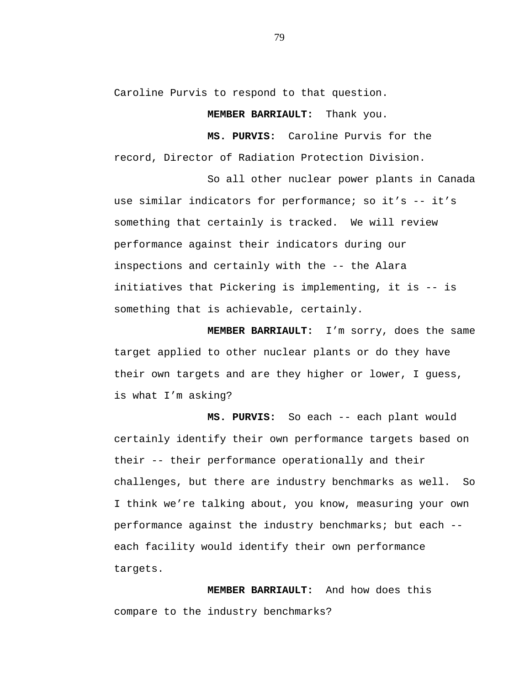Caroline Purvis to respond to that question.

**MEMBER BARRIAULT:** Thank you.

**MS. PURVIS:** Caroline Purvis for the record, Director of Radiation Protection Division.

So all other nuclear power plants in Canada use similar indicators for performance; so it's -- it's something that certainly is tracked. We will review performance against their indicators during our inspections and certainly with the -- the Alara initiatives that Pickering is implementing, it is -- is something that is achievable, certainly.

**MEMBER BARRIAULT:** I'm sorry, does the same target applied to other nuclear plants or do they have their own targets and are they higher or lower, I guess, is what I'm asking?

**MS. PURVIS:** So each -- each plant would certainly identify their own performance targets based on their -- their performance operationally and their challenges, but there are industry benchmarks as well. So I think we're talking about, you know, measuring your own performance against the industry benchmarks; but each - each facility would identify their own performance targets.

**MEMBER BARRIAULT:** And how does this compare to the industry benchmarks?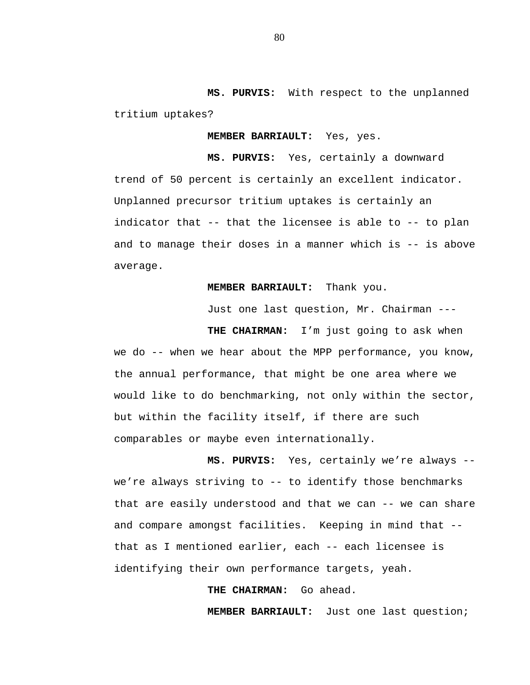**MS. PURVIS:** With respect to the unplanned tritium uptakes?

**MEMBER BARRIAULT:** Yes, yes.

**MS. PURVIS:** Yes, certainly a downward trend of 50 percent is certainly an excellent indicator. Unplanned precursor tritium uptakes is certainly an indicator that -- that the licensee is able to -- to plan and to manage their doses in a manner which is -- is above average.

**MEMBER BARRIAULT:** Thank you.

Just one last question, Mr. Chairman ---

**THE CHAIRMAN:** I'm just going to ask when we do -- when we hear about the MPP performance, you know, the annual performance, that might be one area where we would like to do benchmarking, not only within the sector, but within the facility itself, if there are such comparables or maybe even internationally.

**MS. PURVIS:** Yes, certainly we're always - we're always striving to -- to identify those benchmarks that are easily understood and that we can -- we can share and compare amongst facilities. Keeping in mind that - that as I mentioned earlier, each -- each licensee is identifying their own performance targets, yeah.

**THE CHAIRMAN:** Go ahead.

**MEMBER BARRIAULT:** Just one last question;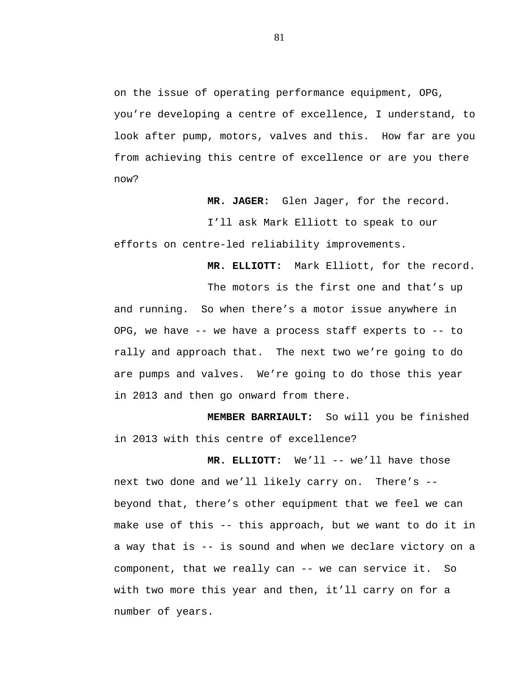on the issue of operating performance equipment, OPG, you're developing a centre of excellence, I understand, to look after pump, motors, valves and this. How far are you from achieving this centre of excellence or are you there now?

**MR. JAGER:** Glen Jager, for the record.

I'll ask Mark Elliott to speak to our efforts on centre-led reliability improvements.

**MR. ELLIOTT:** Mark Elliott, for the record.

The motors is the first one and that's up and running. So when there's a motor issue anywhere in OPG, we have -- we have a process staff experts to -- to rally and approach that. The next two we're going to do are pumps and valves. We're going to do those this year in 2013 and then go onward from there.

**MEMBER BARRIAULT:** So will you be finished in 2013 with this centre of excellence?

**MR. ELLIOTT:** We'll -- we'll have those next two done and we'll likely carry on. There's - beyond that, there's other equipment that we feel we can make use of this -- this approach, but we want to do it in a way that is -- is sound and when we declare victory on a component, that we really can -- we can service it. So with two more this year and then, it'll carry on for a number of years.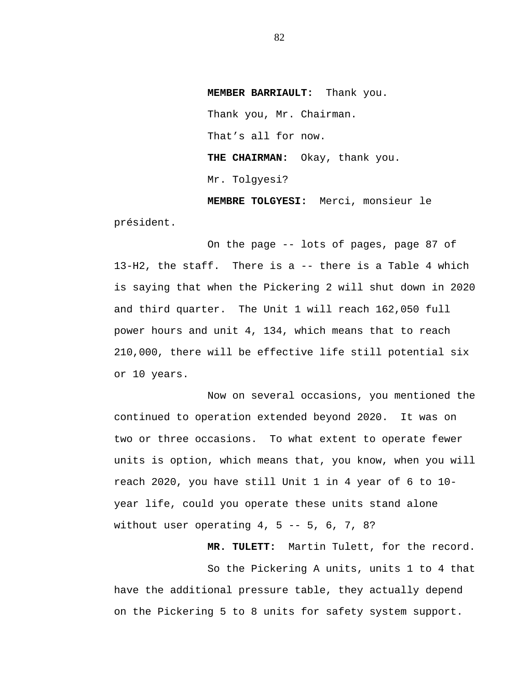**MEMBER BARRIAULT:** Thank you. Thank you, Mr. Chairman. That's all for now. **THE CHAIRMAN:** Okay, thank you. Mr. Tolgyesi?

**MEMBRE TOLGYESI:** Merci, monsieur le président.

On the page -- lots of pages, page 87 of 13-H2, the staff. There is a -- there is a Table 4 which is saying that when the Pickering 2 will shut down in 2020 and third quarter. The Unit 1 will reach 162,050 full power hours and unit 4, 134, which means that to reach 210,000, there will be effective life still potential six or 10 years.

Now on several occasions, you mentioned the continued to operation extended beyond 2020. It was on two or three occasions. To what extent to operate fewer units is option, which means that, you know, when you will reach 2020, you have still Unit 1 in 4 year of 6 to 10 year life, could you operate these units stand alone without user operating  $4, 5 -- 5, 6, 7, 8?$ 

**MR. TULETT:** Martin Tulett, for the record.

So the Pickering A units, units 1 to 4 that have the additional pressure table, they actually depend on the Pickering 5 to 8 units for safety system support.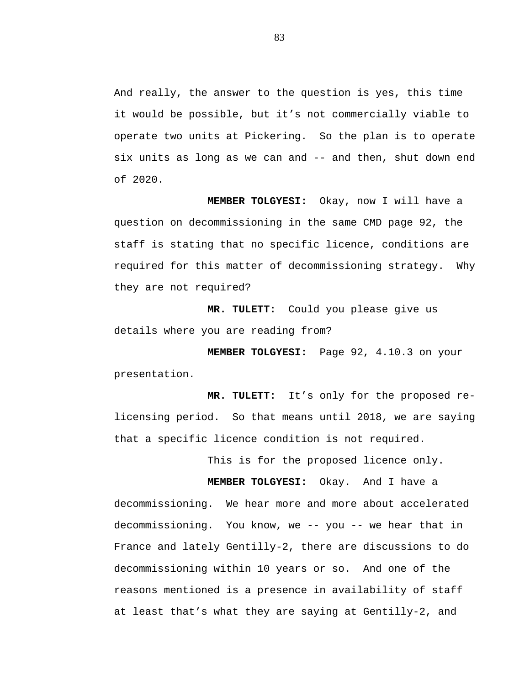And really, the answer to the question is yes, this time it would be possible, but it's not commercially viable to operate two units at Pickering. So the plan is to operate six units as long as we can and -- and then, shut down end of 2020.

**MEMBER TOLGYESI:** Okay, now I will have a question on decommissioning in the same CMD page 92, the staff is stating that no specific licence, conditions are required for this matter of decommissioning strategy. Why they are not required?

**MR. TULETT:** Could you please give us details where you are reading from?

**MEMBER TOLGYESI:** Page 92, 4.10.3 on your presentation.

**MR. TULETT:** It's only for the proposed relicensing period. So that means until 2018, we are saying that a specific licence condition is not required.

This is for the proposed licence only.

**MEMBER TOLGYESI:** Okay. And I have a decommissioning. We hear more and more about accelerated decommissioning. You know, we -- you -- we hear that in France and lately Gentilly-2, there are discussions to do decommissioning within 10 years or so. And one of the reasons mentioned is a presence in availability of staff at least that's what they are saying at Gentilly-2, and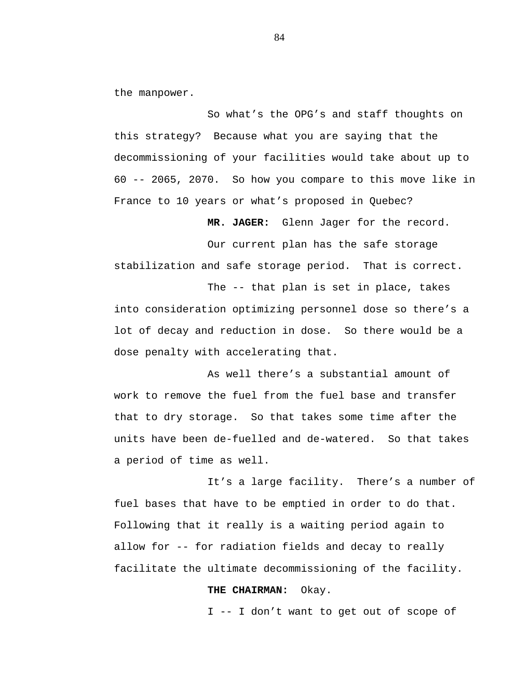the manpower.

So what's the OPG's and staff thoughts on this strategy? Because what you are saying that the decommissioning of your facilities would take about up to 60 -- 2065, 2070. So how you compare to this move like in France to 10 years or what's proposed in Quebec?

**MR. JAGER:** Glenn Jager for the record.

Our current plan has the safe storage stabilization and safe storage period. That is correct.

The -- that plan is set in place, takes into consideration optimizing personnel dose so there's a lot of decay and reduction in dose. So there would be a dose penalty with accelerating that.

As well there's a substantial amount of work to remove the fuel from the fuel base and transfer that to dry storage. So that takes some time after the units have been de-fuelled and de-watered. So that takes a period of time as well.

It's a large facility. There's a number of fuel bases that have to be emptied in order to do that. Following that it really is a waiting period again to allow for -- for radiation fields and decay to really facilitate the ultimate decommissioning of the facility.

#### **THE CHAIRMAN:** Okay.

I -- I don't want to get out of scope of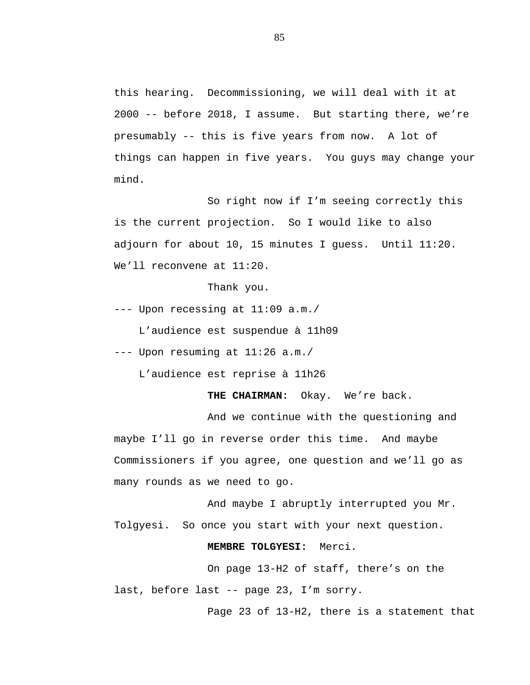this hearing. Decommissioning, we will deal with it at 2000 -- before 2018, I assume. But starting there, we're presumably -- this is five years from now. A lot of things can happen in five years. You guys may change your mind.

So right now if I'm seeing correctly this is the current projection. So I would like to also adjourn for about 10, 15 minutes I guess. Until 11:20. We'll reconvene at 11:20.

Thank you.

--- Upon recessing at 11:09 a.m./

L'audience est suspendue à 11h09

--- Upon resuming at 11:26 a.m./

L'audience est reprise à 11h26

**THE CHAIRMAN:** Okay. We're back.

And we continue with the questioning and maybe I'll go in reverse order this time. And maybe Commissioners if you agree, one question and we'll go as many rounds as we need to go.

And maybe I abruptly interrupted you Mr. Tolgyesi. So once you start with your next question.

# **MEMBRE TOLGYESI:** Merci.

On page 13-H2 of staff, there's on the last, before last -- page 23, I'm sorry.

Page 23 of 13-H2, there is a statement that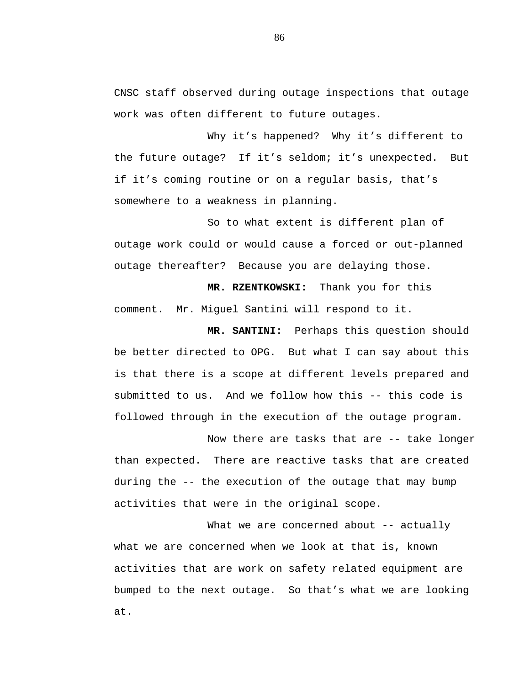CNSC staff observed during outage inspections that outage work was often different to future outages.

Why it's happened? Why it's different to the future outage? If it's seldom; it's unexpected. But if it's coming routine or on a regular basis, that's somewhere to a weakness in planning.

So to what extent is different plan of outage work could or would cause a forced or out-planned outage thereafter? Because you are delaying those.

**MR. RZENTKOWSKI:** Thank you for this comment. Mr. Miguel Santini will respond to it.

**MR. SANTINI:** Perhaps this question should be better directed to OPG. But what I can say about this is that there is a scope at different levels prepared and submitted to us. And we follow how this -- this code is followed through in the execution of the outage program.

Now there are tasks that are -- take longer than expected. There are reactive tasks that are created during the -- the execution of the outage that may bump activities that were in the original scope.

What we are concerned about -- actually what we are concerned when we look at that is, known activities that are work on safety related equipment are bumped to the next outage. So that's what we are looking at.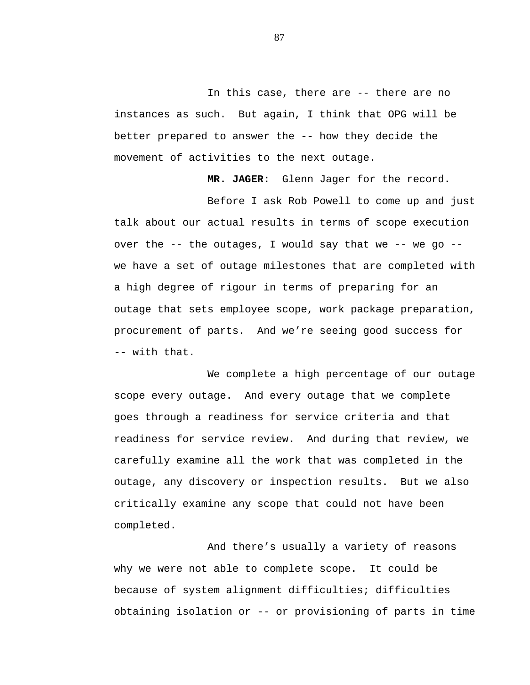In this case, there are -- there are no instances as such. But again, I think that OPG will be better prepared to answer the -- how they decide the movement of activities to the next outage.

**MR. JAGER:** Glenn Jager for the record.

Before I ask Rob Powell to come up and just talk about our actual results in terms of scope execution over the -- the outages, I would say that we -- we go - we have a set of outage milestones that are completed with a high degree of rigour in terms of preparing for an outage that sets employee scope, work package preparation, procurement of parts. And we're seeing good success for -- with that.

We complete a high percentage of our outage scope every outage. And every outage that we complete goes through a readiness for service criteria and that readiness for service review. And during that review, we carefully examine all the work that was completed in the outage, any discovery or inspection results. But we also critically examine any scope that could not have been completed.

And there's usually a variety of reasons why we were not able to complete scope. It could be because of system alignment difficulties; difficulties obtaining isolation or -- or provisioning of parts in time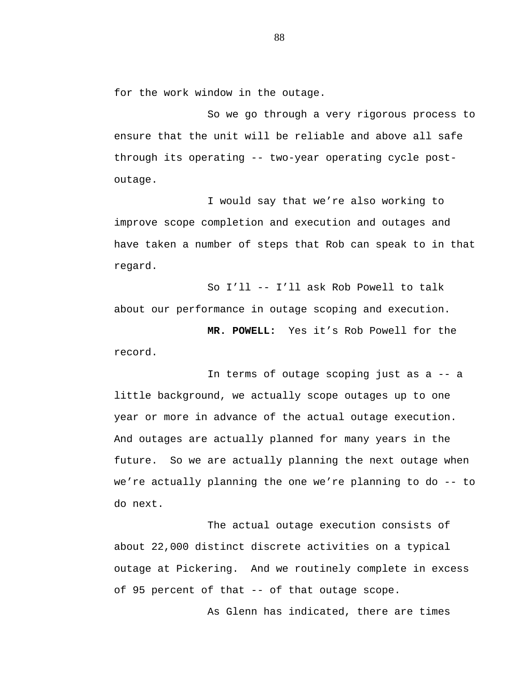for the work window in the outage.

So we go through a very rigorous process to ensure that the unit will be reliable and above all safe through its operating -- two-year operating cycle postoutage.

I would say that we're also working to improve scope completion and execution and outages and have taken a number of steps that Rob can speak to in that regard.

So I'll -- I'll ask Rob Powell to talk about our performance in outage scoping and execution.

**MR. POWELL:** Yes it's Rob Powell for the record.

In terms of outage scoping just as a -- a little background, we actually scope outages up to one year or more in advance of the actual outage execution. And outages are actually planned for many years in the future. So we are actually planning the next outage when we're actually planning the one we're planning to do -- to do next.

The actual outage execution consists of about 22,000 distinct discrete activities on a typical outage at Pickering. And we routinely complete in excess of 95 percent of that -- of that outage scope.

As Glenn has indicated, there are times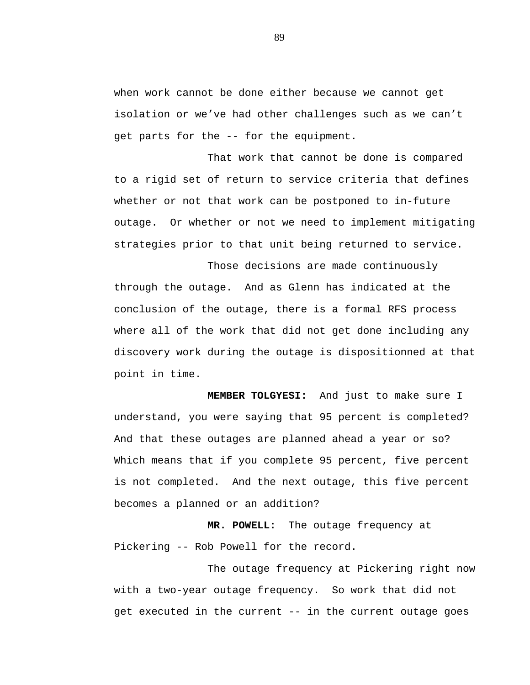when work cannot be done either because we cannot get isolation or we've had other challenges such as we can't get parts for the -- for the equipment.

That work that cannot be done is compared to a rigid set of return to service criteria that defines whether or not that work can be postponed to in-future outage. Or whether or not we need to implement mitigating strategies prior to that unit being returned to service.

Those decisions are made continuously through the outage. And as Glenn has indicated at the conclusion of the outage, there is a formal RFS process where all of the work that did not get done including any discovery work during the outage is dispositionned at that point in time.

**MEMBER TOLGYESI:** And just to make sure I understand, you were saying that 95 percent is completed? And that these outages are planned ahead a year or so? Which means that if you complete 95 percent, five percent is not completed. And the next outage, this five percent becomes a planned or an addition?

**MR. POWELL:** The outage frequency at Pickering -- Rob Powell for the record.

The outage frequency at Pickering right now with a two-year outage frequency. So work that did not get executed in the current -- in the current outage goes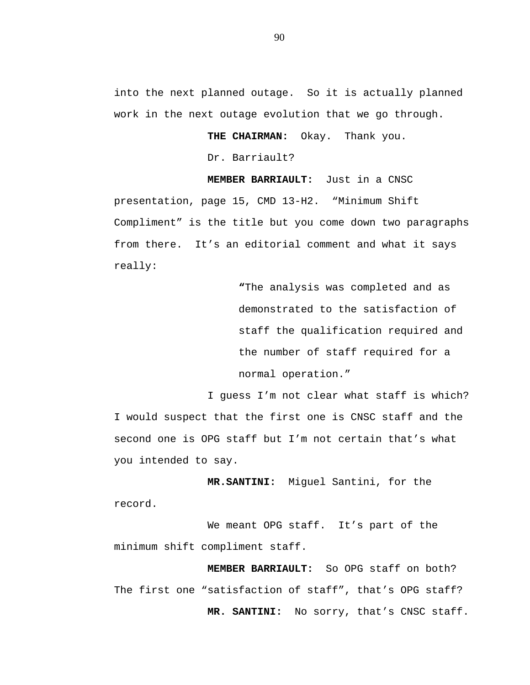into the next planned outage. So it is actually planned work in the next outage evolution that we go through.

**THE CHAIRMAN:** Okay. Thank you.

Dr. Barriault?

 **MEMBER BARRIAULT:** Just in a CNSC presentation, page 15, CMD 13-H2. "Minimum Shift Compliment" is the title but you come down two paragraphs from there. It's an editorial comment and what it says really:

> **"**The analysis was completed and as demonstrated to the satisfaction of staff the qualification required and the number of staff required for a normal operation."

I guess I'm not clear what staff is which? I would suspect that the first one is CNSC staff and the second one is OPG staff but I'm not certain that's what you intended to say.

**MR.SANTINI:** Miguel Santini, for the record.

We meant OPG staff. It's part of the minimum shift compliment staff.

 **MEMBER BARRIAULT:** So OPG staff on both? The first one "satisfaction of staff", that's OPG staff? **MR. SANTINI:** No sorry, that's CNSC staff.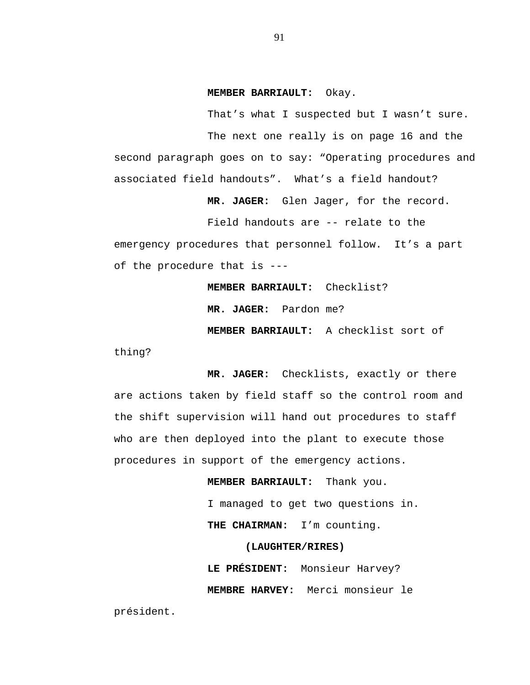#### **MEMBER BARRIAULT:** Okay.

That's what I suspected but I wasn't sure. The next one really is on page 16 and the second paragraph goes on to say: "Operating procedures and associated field handouts". What's a field handout?

**MR. JAGER:** Glen Jager, for the record.

Field handouts are -- relate to the

emergency procedures that personnel follow. It's a part of the procedure that is ---

**MEMBER BARRIAULT:** Checklist?

**MR. JAGER:** Pardon me?

**MEMBER BARRIAULT:** A checklist sort of

thing?

**MR. JAGER:** Checklists, exactly or there are actions taken by field staff so the control room and the shift supervision will hand out procedures to staff who are then deployed into the plant to execute those procedures in support of the emergency actions.

> **MEMBER BARRIAULT:** Thank you. I managed to get two questions in.  **THE CHAIRMAN:** I'm counting.

> > **(LAUGHTER/RIRES)**

**LE PRÉSIDENT:** Monsieur Harvey? **MEMBRE HARVEY:** Merci monsieur le

président.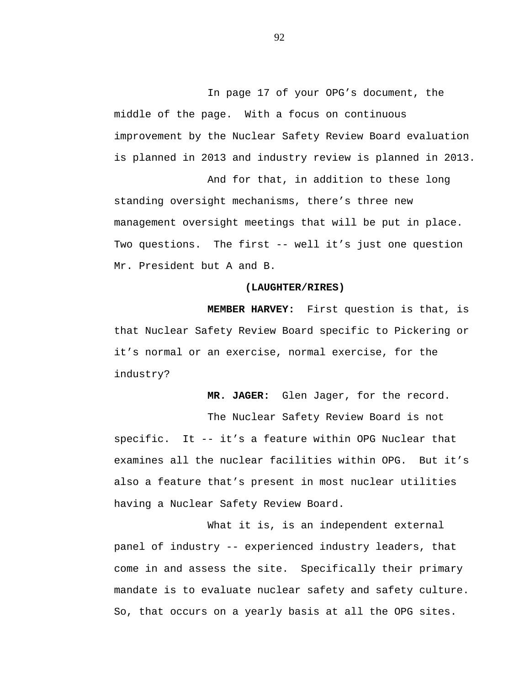In page 17 of your OPG's document, the middle of the page. With a focus on continuous improvement by the Nuclear Safety Review Board evaluation is planned in 2013 and industry review is planned in 2013.

And for that, in addition to these long standing oversight mechanisms, there's three new management oversight meetings that will be put in place. Two questions. The first -- well it's just one question Mr. President but A and B.

#### **(LAUGHTER/RIRES)**

**MEMBER HARVEY:** First question is that, is that Nuclear Safety Review Board specific to Pickering or it's normal or an exercise, normal exercise, for the industry?

**MR. JAGER:** Glen Jager, for the record.

The Nuclear Safety Review Board is not specific. It -- it's a feature within OPG Nuclear that examines all the nuclear facilities within OPG. But it's also a feature that's present in most nuclear utilities having a Nuclear Safety Review Board.

What it is, is an independent external panel of industry -- experienced industry leaders, that come in and assess the site. Specifically their primary mandate is to evaluate nuclear safety and safety culture. So, that occurs on a yearly basis at all the OPG sites.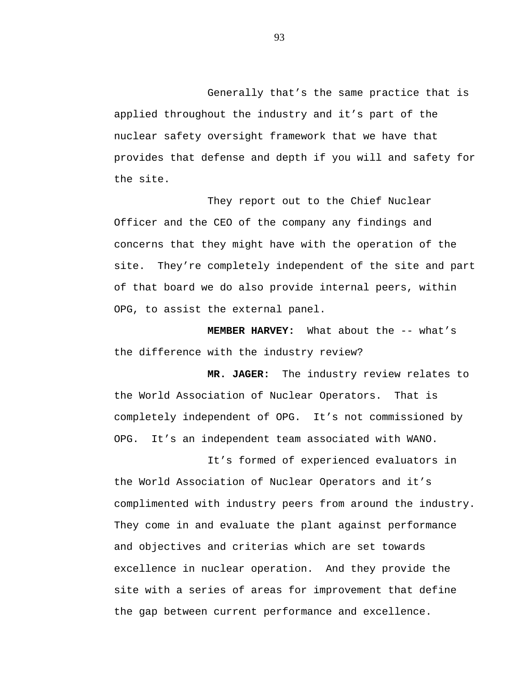Generally that's the same practice that is applied throughout the industry and it's part of the nuclear safety oversight framework that we have that provides that defense and depth if you will and safety for the site.

They report out to the Chief Nuclear Officer and the CEO of the company any findings and concerns that they might have with the operation of the site. They're completely independent of the site and part of that board we do also provide internal peers, within OPG, to assist the external panel.

**MEMBER HARVEY:** What about the -- what's the difference with the industry review?

**MR. JAGER:** The industry review relates to the World Association of Nuclear Operators. That is completely independent of OPG. It's not commissioned by OPG. It's an independent team associated with WANO.

It's formed of experienced evaluators in the World Association of Nuclear Operators and it's complimented with industry peers from around the industry. They come in and evaluate the plant against performance and objectives and criterias which are set towards excellence in nuclear operation. And they provide the site with a series of areas for improvement that define the gap between current performance and excellence.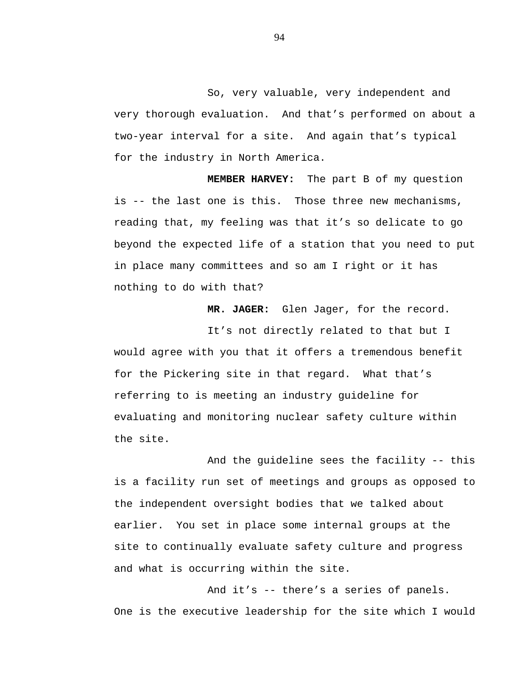So, very valuable, very independent and very thorough evaluation. And that's performed on about a two-year interval for a site. And again that's typical for the industry in North America.

**MEMBER HARVEY:** The part B of my question is -- the last one is this. Those three new mechanisms, reading that, my feeling was that it's so delicate to go beyond the expected life of a station that you need to put in place many committees and so am I right or it has nothing to do with that?

**MR. JAGER:** Glen Jager, for the record.

It's not directly related to that but I would agree with you that it offers a tremendous benefit for the Pickering site in that regard. What that's referring to is meeting an industry guideline for evaluating and monitoring nuclear safety culture within the site.

And the guideline sees the facility -- this is a facility run set of meetings and groups as opposed to the independent oversight bodies that we talked about earlier. You set in place some internal groups at the site to continually evaluate safety culture and progress and what is occurring within the site.

And it's -- there's a series of panels. One is the executive leadership for the site which I would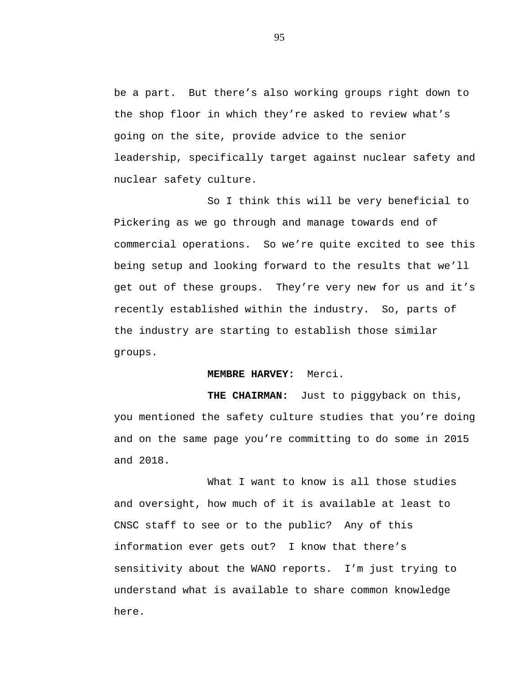be a part. But there's also working groups right down to the shop floor in which they're asked to review what's going on the site, provide advice to the senior leadership, specifically target against nuclear safety and nuclear safety culture.

So I think this will be very beneficial to Pickering as we go through and manage towards end of commercial operations. So we're quite excited to see this being setup and looking forward to the results that we'll get out of these groups. They're very new for us and it's recently established within the industry. So, parts of the industry are starting to establish those similar groups.

#### **MEMBRE HARVEY:** Merci.

**THE CHAIRMAN:** Just to piggyback on this, you mentioned the safety culture studies that you're doing and on the same page you're committing to do some in 2015 and 2018.

What I want to know is all those studies and oversight, how much of it is available at least to CNSC staff to see or to the public? Any of this information ever gets out? I know that there's sensitivity about the WANO reports. I'm just trying to understand what is available to share common knowledge here.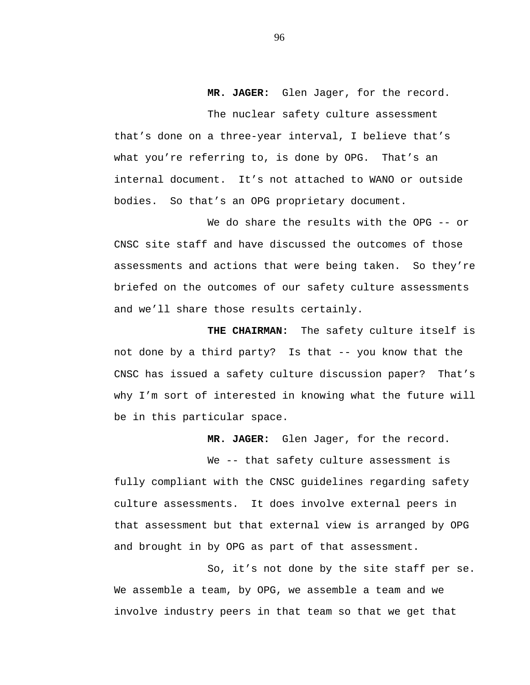**MR. JAGER:** Glen Jager, for the record.

The nuclear safety culture assessment that's done on a three-year interval, I believe that's what you're referring to, is done by OPG. That's an internal document. It's not attached to WANO or outside bodies. So that's an OPG proprietary document.

We do share the results with the OPG -- or CNSC site staff and have discussed the outcomes of those assessments and actions that were being taken. So they're briefed on the outcomes of our safety culture assessments and we'll share those results certainly.

**THE CHAIRMAN:** The safety culture itself is not done by a third party? Is that -- you know that the CNSC has issued a safety culture discussion paper? That's why I'm sort of interested in knowing what the future will be in this particular space.

**MR. JAGER:** Glen Jager, for the record.

We -- that safety culture assessment is fully compliant with the CNSC guidelines regarding safety culture assessments. It does involve external peers in that assessment but that external view is arranged by OPG and brought in by OPG as part of that assessment.

So, it's not done by the site staff per se. We assemble a team, by OPG, we assemble a team and we involve industry peers in that team so that we get that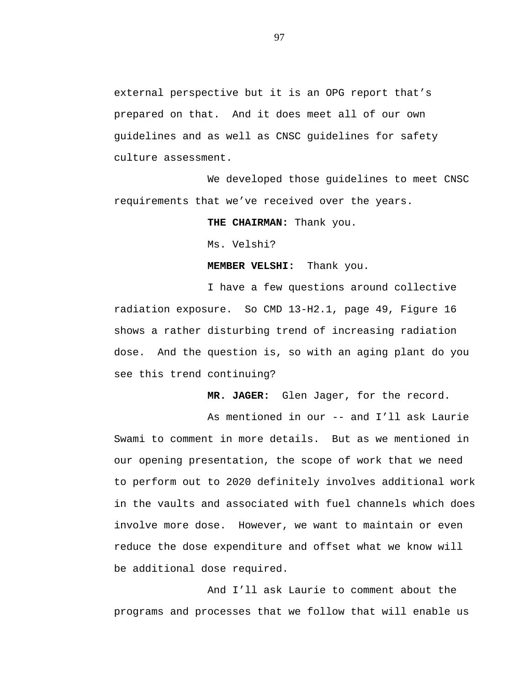external perspective but it is an OPG report that's prepared on that. And it does meet all of our own guidelines and as well as CNSC guidelines for safety culture assessment.

We developed those guidelines to meet CNSC requirements that we've received over the years.

**THE CHAIRMAN:** Thank you.

Ms. Velshi?

### **MEMBER VELSHI:** Thank you.

I have a few questions around collective radiation exposure. So CMD 13-H2.1, page 49, Figure 16 shows a rather disturbing trend of increasing radiation dose. And the question is, so with an aging plant do you see this trend continuing?

**MR. JAGER:** Glen Jager, for the record.

As mentioned in our -- and I'll ask Laurie Swami to comment in more details. But as we mentioned in our opening presentation, the scope of work that we need to perform out to 2020 definitely involves additional work in the vaults and associated with fuel channels which does involve more dose. However, we want to maintain or even reduce the dose expenditure and offset what we know will be additional dose required.

And I'll ask Laurie to comment about the programs and processes that we follow that will enable us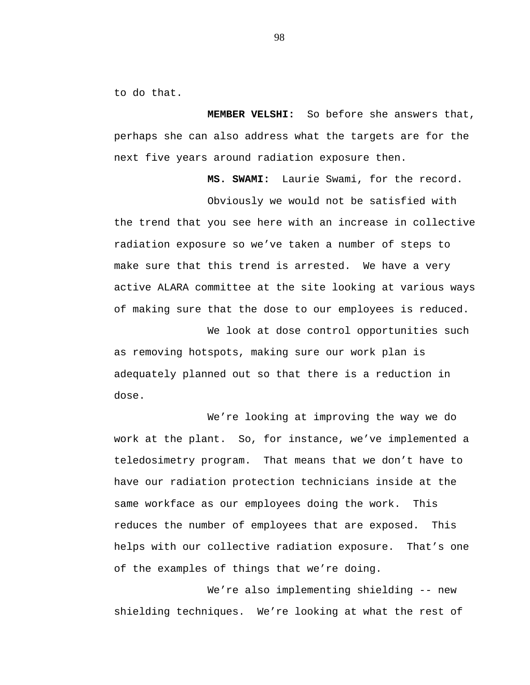to do that.

**MEMBER VELSHI:** So before she answers that, perhaps she can also address what the targets are for the next five years around radiation exposure then.

**MS. SWAMI:** Laurie Swami, for the record.

Obviously we would not be satisfied with the trend that you see here with an increase in collective radiation exposure so we've taken a number of steps to make sure that this trend is arrested. We have a very active ALARA committee at the site looking at various ways of making sure that the dose to our employees is reduced.

We look at dose control opportunities such as removing hotspots, making sure our work plan is adequately planned out so that there is a reduction in dose.

We're looking at improving the way we do work at the plant. So, for instance, we've implemented a teledosimetry program. That means that we don't have to have our radiation protection technicians inside at the same workface as our employees doing the work. This reduces the number of employees that are exposed. This helps with our collective radiation exposure. That's one of the examples of things that we're doing.

We're also implementing shielding -- new shielding techniques. We're looking at what the rest of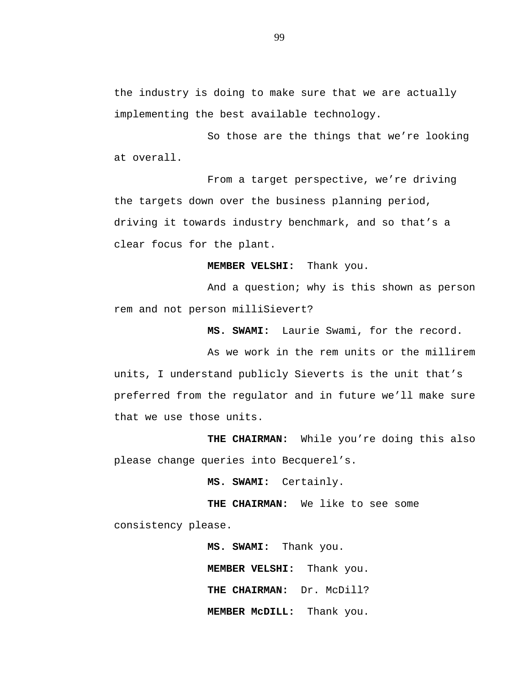the industry is doing to make sure that we are actually implementing the best available technology.

So those are the things that we're looking at overall.

From a target perspective, we're driving the targets down over the business planning period, driving it towards industry benchmark, and so that's a clear focus for the plant.

**MEMBER VELSHI:** Thank you.

And a question; why is this shown as person rem and not person milliSievert?

**MS. SWAMI:** Laurie Swami, for the record.

As we work in the rem units or the millirem units, I understand publicly Sieverts is the unit that's preferred from the regulator and in future we'll make sure that we use those units.

**THE CHAIRMAN:** While you're doing this also please change queries into Becquerel's.

**MS. SWAMI:** Certainly.

**THE CHAIRMAN:** We like to see some consistency please.

> **MS. SWAMI:** Thank you. **MEMBER VELSHI:** Thank you. **THE CHAIRMAN:** Dr. McDill? **MEMBER McDILL:** Thank you.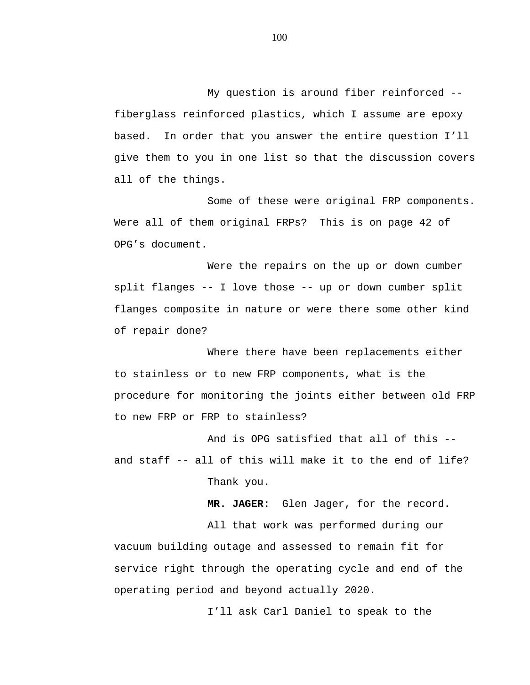My question is around fiber reinforced - fiberglass reinforced plastics, which I assume are epoxy based. In order that you answer the entire question I'll give them to you in one list so that the discussion covers all of the things.

Some of these were original FRP components. Were all of them original FRPs? This is on page 42 of OPG's document.

Were the repairs on the up or down cumber split flanges -- I love those -- up or down cumber split flanges composite in nature or were there some other kind of repair done?

Where there have been replacements either to stainless or to new FRP components, what is the procedure for monitoring the joints either between old FRP to new FRP or FRP to stainless?

And is OPG satisfied that all of this - and staff -- all of this will make it to the end of life? Thank you.

All that work was performed during our vacuum building outage and assessed to remain fit for service right through the operating cycle and end of the operating period and beyond actually 2020.

I'll ask Carl Daniel to speak to the

**MR. JAGER:** Glen Jager, for the record.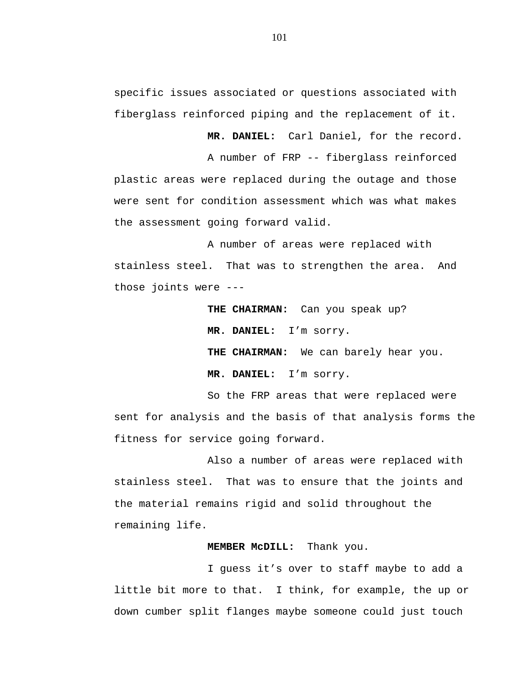specific issues associated or questions associated with fiberglass reinforced piping and the replacement of it.

**MR. DANIEL:** Carl Daniel, for the record.

A number of FRP -- fiberglass reinforced plastic areas were replaced during the outage and those were sent for condition assessment which was what makes the assessment going forward valid.

A number of areas were replaced with stainless steel. That was to strengthen the area. And those joints were ---

> **THE CHAIRMAN:** Can you speak up? **MR. DANIEL:** I'm sorry. **THE CHAIRMAN:** We can barely hear you. **MR. DANIEL:** I'm sorry.

So the FRP areas that were replaced were sent for analysis and the basis of that analysis forms the fitness for service going forward.

Also a number of areas were replaced with stainless steel. That was to ensure that the joints and the material remains rigid and solid throughout the remaining life.

## **MEMBER McDILL:** Thank you.

I guess it's over to staff maybe to add a little bit more to that. I think, for example, the up or down cumber split flanges maybe someone could just touch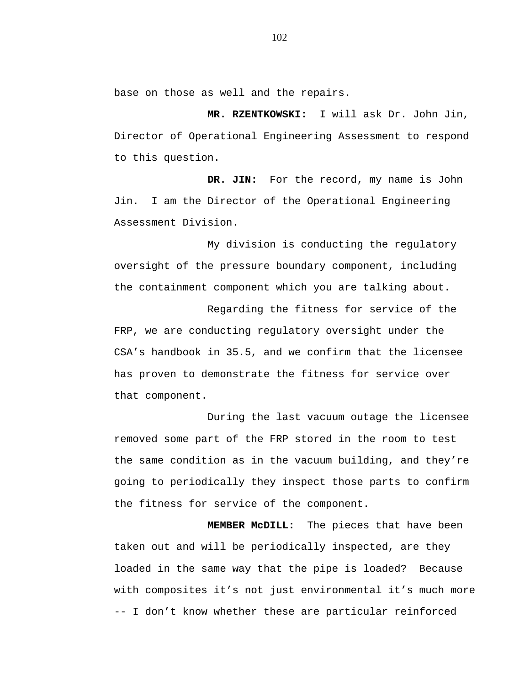base on those as well and the repairs.

**MR. RZENTKOWSKI:** I will ask Dr. John Jin, Director of Operational Engineering Assessment to respond to this question.

**DR. JIN:** For the record, my name is John Jin. I am the Director of the Operational Engineering Assessment Division.

My division is conducting the regulatory oversight of the pressure boundary component, including the containment component which you are talking about.

Regarding the fitness for service of the FRP, we are conducting regulatory oversight under the CSA's handbook in 35.5, and we confirm that the licensee has proven to demonstrate the fitness for service over that component.

During the last vacuum outage the licensee removed some part of the FRP stored in the room to test the same condition as in the vacuum building, and they're going to periodically they inspect those parts to confirm the fitness for service of the component.

**MEMBER McDILL:** The pieces that have been taken out and will be periodically inspected, are they loaded in the same way that the pipe is loaded? Because with composites it's not just environmental it's much more -- I don't know whether these are particular reinforced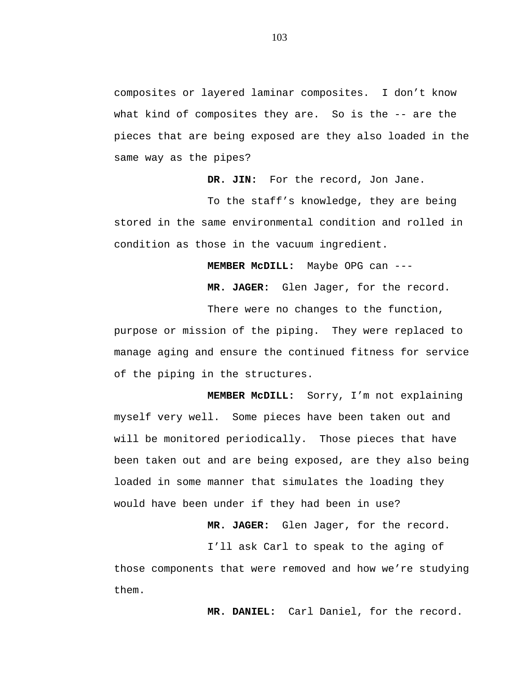composites or layered laminar composites. I don't know what kind of composites they are. So is the -- are the pieces that are being exposed are they also loaded in the same way as the pipes?

**DR. JIN:** For the record, Jon Jane.

To the staff's knowledge, they are being stored in the same environmental condition and rolled in condition as those in the vacuum ingredient.

**MEMBER McDILL:** Maybe OPG can ---

**MR. JAGER:** Glen Jager, for the record.

There were no changes to the function, purpose or mission of the piping. They were replaced to manage aging and ensure the continued fitness for service of the piping in the structures.

**MEMBER McDILL:** Sorry, I'm not explaining myself very well. Some pieces have been taken out and will be monitored periodically. Those pieces that have been taken out and are being exposed, are they also being loaded in some manner that simulates the loading they would have been under if they had been in use?

**MR. JAGER:** Glen Jager, for the record.

I'll ask Carl to speak to the aging of those components that were removed and how we're studying them.

**MR. DANIEL:** Carl Daniel, for the record.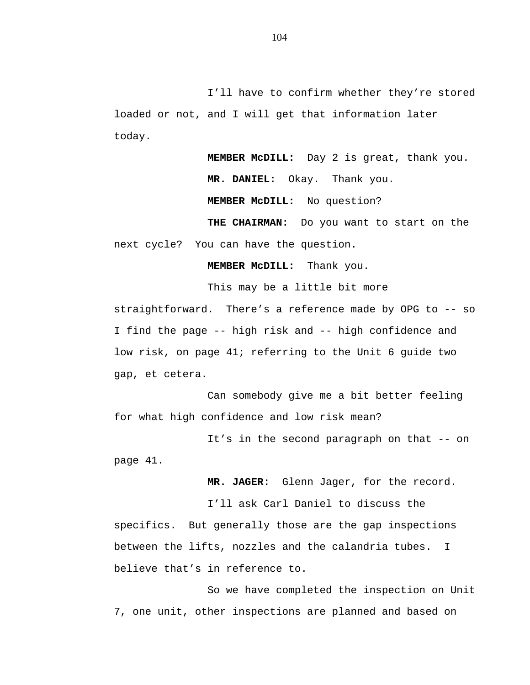I'll have to confirm whether they're stored loaded or not, and I will get that information later today.

> **MEMBER McDILL:** Day 2 is great, thank you. **MR. DANIEL:** Okay. Thank you.

 **MEMBER McDILL:** No question?

**THE CHAIRMAN:** Do you want to start on the next cycle? You can have the question.

**MEMBER McDILL:** Thank you.

straightforward. There's a reference made by OPG to -- so I find the page -- high risk and -- high confidence and low risk, on page 41; referring to the Unit 6 guide two gap, et cetera.

This may be a little bit more

Can somebody give me a bit better feeling for what high confidence and low risk mean?

It's in the second paragraph on that -- on page 41.

**MR. JAGER:** Glenn Jager, for the record.

I'll ask Carl Daniel to discuss the specifics. But generally those are the gap inspections between the lifts, nozzles and the calandria tubes. I believe that's in reference to.

So we have completed the inspection on Unit 7, one unit, other inspections are planned and based on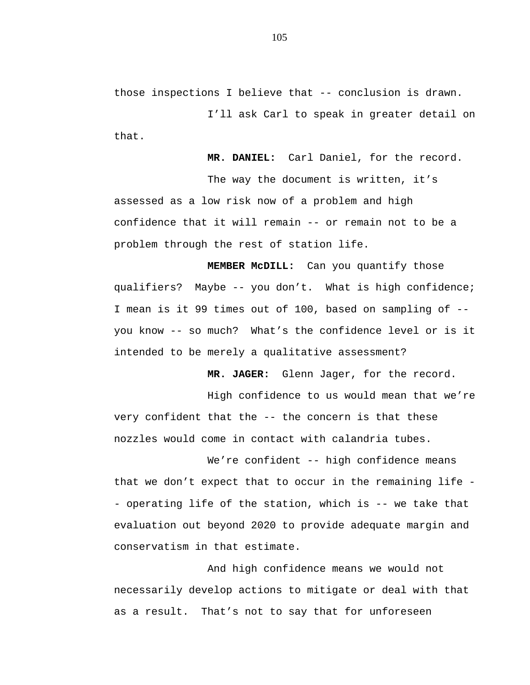those inspections I believe that -- conclusion is drawn.

I'll ask Carl to speak in greater detail on that.

**MR. DANIEL:** Carl Daniel, for the record.

The way the document is written, it's assessed as a low risk now of a problem and high confidence that it will remain -- or remain not to be a problem through the rest of station life.

**MEMBER McDILL:** Can you quantify those qualifiers? Maybe -- you don't. What is high confidence; I mean is it 99 times out of 100, based on sampling of - you know -- so much? What's the confidence level or is it intended to be merely a qualitative assessment?

**MR. JAGER:** Glenn Jager, for the record.

High confidence to us would mean that we're very confident that the -- the concern is that these nozzles would come in contact with calandria tubes.

We're confident -- high confidence means that we don't expect that to occur in the remaining life - operating life of the station, which is -- we take that evaluation out beyond 2020 to provide adequate margin and conservatism in that estimate.

And high confidence means we would not necessarily develop actions to mitigate or deal with that as a result. That's not to say that for unforeseen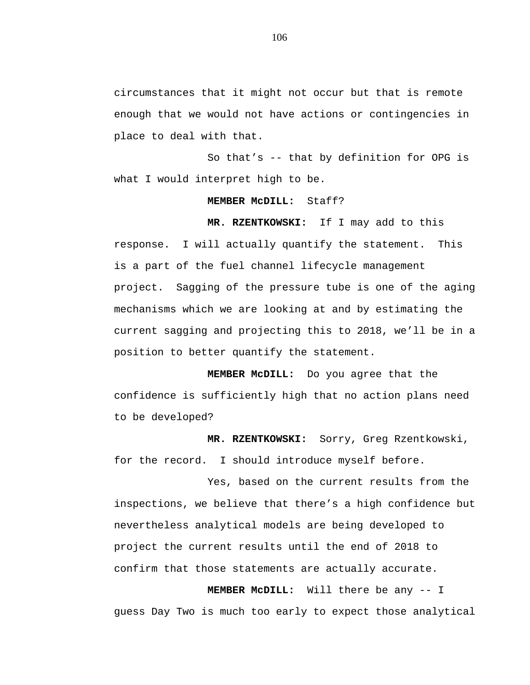circumstances that it might not occur but that is remote enough that we would not have actions or contingencies in place to deal with that.

So that's -- that by definition for OPG is what I would interpret high to be.

## **MEMBER McDILL:** Staff?

**MR. RZENTKOWSKI:** If I may add to this response. I will actually quantify the statement. This is a part of the fuel channel lifecycle management project. Sagging of the pressure tube is one of the aging mechanisms which we are looking at and by estimating the current sagging and projecting this to 2018, we'll be in a position to better quantify the statement.

**MEMBER McDILL:** Do you agree that the confidence is sufficiently high that no action plans need to be developed?

**MR. RZENTKOWSKI:** Sorry, Greg Rzentkowski, for the record. I should introduce myself before.

Yes, based on the current results from the inspections, we believe that there's a high confidence but nevertheless analytical models are being developed to project the current results until the end of 2018 to confirm that those statements are actually accurate.

**MEMBER McDILL:** Will there be any -- I guess Day Two is much too early to expect those analytical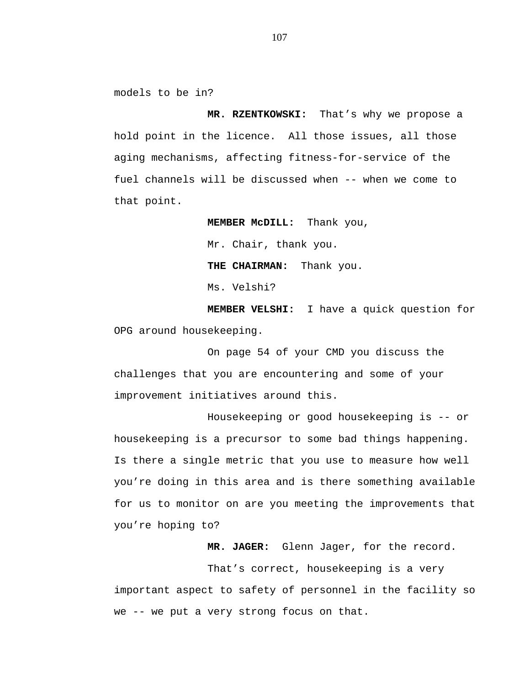models to be in?

**MR. RZENTKOWSKI:** That's why we propose a hold point in the licence. All those issues, all those aging mechanisms, affecting fitness-for-service of the fuel channels will be discussed when -- when we come to that point.

> **MEMBER McDILL:** Thank you, Mr. Chair, thank you. **THE CHAIRMAN:** Thank you. Ms. Velshi?

**MEMBER VELSHI:** I have a quick question for OPG around housekeeping.

On page 54 of your CMD you discuss the challenges that you are encountering and some of your improvement initiatives around this.

Housekeeping or good housekeeping is -- or housekeeping is a precursor to some bad things happening. Is there a single metric that you use to measure how well you're doing in this area and is there something available for us to monitor on are you meeting the improvements that you're hoping to?

**MR. JAGER:** Glenn Jager, for the record.

That's correct, housekeeping is a very important aspect to safety of personnel in the facility so we -- we put a very strong focus on that.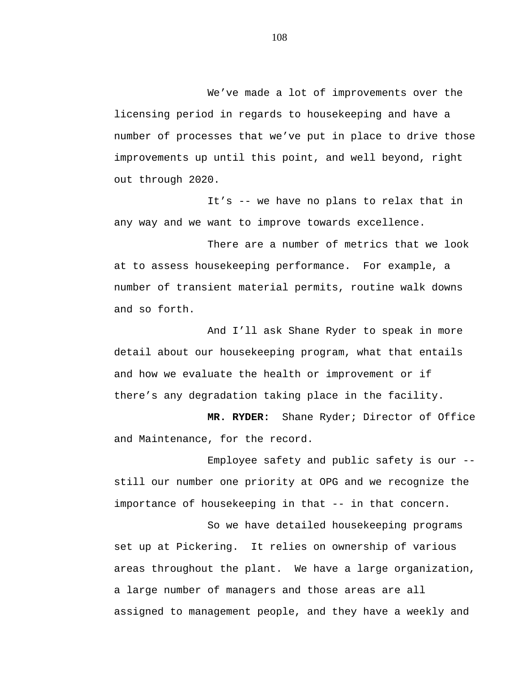We've made a lot of improvements over the licensing period in regards to housekeeping and have a number of processes that we've put in place to drive those improvements up until this point, and well beyond, right out through 2020.

It's -- we have no plans to relax that in any way and we want to improve towards excellence.

There are a number of metrics that we look at to assess housekeeping performance. For example, a number of transient material permits, routine walk downs and so forth.

And I'll ask Shane Ryder to speak in more detail about our housekeeping program, what that entails and how we evaluate the health or improvement or if there's any degradation taking place in the facility.

**MR. RYDER:** Shane Ryder; Director of Office and Maintenance, for the record.

Employee safety and public safety is our - still our number one priority at OPG and we recognize the importance of housekeeping in that -- in that concern.

So we have detailed housekeeping programs set up at Pickering. It relies on ownership of various areas throughout the plant. We have a large organization, a large number of managers and those areas are all assigned to management people, and they have a weekly and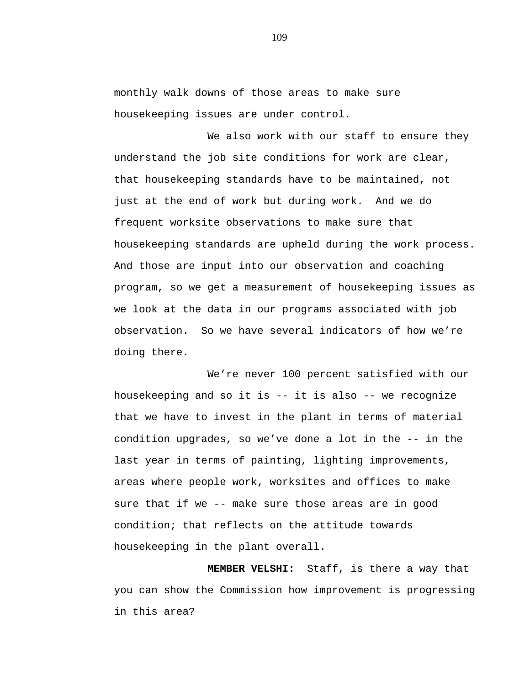monthly walk downs of those areas to make sure housekeeping issues are under control.

We also work with our staff to ensure they understand the job site conditions for work are clear, that housekeeping standards have to be maintained, not just at the end of work but during work. And we do frequent worksite observations to make sure that housekeeping standards are upheld during the work process. And those are input into our observation and coaching program, so we get a measurement of housekeeping issues as we look at the data in our programs associated with job observation. So we have several indicators of how we're doing there.

We're never 100 percent satisfied with our housekeeping and so it is -- it is also -- we recognize that we have to invest in the plant in terms of material condition upgrades, so we've done a lot in the -- in the last year in terms of painting, lighting improvements, areas where people work, worksites and offices to make sure that if we -- make sure those areas are in good condition; that reflects on the attitude towards housekeeping in the plant overall.

**MEMBER VELSHI:** Staff, is there a way that you can show the Commission how improvement is progressing in this area?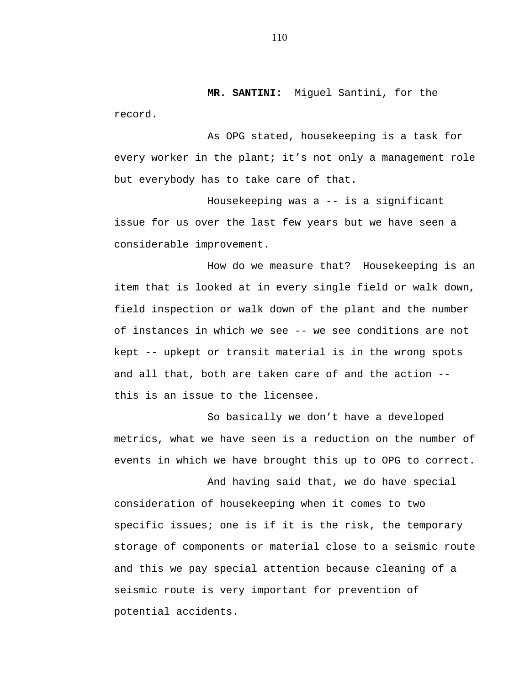**MR. SANTINI:** Miguel Santini, for the record.

As OPG stated, housekeeping is a task for every worker in the plant; it's not only a management role but everybody has to take care of that.

Housekeeping was a -- is a significant issue for us over the last few years but we have seen a considerable improvement.

How do we measure that? Housekeeping is an item that is looked at in every single field or walk down, field inspection or walk down of the plant and the number of instances in which we see -- we see conditions are not kept -- upkept or transit material is in the wrong spots and all that, both are taken care of and the action - this is an issue to the licensee.

So basically we don't have a developed metrics, what we have seen is a reduction on the number of events in which we have brought this up to OPG to correct.

And having said that, we do have special consideration of housekeeping when it comes to two specific issues; one is if it is the risk, the temporary storage of components or material close to a seismic route and this we pay special attention because cleaning of a seismic route is very important for prevention of potential accidents.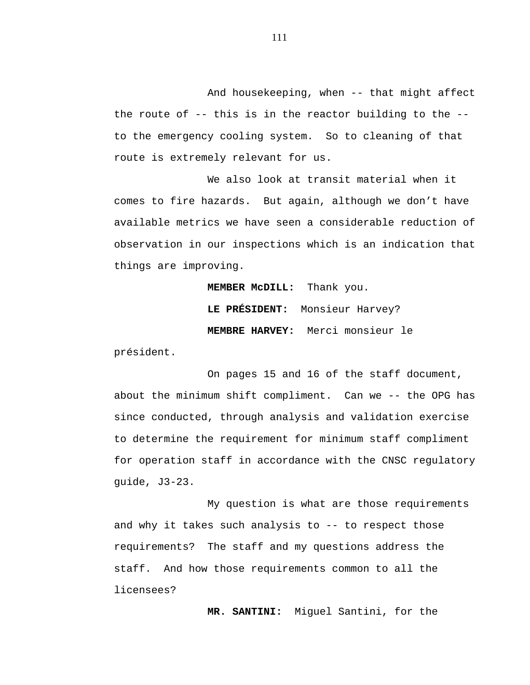And housekeeping, when -- that might affect the route of -- this is in the reactor building to the - to the emergency cooling system. So to cleaning of that route is extremely relevant for us.

We also look at transit material when it comes to fire hazards. But again, although we don't have available metrics we have seen a considerable reduction of observation in our inspections which is an indication that things are improving.

**MEMBER McDILL:** Thank you.

**LE PRÉSIDENT:** Monsieur Harvey? **MEMBRE HARVEY:** Merci monsieur le

président.

On pages 15 and 16 of the staff document, about the minimum shift compliment. Can we -- the OPG has since conducted, through analysis and validation exercise to determine the requirement for minimum staff compliment for operation staff in accordance with the CNSC regulatory guide, J3-23.

My question is what are those requirements and why it takes such analysis to  $-$ - to respect those requirements? The staff and my questions address the staff. And how those requirements common to all the licensees?

**MR. SANTINI:** Miguel Santini, for the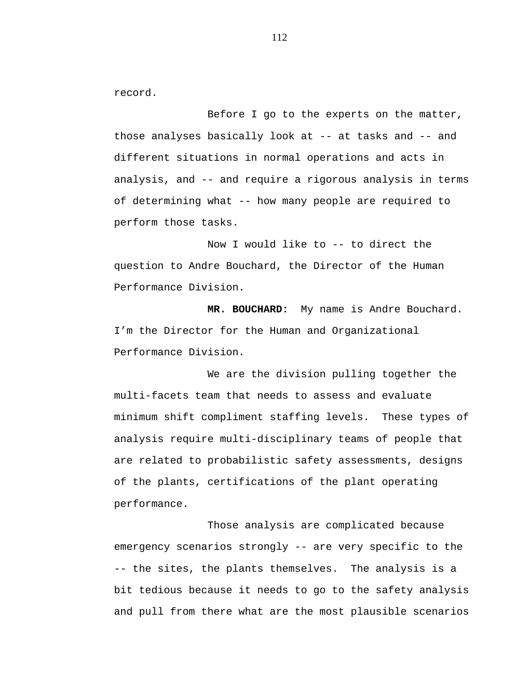record.

Before I go to the experts on the matter, those analyses basically look at -- at tasks and -- and different situations in normal operations and acts in analysis, and -- and require a rigorous analysis in terms of determining what -- how many people are required to perform those tasks.

Now I would like to -- to direct the question to Andre Bouchard, the Director of the Human Performance Division.

**MR. BOUCHARD:** My name is Andre Bouchard. I'm the Director for the Human and Organizational Performance Division.

We are the division pulling together the multi-facets team that needs to assess and evaluate minimum shift compliment staffing levels. These types of analysis require multi-disciplinary teams of people that are related to probabilistic safety assessments, designs of the plants, certifications of the plant operating performance.

Those analysis are complicated because emergency scenarios strongly -- are very specific to the -- the sites, the plants themselves. The analysis is a bit tedious because it needs to go to the safety analysis and pull from there what are the most plausible scenarios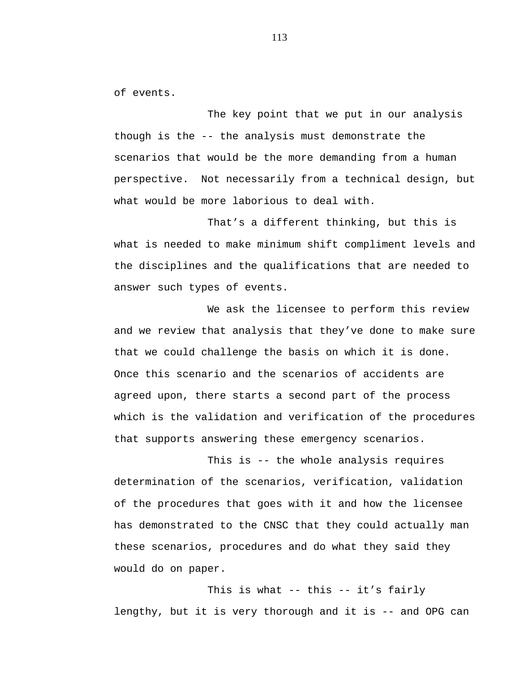of events.

The key point that we put in our analysis though is the -- the analysis must demonstrate the scenarios that would be the more demanding from a human perspective. Not necessarily from a technical design, but what would be more laborious to deal with.

That's a different thinking, but this is what is needed to make minimum shift compliment levels and the disciplines and the qualifications that are needed to answer such types of events.

We ask the licensee to perform this review and we review that analysis that they've done to make sure that we could challenge the basis on which it is done. Once this scenario and the scenarios of accidents are agreed upon, there starts a second part of the process which is the validation and verification of the procedures that supports answering these emergency scenarios.

This is -- the whole analysis requires determination of the scenarios, verification, validation of the procedures that goes with it and how the licensee has demonstrated to the CNSC that they could actually man these scenarios, procedures and do what they said they would do on paper.

This is what -- this -- it's fairly lengthy, but it is very thorough and it is -- and OPG can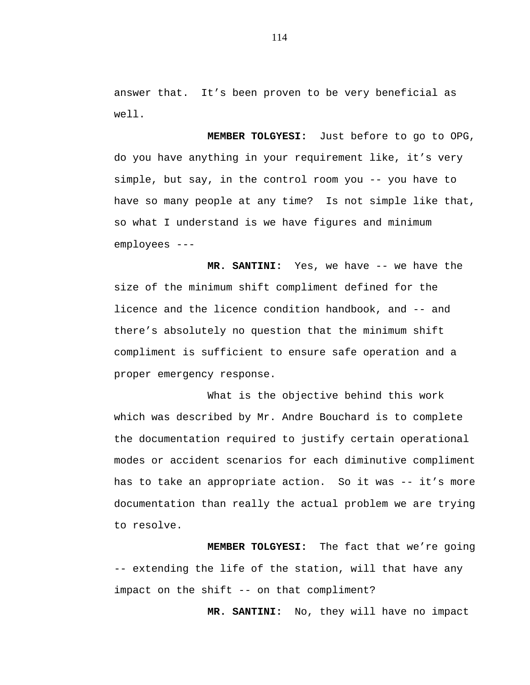answer that. It's been proven to be very beneficial as well.

**MEMBER TOLGYESI:** Just before to go to OPG, do you have anything in your requirement like, it's very simple, but say, in the control room you -- you have to have so many people at any time? Is not simple like that, so what I understand is we have figures and minimum employees ---

**MR. SANTINI:** Yes, we have -- we have the size of the minimum shift compliment defined for the licence and the licence condition handbook, and -- and there's absolutely no question that the minimum shift compliment is sufficient to ensure safe operation and a proper emergency response.

What is the objective behind this work which was described by Mr. Andre Bouchard is to complete the documentation required to justify certain operational modes or accident scenarios for each diminutive compliment has to take an appropriate action. So it was -- it's more documentation than really the actual problem we are trying to resolve.

**MEMBER TOLGYESI:** The fact that we're going -- extending the life of the station, will that have any impact on the shift -- on that compliment?

**MR. SANTINI:** No, they will have no impact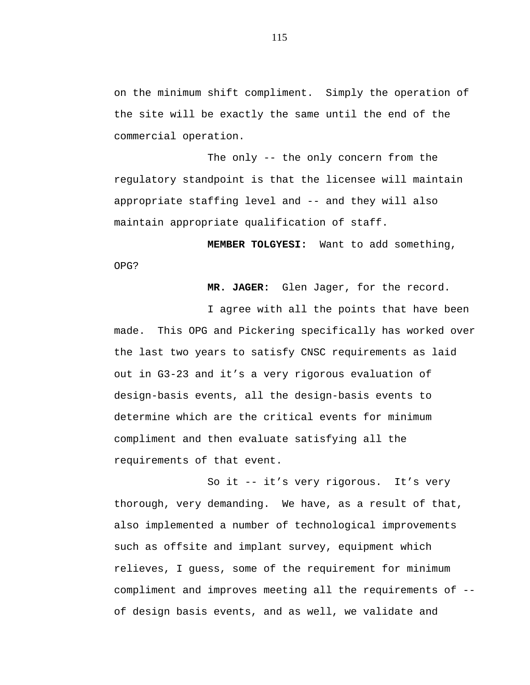on the minimum shift compliment. Simply the operation of the site will be exactly the same until the end of the commercial operation.

The only -- the only concern from the regulatory standpoint is that the licensee will maintain appropriate staffing level and -- and they will also maintain appropriate qualification of staff.

**MEMBER TOLGYESI:** Want to add something, OPG?

**MR. JAGER:** Glen Jager, for the record.

I agree with all the points that have been made. This OPG and Pickering specifically has worked over the last two years to satisfy CNSC requirements as laid out in G3-23 and it's a very rigorous evaluation of design-basis events, all the design-basis events to determine which are the critical events for minimum compliment and then evaluate satisfying all the requirements of that event.

So it -- it's very rigorous. It's very thorough, very demanding. We have, as a result of that, also implemented a number of technological improvements such as offsite and implant survey, equipment which relieves, I guess, some of the requirement for minimum compliment and improves meeting all the requirements of - of design basis events, and as well, we validate and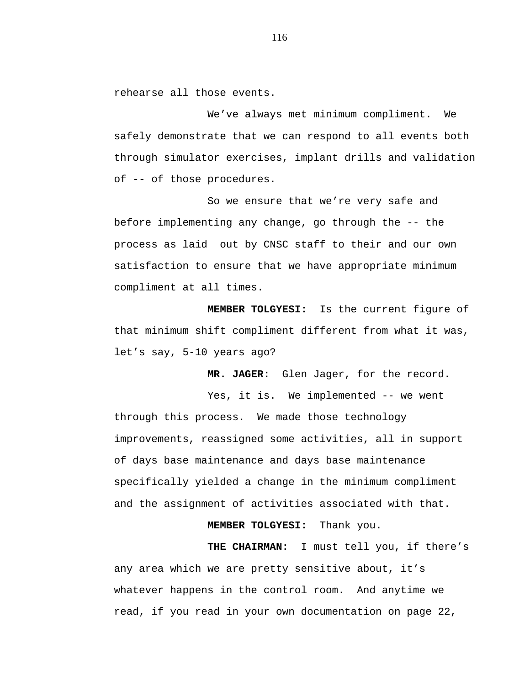rehearse all those events.

We've always met minimum compliment. We safely demonstrate that we can respond to all events both through simulator exercises, implant drills and validation of -- of those procedures.

So we ensure that we're very safe and before implementing any change, go through the -- the process as laid out by CNSC staff to their and our own satisfaction to ensure that we have appropriate minimum compliment at all times.

**MEMBER TOLGYESI:** Is the current figure of that minimum shift compliment different from what it was, let's say, 5-10 years ago?

**MR. JAGER:** Glen Jager, for the record.

Yes, it is. We implemented -- we went through this process. We made those technology improvements, reassigned some activities, all in support of days base maintenance and days base maintenance specifically yielded a change in the minimum compliment and the assignment of activities associated with that.

 **MEMBER TOLGYESI:** Thank you.

**THE CHAIRMAN:** I must tell you, if there's any area which we are pretty sensitive about, it's whatever happens in the control room. And anytime we read, if you read in your own documentation on page 22,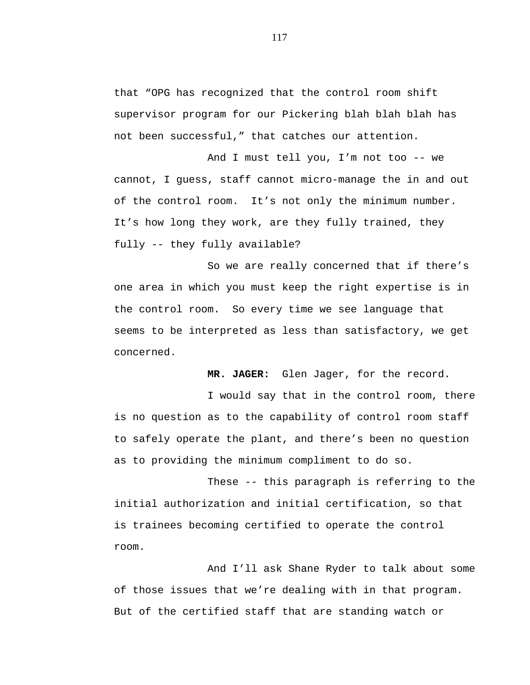that "OPG has recognized that the control room shift supervisor program for our Pickering blah blah blah has not been successful," that catches our attention.

And I must tell you, I'm not too -- we cannot, I guess, staff cannot micro-manage the in and out of the control room. It's not only the minimum number. It's how long they work, are they fully trained, they fully -- they fully available?

So we are really concerned that if there's one area in which you must keep the right expertise is in the control room. So every time we see language that seems to be interpreted as less than satisfactory, we get concerned.

**MR. JAGER:** Glen Jager, for the record.

I would say that in the control room, there is no question as to the capability of control room staff to safely operate the plant, and there's been no question as to providing the minimum compliment to do so.

These -- this paragraph is referring to the initial authorization and initial certification, so that is trainees becoming certified to operate the control room.

And I'll ask Shane Ryder to talk about some of those issues that we're dealing with in that program. But of the certified staff that are standing watch or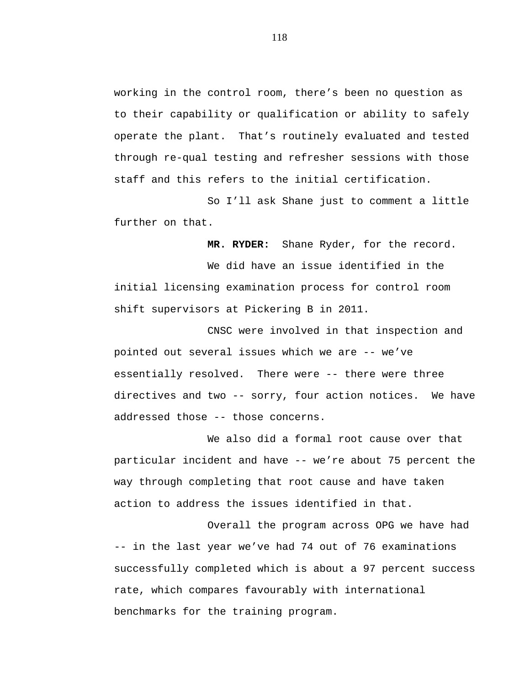working in the control room, there's been no question as to their capability or qualification or ability to safely operate the plant. That's routinely evaluated and tested through re-qual testing and refresher sessions with those staff and this refers to the initial certification.

So I'll ask Shane just to comment a little further on that.

**MR. RYDER:** Shane Ryder, for the record.

We did have an issue identified in the initial licensing examination process for control room shift supervisors at Pickering B in 2011.

CNSC were involved in that inspection and pointed out several issues which we are -- we've essentially resolved. There were -- there were three directives and two -- sorry, four action notices. We have addressed those -- those concerns.

We also did a formal root cause over that particular incident and have -- we're about 75 percent the way through completing that root cause and have taken action to address the issues identified in that.

Overall the program across OPG we have had -- in the last year we've had 74 out of 76 examinations successfully completed which is about a 97 percent success rate, which compares favourably with international benchmarks for the training program.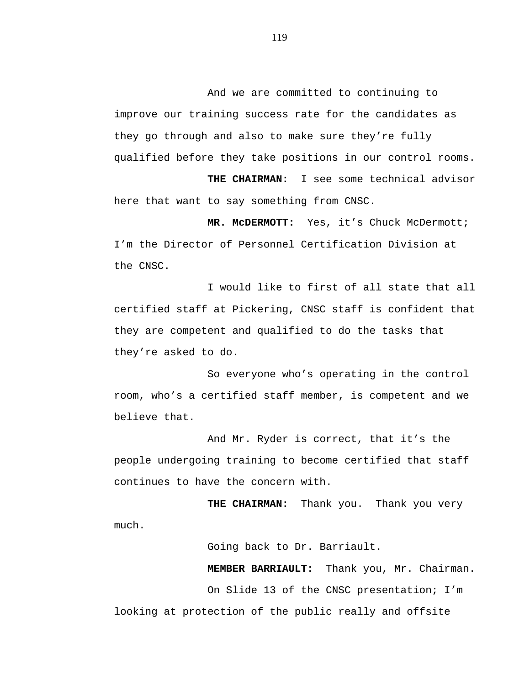And we are committed to continuing to improve our training success rate for the candidates as they go through and also to make sure they're fully qualified before they take positions in our control rooms.

**THE CHAIRMAN:** I see some technical advisor here that want to say something from CNSC.

**MR. McDERMOTT:** Yes, it's Chuck McDermott; I'm the Director of Personnel Certification Division at the CNSC.

I would like to first of all state that all certified staff at Pickering, CNSC staff is confident that they are competent and qualified to do the tasks that they're asked to do.

So everyone who's operating in the control room, who's a certified staff member, is competent and we believe that.

And Mr. Ryder is correct, that it's the people undergoing training to become certified that staff continues to have the concern with.

**THE CHAIRMAN:** Thank you. Thank you very much.

Going back to Dr. Barriault.

**MEMBER BARRIAULT:** Thank you, Mr. Chairman. On Slide 13 of the CNSC presentation; I'm

looking at protection of the public really and offsite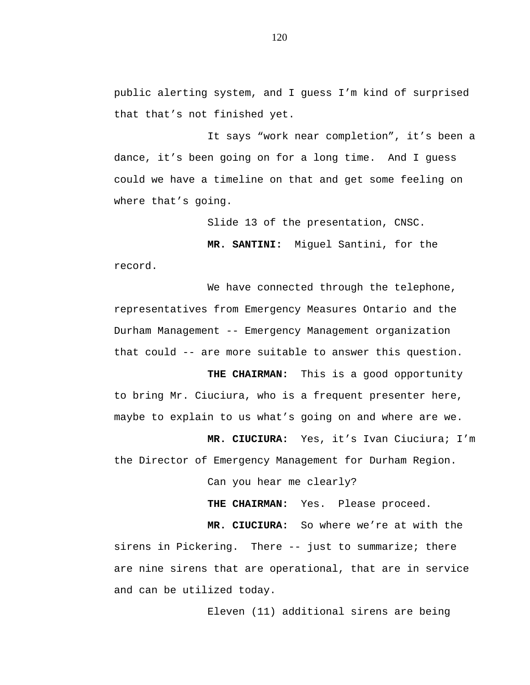public alerting system, and I guess I'm kind of surprised that that's not finished yet.

It says "work near completion", it's been a dance, it's been going on for a long time. And I guess could we have a timeline on that and get some feeling on where that's going.

Slide 13 of the presentation, CNSC.

**MR. SANTINI:** Miguel Santini, for the record.

We have connected through the telephone, representatives from Emergency Measures Ontario and the Durham Management -- Emergency Management organization that could -- are more suitable to answer this question.

**THE CHAIRMAN:** This is a good opportunity to bring Mr. Ciuciura, who is a frequent presenter here, maybe to explain to us what's going on and where are we.

**MR. CIUCIURA:** Yes, it's Ivan Ciuciura; I'm the Director of Emergency Management for Durham Region.

Can you hear me clearly?

**THE CHAIRMAN:** Yes. Please proceed.

**MR. CIUCIURA:** So where we're at with the sirens in Pickering. There -- just to summarize; there are nine sirens that are operational, that are in service and can be utilized today.

Eleven (11) additional sirens are being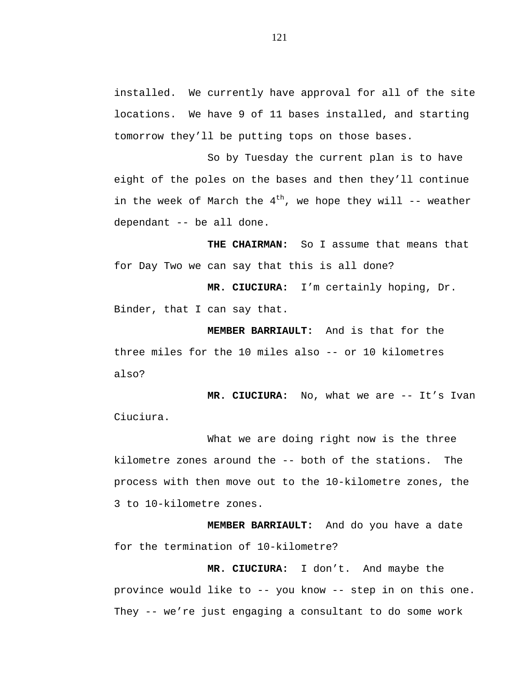installed. We currently have approval for all of the site locations. We have 9 of 11 bases installed, and starting tomorrow they'll be putting tops on those bases.

So by Tuesday the current plan is to have eight of the poles on the bases and then they'll continue in the week of March the  $4^{th}$ , we hope they will -- weather dependant -- be all done.

**THE CHAIRMAN:** So I assume that means that for Day Two we can say that this is all done?

**MR. CIUCIURA:** I'm certainly hoping, Dr. Binder, that I can say that.

**MEMBER BARRIAULT:** And is that for the three miles for the 10 miles also -- or 10 kilometres also?

**MR. CIUCIURA:** No, what we are -- It's Ivan Ciuciura.

What we are doing right now is the three kilometre zones around the -- both of the stations. The process with then move out to the 10-kilometre zones, the 3 to 10-kilometre zones.

**MEMBER BARRIAULT:** And do you have a date for the termination of 10-kilometre?

**MR. CIUCIURA:** I don't. And maybe the province would like to -- you know -- step in on this one. They -- we're just engaging a consultant to do some work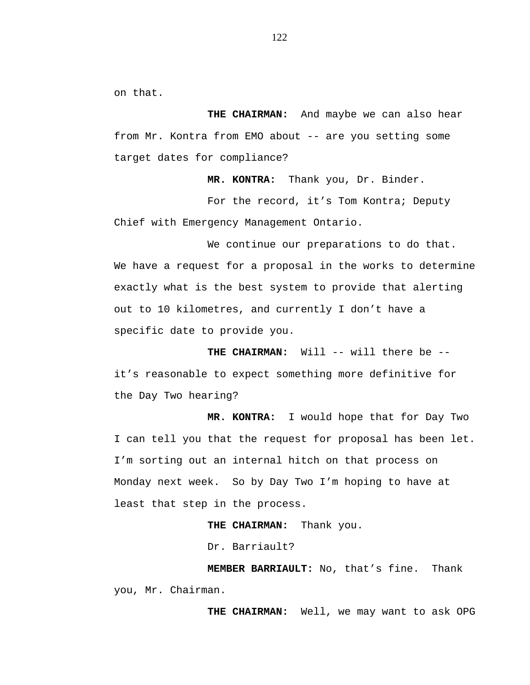on that.

**THE CHAIRMAN:** And maybe we can also hear from Mr. Kontra from EMO about -- are you setting some target dates for compliance?

**MR. KONTRA:** Thank you, Dr. Binder.

For the record, it's Tom Kontra; Deputy Chief with Emergency Management Ontario.

We continue our preparations to do that. We have a request for a proposal in the works to determine exactly what is the best system to provide that alerting out to 10 kilometres, and currently I don't have a specific date to provide you.

**THE CHAIRMAN:** Will -- will there be - it's reasonable to expect something more definitive for the Day Two hearing?

**MR. KONTRA:** I would hope that for Day Two I can tell you that the request for proposal has been let. I'm sorting out an internal hitch on that process on Monday next week. So by Day Two I'm hoping to have at least that step in the process.

**THE CHAIRMAN:** Thank you.

Dr. Barriault?

**MEMBER BARRIAULT:** No, that's fine. Thank you, Mr. Chairman.

**THE CHAIRMAN:** Well, we may want to ask OPG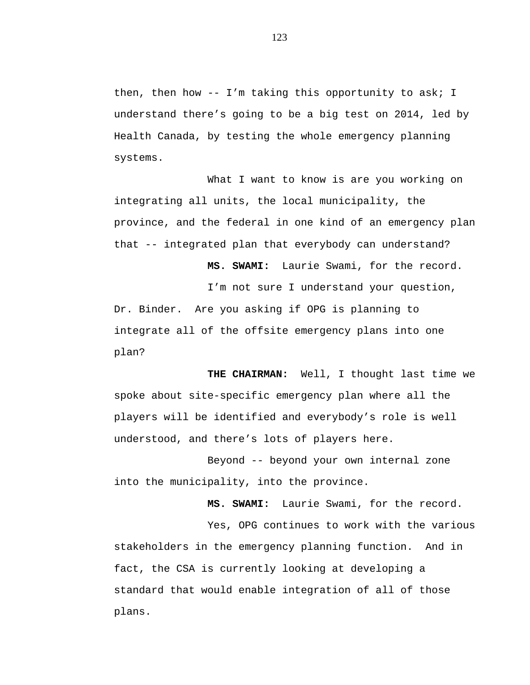then, then how -- I'm taking this opportunity to ask; I understand there's going to be a big test on 2014, led by Health Canada, by testing the whole emergency planning systems.

What I want to know is are you working on integrating all units, the local municipality, the province, and the federal in one kind of an emergency plan that -- integrated plan that everybody can understand?

**MS. SWAMI:** Laurie Swami, for the record. I'm not sure I understand your question, Dr. Binder. Are you asking if OPG is planning to integrate all of the offsite emergency plans into one plan?

**THE CHAIRMAN:** Well, I thought last time we spoke about site-specific emergency plan where all the players will be identified and everybody's role is well understood, and there's lots of players here.

Beyond -- beyond your own internal zone into the municipality, into the province.

**MS. SWAMI:** Laurie Swami, for the record. Yes, OPG continues to work with the various stakeholders in the emergency planning function. And in fact, the CSA is currently looking at developing a standard that would enable integration of all of those plans.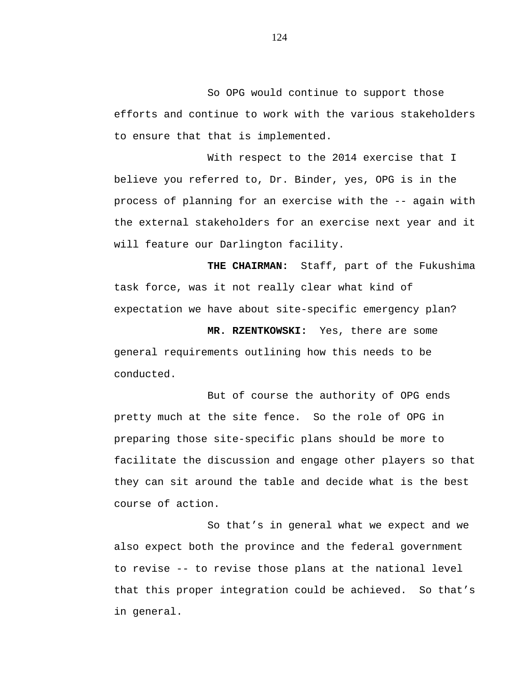So OPG would continue to support those efforts and continue to work with the various stakeholders to ensure that that is implemented.

With respect to the 2014 exercise that I believe you referred to, Dr. Binder, yes, OPG is in the process of planning for an exercise with the -- again with the external stakeholders for an exercise next year and it will feature our Darlington facility.

**THE CHAIRMAN:** Staff, part of the Fukushima task force, was it not really clear what kind of expectation we have about site-specific emergency plan?

**MR. RZENTKOWSKI:** Yes, there are some general requirements outlining how this needs to be conducted.

But of course the authority of OPG ends pretty much at the site fence. So the role of OPG in preparing those site-specific plans should be more to facilitate the discussion and engage other players so that they can sit around the table and decide what is the best course of action.

So that's in general what we expect and we also expect both the province and the federal government to revise -- to revise those plans at the national level that this proper integration could be achieved. So that's in general.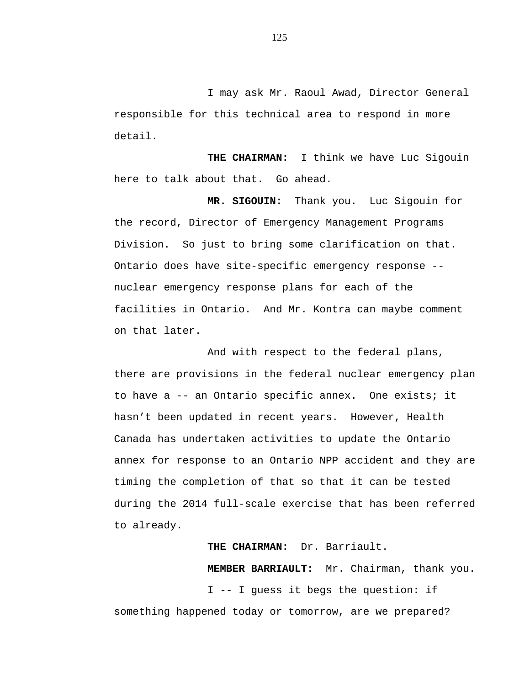I may ask Mr. Raoul Awad, Director General responsible for this technical area to respond in more detail.

**THE CHAIRMAN:** I think we have Luc Sigouin here to talk about that. Go ahead.

**MR. SIGOUIN:** Thank you. Luc Sigouin for the record, Director of Emergency Management Programs Division. So just to bring some clarification on that. Ontario does have site-specific emergency response - nuclear emergency response plans for each of the facilities in Ontario. And Mr. Kontra can maybe comment on that later.

And with respect to the federal plans, there are provisions in the federal nuclear emergency plan to have a -- an Ontario specific annex. One exists; it hasn't been updated in recent years. However, Health Canada has undertaken activities to update the Ontario annex for response to an Ontario NPP accident and they are timing the completion of that so that it can be tested during the 2014 full-scale exercise that has been referred to already.

## **THE CHAIRMAN:** Dr. Barriault.

**MEMBER BARRIAULT:** Mr. Chairman, thank you. I -- I guess it begs the question: if something happened today or tomorrow, are we prepared?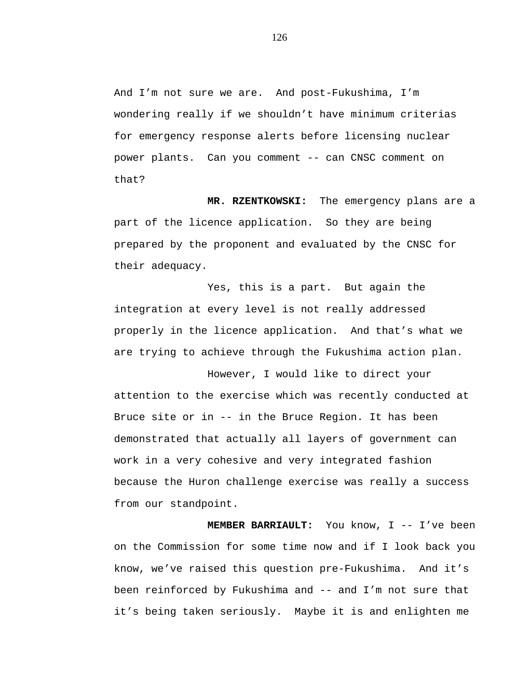And I'm not sure we are. And post-Fukushima, I'm wondering really if we shouldn't have minimum criterias for emergency response alerts before licensing nuclear power plants. Can you comment -- can CNSC comment on that?

**MR. RZENTKOWSKI:** The emergency plans are a part of the licence application. So they are being prepared by the proponent and evaluated by the CNSC for their adequacy.

Yes, this is a part. But again the integration at every level is not really addressed properly in the licence application. And that's what we are trying to achieve through the Fukushima action plan.

However, I would like to direct your attention to the exercise which was recently conducted at Bruce site or in -- in the Bruce Region. It has been demonstrated that actually all layers of government can work in a very cohesive and very integrated fashion because the Huron challenge exercise was really a success from our standpoint.

**MEMBER BARRIAULT:** You know, I -- I've been on the Commission for some time now and if I look back you know, we've raised this question pre-Fukushima. And it's been reinforced by Fukushima and -- and I'm not sure that it's being taken seriously. Maybe it is and enlighten me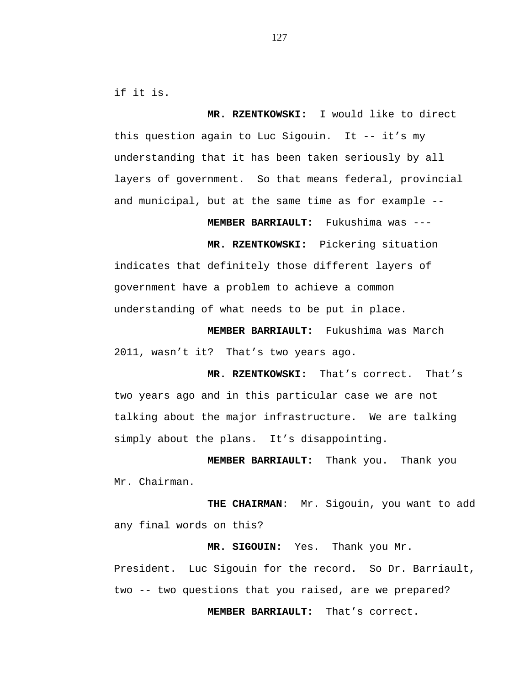if it is.

**MR. RZENTKOWSKI:** I would like to direct this question again to Luc Sigouin. It -- it's my understanding that it has been taken seriously by all layers of government. So that means federal, provincial and municipal, but at the same time as for example --

**MEMBER BARRIAULT:** Fukushima was ---

**MR. RZENTKOWSKI:** Pickering situation indicates that definitely those different layers of government have a problem to achieve a common understanding of what needs to be put in place.

**MEMBER BARRIAULT:** Fukushima was March 2011, wasn't it? That's two years ago.

**MR. RZENTKOWSKI:** That's correct. That's two years ago and in this particular case we are not talking about the major infrastructure. We are talking simply about the plans. It's disappointing.

**MEMBER BARRIAULT:** Thank you. Thank you Mr. Chairman.

**THE CHAIRMAN**: Mr. Sigouin, you want to add any final words on this?

President. Luc Sigouin for the record. So Dr. Barriault, two -- two questions that you raised, are we prepared?

 **MEMBER BARRIAULT:** That's correct.

**MR. SIGOUIN:** Yes. Thank you Mr.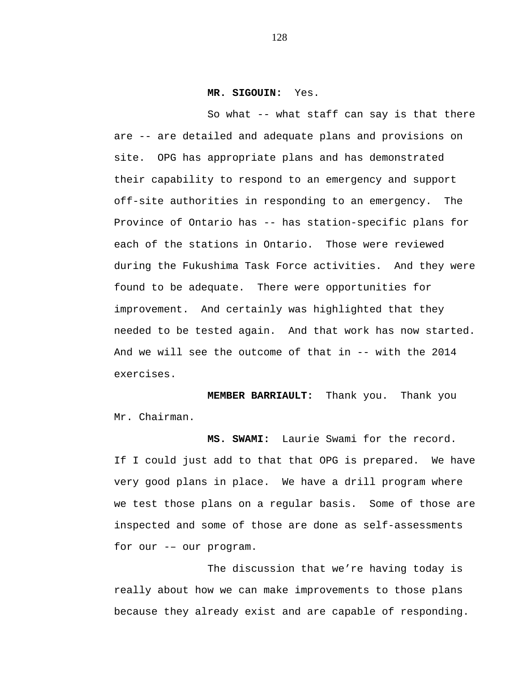## **MR. SIGOUIN:** Yes.

So what -- what staff can say is that there are -- are detailed and adequate plans and provisions on site. OPG has appropriate plans and has demonstrated their capability to respond to an emergency and support off-site authorities in responding to an emergency. The Province of Ontario has -- has station-specific plans for each of the stations in Ontario. Those were reviewed during the Fukushima Task Force activities. And they were found to be adequate. There were opportunities for improvement. And certainly was highlighted that they needed to be tested again. And that work has now started. And we will see the outcome of that in -- with the 2014 exercises.

**MEMBER BARRIAULT:** Thank you. Thank you Mr. Chairman.

**MS. SWAMI:** Laurie Swami for the record. If I could just add to that that OPG is prepared. We have very good plans in place. We have a drill program where we test those plans on a regular basis. Some of those are inspected and some of those are done as self-assessments for our -– our program.

The discussion that we're having today is really about how we can make improvements to those plans because they already exist and are capable of responding.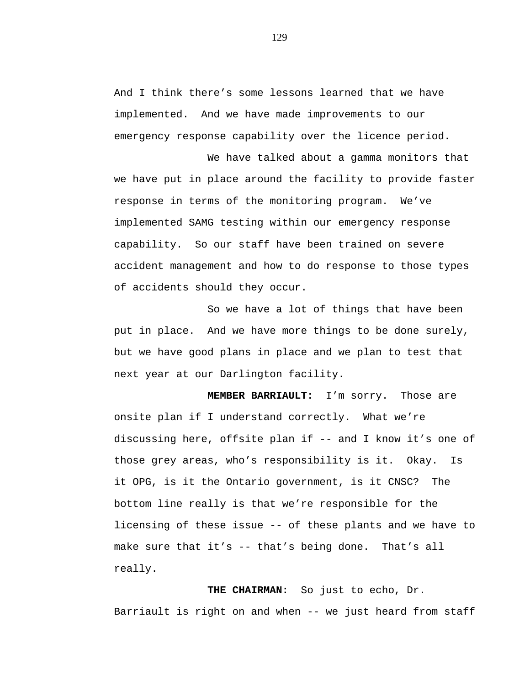And I think there's some lessons learned that we have implemented. And we have made improvements to our emergency response capability over the licence period.

We have talked about a gamma monitors that we have put in place around the facility to provide faster response in terms of the monitoring program. We've implemented SAMG testing within our emergency response capability. So our staff have been trained on severe accident management and how to do response to those types of accidents should they occur.

So we have a lot of things that have been put in place. And we have more things to be done surely, but we have good plans in place and we plan to test that next year at our Darlington facility.

**MEMBER BARRIAULT:** I'm sorry. Those are onsite plan if I understand correctly. What we're discussing here, offsite plan if -- and I know it's one of those grey areas, who's responsibility is it. Okay. Is it OPG, is it the Ontario government, is it CNSC? The bottom line really is that we're responsible for the licensing of these issue -- of these plants and we have to make sure that it's -- that's being done. That's all really.

**THE CHAIRMAN:** So just to echo, Dr. Barriault is right on and when -- we just heard from staff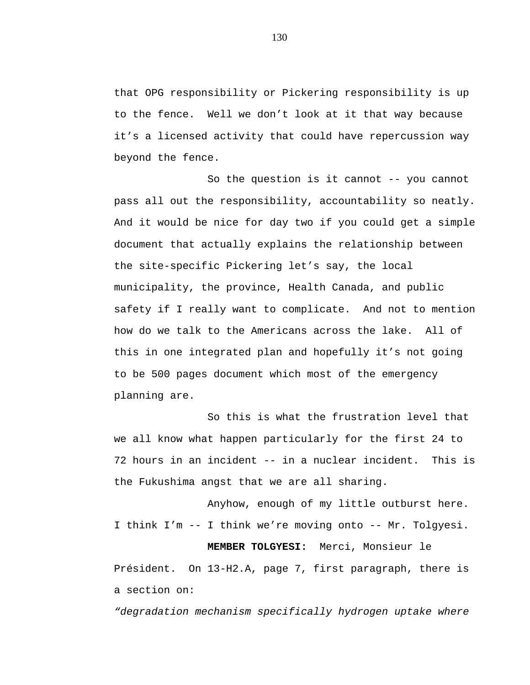that OPG responsibility or Pickering responsibility is up to the fence. Well we don't look at it that way because it's a licensed activity that could have repercussion way beyond the fence.

So the question is it cannot -- you cannot pass all out the responsibility, accountability so neatly. And it would be nice for day two if you could get a simple document that actually explains the relationship between the site-specific Pickering let's say, the local municipality, the province, Health Canada, and public safety if I really want to complicate. And not to mention how do we talk to the Americans across the lake. All of this in one integrated plan and hopefully it's not going to be 500 pages document which most of the emergency planning are.

So this is what the frustration level that we all know what happen particularly for the first 24 to 72 hours in an incident -- in a nuclear incident. This is the Fukushima angst that we are all sharing.

Anyhow, enough of my little outburst here. I think I'm -- I think we're moving onto -- Mr. Tolgyesi. **MEMBER TOLGYESI:** Merci, Monsieur le Président. On 13-H2.A, page 7, first paragraph, there is a section on:

*"degradation mechanism specifically hydrogen uptake where*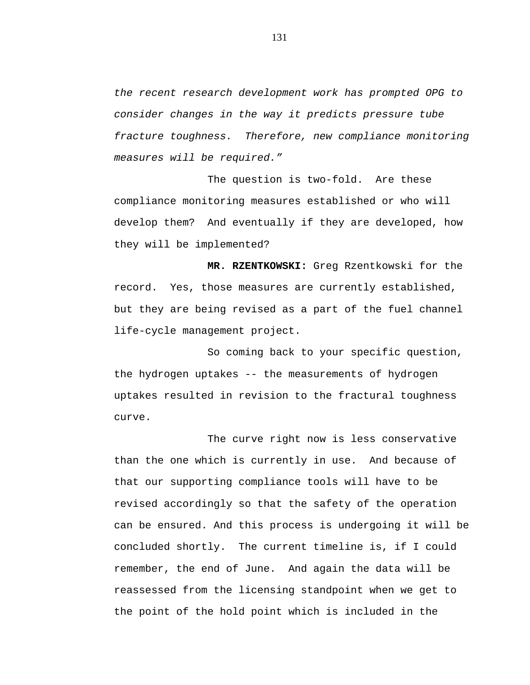*the recent research development work has prompted OPG to consider changes in the way it predicts pressure tube fracture toughness. Therefore, new compliance monitoring measures will be required."* 

The question is two-fold. Are these compliance monitoring measures established or who will develop them? And eventually if they are developed, how they will be implemented?

**MR. RZENTKOWSKI:** Greg Rzentkowski for the record. Yes, those measures are currently established, but they are being revised as a part of the fuel channel life-cycle management project.

So coming back to your specific question, the hydrogen uptakes -- the measurements of hydrogen uptakes resulted in revision to the fractural toughness curve.

The curve right now is less conservative than the one which is currently in use. And because of that our supporting compliance tools will have to be revised accordingly so that the safety of the operation can be ensured. And this process is undergoing it will be concluded shortly. The current timeline is, if I could remember, the end of June. And again the data will be reassessed from the licensing standpoint when we get to the point of the hold point which is included in the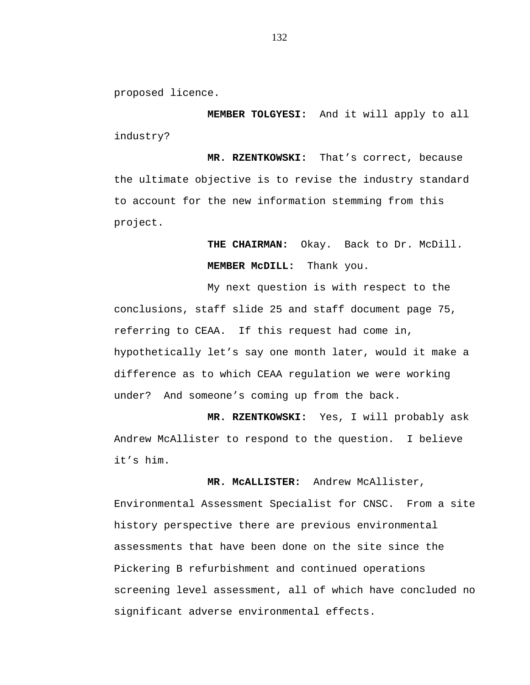proposed licence.

**MEMBER TOLGYESI:** And it will apply to all industry?

**MR. RZENTKOWSKI:** That's correct, because the ultimate objective is to revise the industry standard to account for the new information stemming from this project.

> **THE CHAIRMAN:** Okay. Back to Dr. McDill. **MEMBER McDILL:** Thank you.

My next question is with respect to the conclusions, staff slide 25 and staff document page 75, referring to CEAA. If this request had come in, hypothetically let's say one month later, would it make a difference as to which CEAA regulation we were working under? And someone's coming up from the back.

**MR. RZENTKOWSKI:** Yes, I will probably ask Andrew McAllister to respond to the question. I believe it's him.

 **MR. McALLISTER:** Andrew McAllister,

Environmental Assessment Specialist for CNSC. From a site history perspective there are previous environmental assessments that have been done on the site since the Pickering B refurbishment and continued operations screening level assessment, all of which have concluded no significant adverse environmental effects.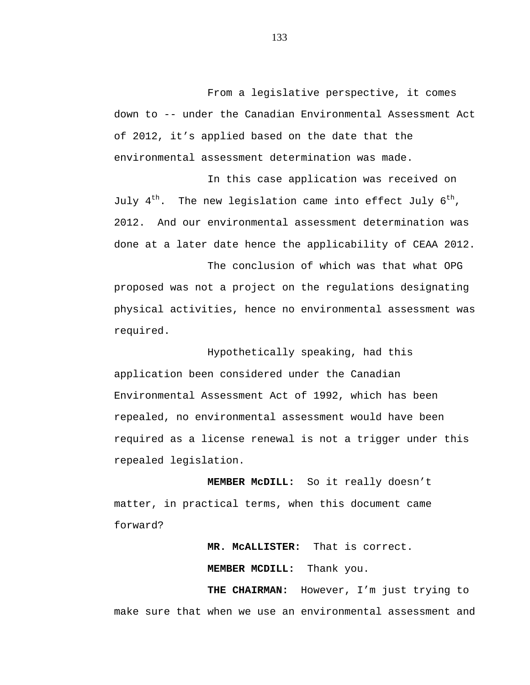From a legislative perspective, it comes down to -- under the Canadian Environmental Assessment Act of 2012, it's applied based on the date that the environmental assessment determination was made.

In this case application was received on July  $4^{th}$ . The new legislation came into effect July  $6^{th}$ , 2012. And our environmental assessment determination was done at a later date hence the applicability of CEAA 2012.

The conclusion of which was that what OPG proposed was not a project on the regulations designating physical activities, hence no environmental assessment was required.

Hypothetically speaking, had this application been considered under the Canadian Environmental Assessment Act of 1992, which has been repealed, no environmental assessment would have been required as a license renewal is not a trigger under this repealed legislation.

**MEMBER McDILL:** So it really doesn't matter, in practical terms, when this document came forward?

> **MR. McALLISTER:** That is correct.  **MEMBER MCDILL:** Thank you.

 **THE CHAIRMAN:** However, I'm just trying to make sure that when we use an environmental assessment and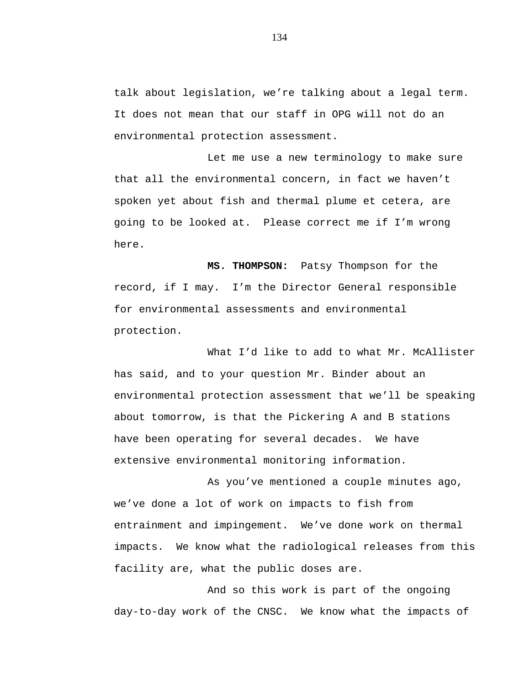talk about legislation, we're talking about a legal term. It does not mean that our staff in OPG will not do an environmental protection assessment.

Let me use a new terminology to make sure that all the environmental concern, in fact we haven't spoken yet about fish and thermal plume et cetera, are going to be looked at. Please correct me if I'm wrong here.

 **MS. THOMPSON:** Patsy Thompson for the record, if I may. I'm the Director General responsible for environmental assessments and environmental protection.

What I'd like to add to what Mr. McAllister has said, and to your question Mr. Binder about an environmental protection assessment that we'll be speaking about tomorrow, is that the Pickering A and B stations have been operating for several decades. We have extensive environmental monitoring information.

As you've mentioned a couple minutes ago, we've done a lot of work on impacts to fish from entrainment and impingement. We've done work on thermal impacts. We know what the radiological releases from this facility are, what the public doses are.

And so this work is part of the ongoing day-to-day work of the CNSC. We know what the impacts of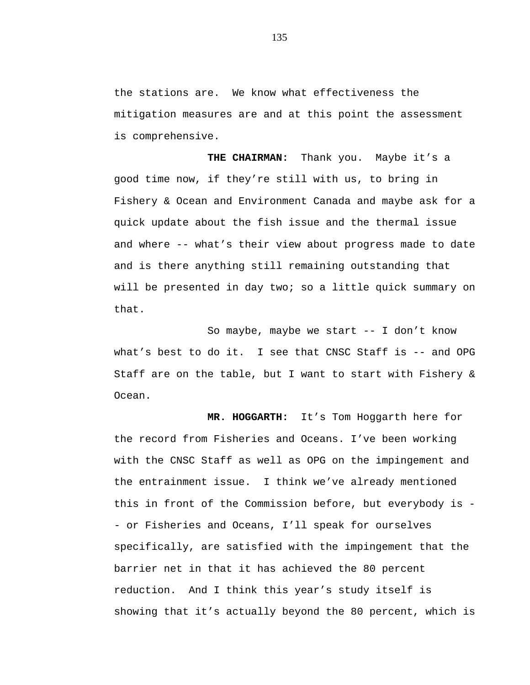the stations are. We know what effectiveness the mitigation measures are and at this point the assessment is comprehensive.

**THE CHAIRMAN:** Thank you. Maybe it's a good time now, if they're still with us, to bring in Fishery & Ocean and Environment Canada and maybe ask for a quick update about the fish issue and the thermal issue and where -- what's their view about progress made to date and is there anything still remaining outstanding that will be presented in day two; so a little quick summary on that.

So maybe, maybe we start -- I don't know what's best to do it. I see that CNSC Staff is -- and OPG Staff are on the table, but I want to start with Fishery & Ocean.

**MR. HOGGARTH:** It's Tom Hoggarth here for the record from Fisheries and Oceans. I've been working with the CNSC Staff as well as OPG on the impingement and the entrainment issue. I think we've already mentioned this in front of the Commission before, but everybody is - or Fisheries and Oceans, I'll speak for ourselves specifically, are satisfied with the impingement that the barrier net in that it has achieved the 80 percent reduction. And I think this year's study itself is showing that it's actually beyond the 80 percent, which is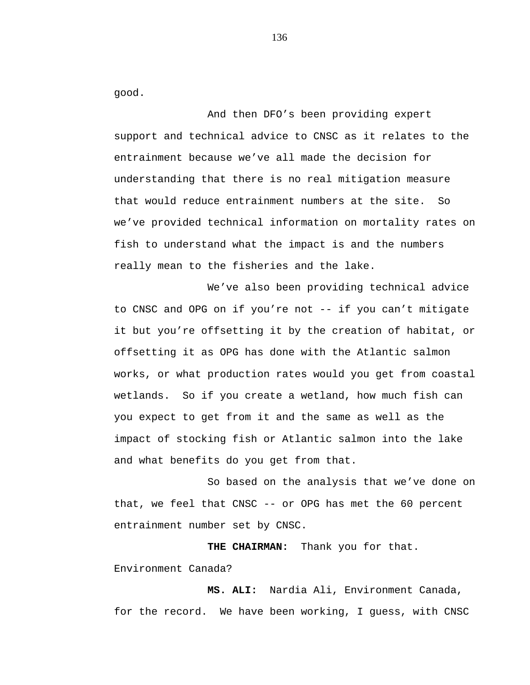good.

And then DFO's been providing expert support and technical advice to CNSC as it relates to the entrainment because we've all made the decision for understanding that there is no real mitigation measure that would reduce entrainment numbers at the site. So we've provided technical information on mortality rates on fish to understand what the impact is and the numbers really mean to the fisheries and the lake.

We've also been providing technical advice to CNSC and OPG on if you're not -- if you can't mitigate it but you're offsetting it by the creation of habitat, or offsetting it as OPG has done with the Atlantic salmon works, or what production rates would you get from coastal wetlands. So if you create a wetland, how much fish can you expect to get from it and the same as well as the impact of stocking fish or Atlantic salmon into the lake and what benefits do you get from that.

So based on the analysis that we've done on that, we feel that CNSC -- or OPG has met the 60 percent entrainment number set by CNSC.

**THE CHAIRMAN:** Thank you for that. Environment Canada?

 **MS. ALI:** Nardia Ali, Environment Canada, for the record. We have been working, I guess, with CNSC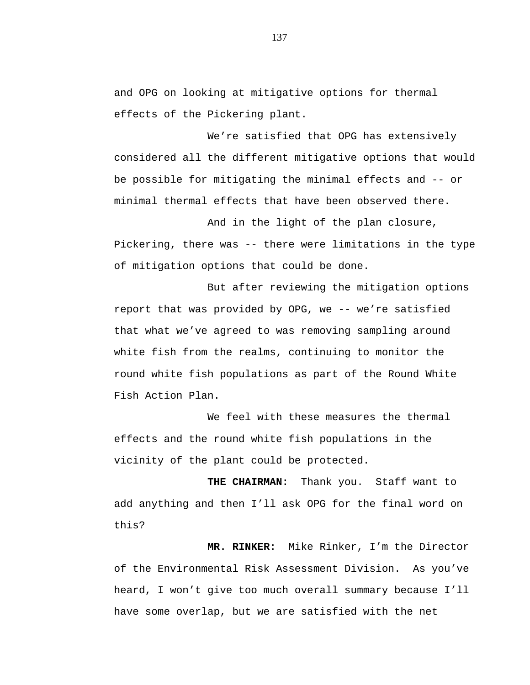and OPG on looking at mitigative options for thermal effects of the Pickering plant.

We're satisfied that OPG has extensively considered all the different mitigative options that would be possible for mitigating the minimal effects and -- or minimal thermal effects that have been observed there.

And in the light of the plan closure, Pickering, there was -- there were limitations in the type of mitigation options that could be done.

But after reviewing the mitigation options report that was provided by OPG, we -- we're satisfied that what we've agreed to was removing sampling around white fish from the realms, continuing to monitor the round white fish populations as part of the Round White Fish Action Plan.

We feel with these measures the thermal effects and the round white fish populations in the vicinity of the plant could be protected.

**THE CHAIRMAN:** Thank you. Staff want to add anything and then I'll ask OPG for the final word on this?

 **MR. RINKER:** Mike Rinker, I'm the Director of the Environmental Risk Assessment Division. As you've heard, I won't give too much overall summary because I'll have some overlap, but we are satisfied with the net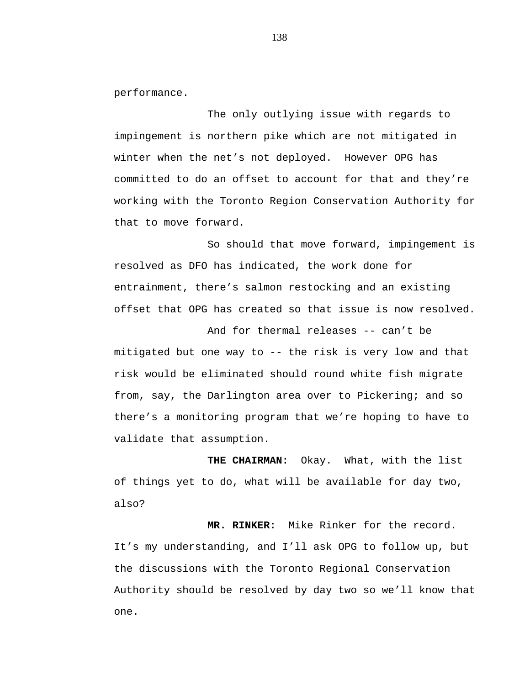performance.

The only outlying issue with regards to impingement is northern pike which are not mitigated in winter when the net's not deployed. However OPG has committed to do an offset to account for that and they're working with the Toronto Region Conservation Authority for that to move forward.

So should that move forward, impingement is resolved as DFO has indicated, the work done for entrainment, there's salmon restocking and an existing offset that OPG has created so that issue is now resolved.

And for thermal releases -- can't be mitigated but one way to -- the risk is very low and that risk would be eliminated should round white fish migrate from, say, the Darlington area over to Pickering; and so there's a monitoring program that we're hoping to have to validate that assumption.

**THE CHAIRMAN:** Okay. What, with the list of things yet to do, what will be available for day two, also?

 **MR. RINKER:** Mike Rinker for the record. It's my understanding, and I'll ask OPG to follow up, but the discussions with the Toronto Regional Conservation Authority should be resolved by day two so we'll know that one.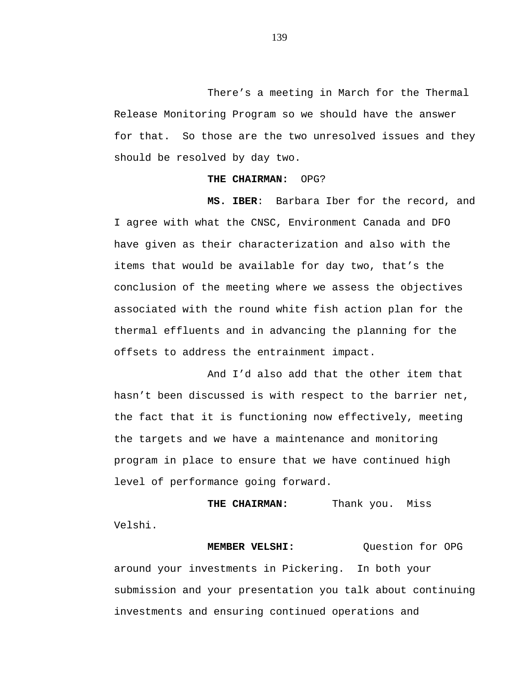There's a meeting in March for the Thermal Release Monitoring Program so we should have the answer for that. So those are the two unresolved issues and they should be resolved by day two.

## **THE CHAIRMAN:** OPG?

 **MS. IBER**: Barbara Iber for the record, and I agree with what the CNSC, Environment Canada and DFO have given as their characterization and also with the items that would be available for day two, that's the conclusion of the meeting where we assess the objectives associated with the round white fish action plan for the thermal effluents and in advancing the planning for the offsets to address the entrainment impact.

And I'd also add that the other item that hasn't been discussed is with respect to the barrier net, the fact that it is functioning now effectively, meeting the targets and we have a maintenance and monitoring program in place to ensure that we have continued high level of performance going forward.

**THE CHAIRMAN:** Thank you. Miss Velshi.

**MEMBER VELSHI:** Ouestion for OPG around your investments in Pickering. In both your submission and your presentation you talk about continuing investments and ensuring continued operations and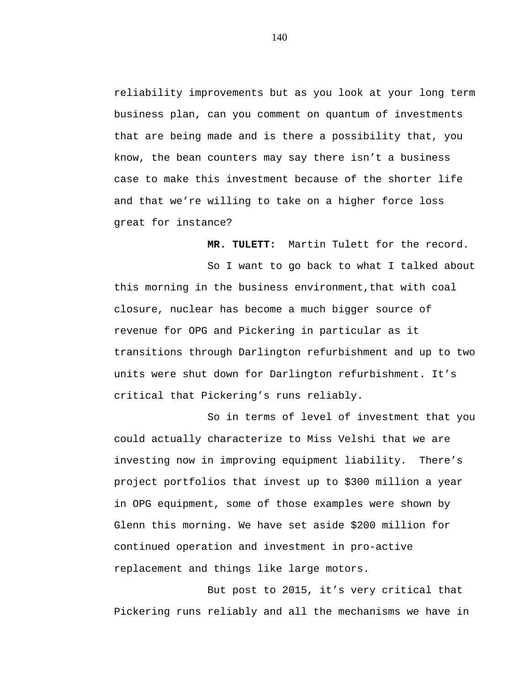reliability improvements but as you look at your long term business plan, can you comment on quantum of investments that are being made and is there a possibility that, you know, the bean counters may say there isn't a business case to make this investment because of the shorter life and that we're willing to take on a higher force loss great for instance?

**MR. TULETT:** Martin Tulett for the record.

So I want to go back to what I talked about this morning in the business environment,that with coal closure, nuclear has become a much bigger source of revenue for OPG and Pickering in particular as it transitions through Darlington refurbishment and up to two units were shut down for Darlington refurbishment. It's critical that Pickering's runs reliably.

So in terms of level of investment that you could actually characterize to Miss Velshi that we are investing now in improving equipment liability. There's project portfolios that invest up to \$300 million a year in OPG equipment, some of those examples were shown by Glenn this morning. We have set aside \$200 million for continued operation and investment in pro-active replacement and things like large motors.

But post to 2015, it's very critical that Pickering runs reliably and all the mechanisms we have in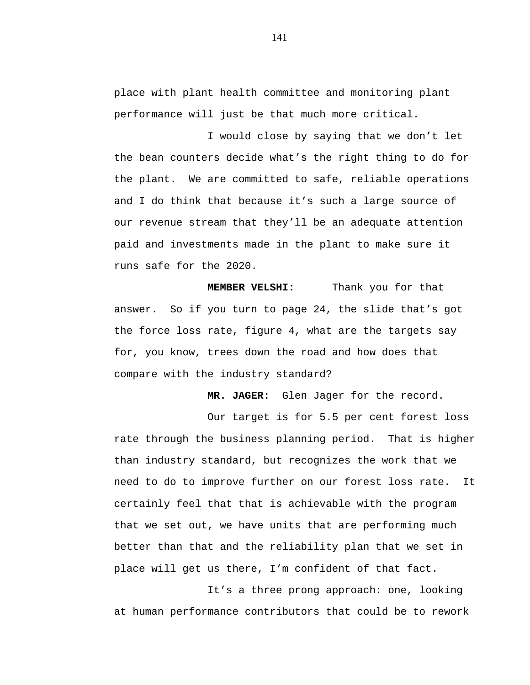place with plant health committee and monitoring plant performance will just be that much more critical.

I would close by saying that we don't let the bean counters decide what's the right thing to do for the plant. We are committed to safe, reliable operations and I do think that because it's such a large source of our revenue stream that they'll be an adequate attention paid and investments made in the plant to make sure it runs safe for the 2020.

**MEMBER VELSHI:** Thank you for that answer. So if you turn to page 24, the slide that's got the force loss rate, figure 4, what are the targets say for, you know, trees down the road and how does that compare with the industry standard?

 **MR. JAGER:** Glen Jager for the record.

Our target is for 5.5 per cent forest loss rate through the business planning period. That is higher than industry standard, but recognizes the work that we need to do to improve further on our forest loss rate. It certainly feel that that is achievable with the program that we set out, we have units that are performing much better than that and the reliability plan that we set in place will get us there, I'm confident of that fact.

It's a three prong approach: one, looking at human performance contributors that could be to rework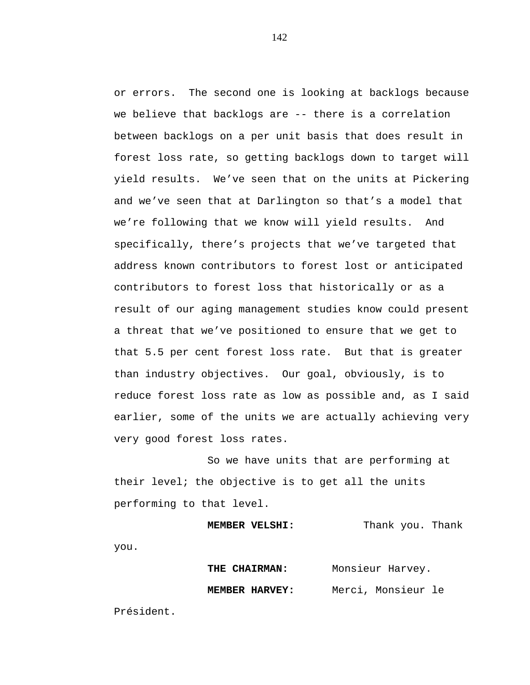or errors. The second one is looking at backlogs because we believe that backlogs are -- there is a correlation between backlogs on a per unit basis that does result in forest loss rate, so getting backlogs down to target will yield results. We've seen that on the units at Pickering and we've seen that at Darlington so that's a model that we're following that we know will yield results. And specifically, there's projects that we've targeted that address known contributors to forest lost or anticipated contributors to forest loss that historically or as a result of our aging management studies know could present a threat that we've positioned to ensure that we get to that 5.5 per cent forest loss rate. But that is greater than industry objectives. Our goal, obviously, is to reduce forest loss rate as low as possible and, as I said earlier, some of the units we are actually achieving very very good forest loss rates.

So we have units that are performing at their level; the objective is to get all the units performing to that level.

```
MEMBER VELSHI:
            Thank you. Thank
```
you.

| THE CHAIRMAN:  | Monsieur Harvey.   |
|----------------|--------------------|
| MEMBER HARVEY: | Merci, Monsieur le |

Président.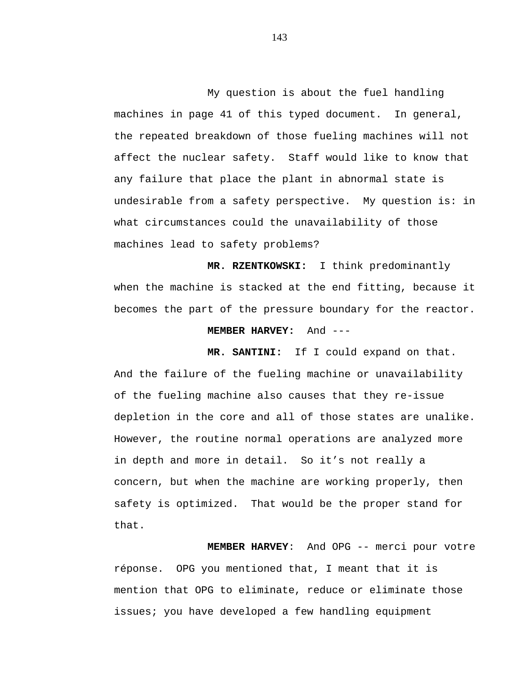My question is about the fuel handling machines in page 41 of this typed document. In general, the repeated breakdown of those fueling machines will not affect the nuclear safety. Staff would like to know that any failure that place the plant in abnormal state is undesirable from a safety perspective. My question is: in what circumstances could the unavailability of those machines lead to safety problems?

**MR. RZENTKOWSKI:** I think predominantly when the machine is stacked at the end fitting, because it becomes the part of the pressure boundary for the reactor.

#### **MEMBER HARVEY:** And ---

**MR. SANTINI:** If I could expand on that. And the failure of the fueling machine or unavailability of the fueling machine also causes that they re-issue depletion in the core and all of those states are unalike. However, the routine normal operations are analyzed more in depth and more in detail. So it's not really a concern, but when the machine are working properly, then safety is optimized. That would be the proper stand for that.

**MEMBER HARVEY**: And OPG -- merci pour votre réponse. OPG you mentioned that, I meant that it is mention that OPG to eliminate, reduce or eliminate those issues; you have developed a few handling equipment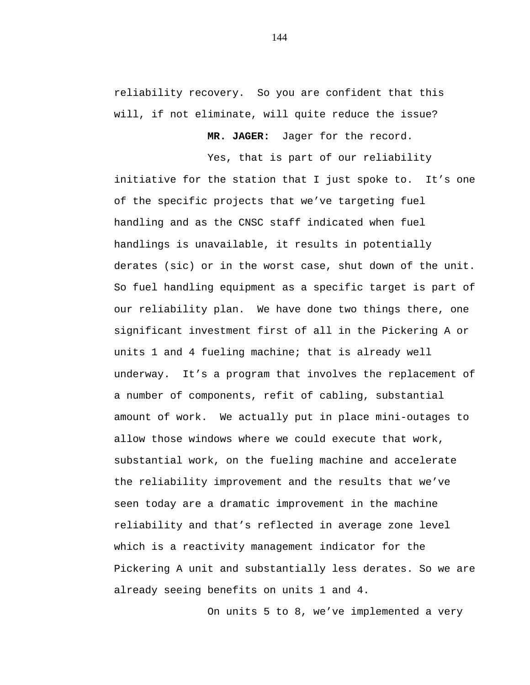reliability recovery. So you are confident that this will, if not eliminate, will quite reduce the issue?

**MR. JAGER:** Jager for the record.

Yes, that is part of our reliability

initiative for the station that I just spoke to. It's one of the specific projects that we've targeting fuel handling and as the CNSC staff indicated when fuel handlings is unavailable, it results in potentially derates (sic) or in the worst case, shut down of the unit. So fuel handling equipment as a specific target is part of our reliability plan. We have done two things there, one significant investment first of all in the Pickering A or units 1 and 4 fueling machine; that is already well underway. It's a program that involves the replacement of a number of components, refit of cabling, substantial amount of work. We actually put in place mini-outages to allow those windows where we could execute that work, substantial work, on the fueling machine and accelerate the reliability improvement and the results that we've seen today are a dramatic improvement in the machine reliability and that's reflected in average zone level which is a reactivity management indicator for the Pickering A unit and substantially less derates. So we are already seeing benefits on units 1 and 4.

On units 5 to 8, we've implemented a very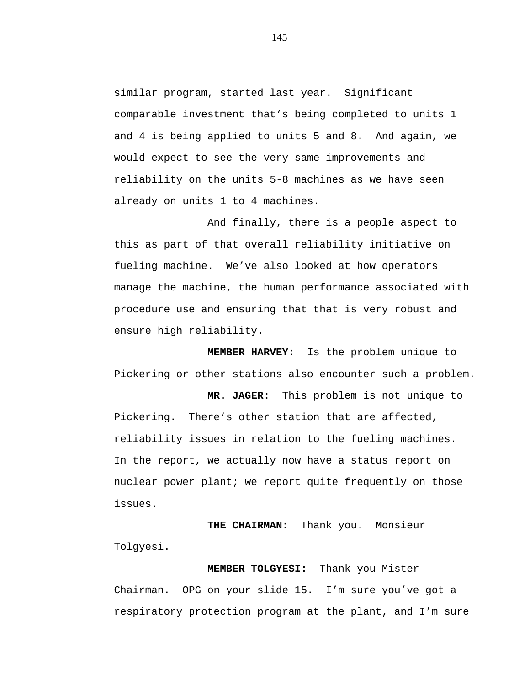similar program, started last year. Significant comparable investment that's being completed to units 1 and 4 is being applied to units 5 and 8. And again, we would expect to see the very same improvements and reliability on the units 5-8 machines as we have seen already on units 1 to 4 machines.

And finally, there is a people aspect to this as part of that overall reliability initiative on fueling machine. We've also looked at how operators manage the machine, the human performance associated with procedure use and ensuring that that is very robust and ensure high reliability.

**MEMBER HARVEY:** Is the problem unique to Pickering or other stations also encounter such a problem.

 **MR. JAGER:** This problem is not unique to Pickering. There's other station that are affected, reliability issues in relation to the fueling machines. In the report, we actually now have a status report on nuclear power plant; we report quite frequently on those issues.

 **THE CHAIRMAN:** Thank you. Monsieur Tolgyesi.

 **MEMBER TOLGYESI:** Thank you Mister Chairman. OPG on your slide 15. I'm sure you've got a respiratory protection program at the plant, and I'm sure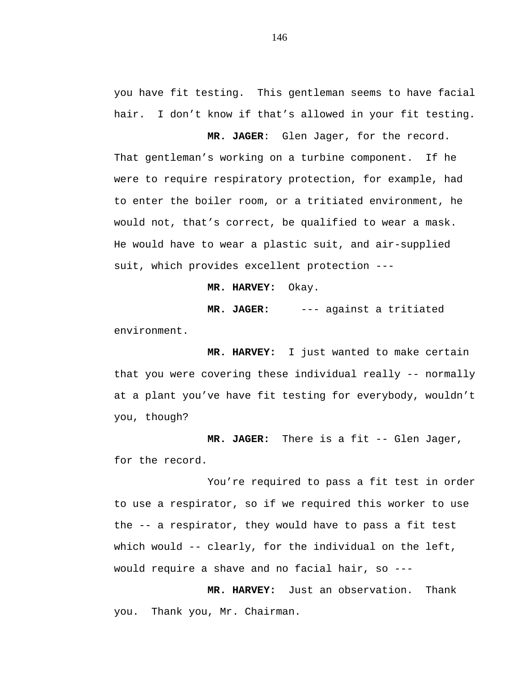you have fit testing. This gentleman seems to have facial hair. I don't know if that's allowed in your fit testing.

**MR. JAGER**: Glen Jager, for the record. That gentleman's working on a turbine component. If he were to require respiratory protection, for example, had to enter the boiler room, or a tritiated environment, he would not, that's correct, be qualified to wear a mask. He would have to wear a plastic suit, and air-supplied suit, which provides excellent protection ---

**MR. HARVEY:** Okay.

 **MR. JAGER:** --- against a tritiated

environment.

**MR. HARVEY:** I just wanted to make certain that you were covering these individual really -- normally at a plant you've have fit testing for everybody, wouldn't you, though?

**MR. JAGER:** There is a fit -- Glen Jager, for the record.

You're required to pass a fit test in order to use a respirator, so if we required this worker to use the -- a respirator, they would have to pass a fit test which would -- clearly, for the individual on the left, would require a shave and no facial hair, so ---

**MR. HARVEY:** Just an observation. Thank you. Thank you, Mr. Chairman.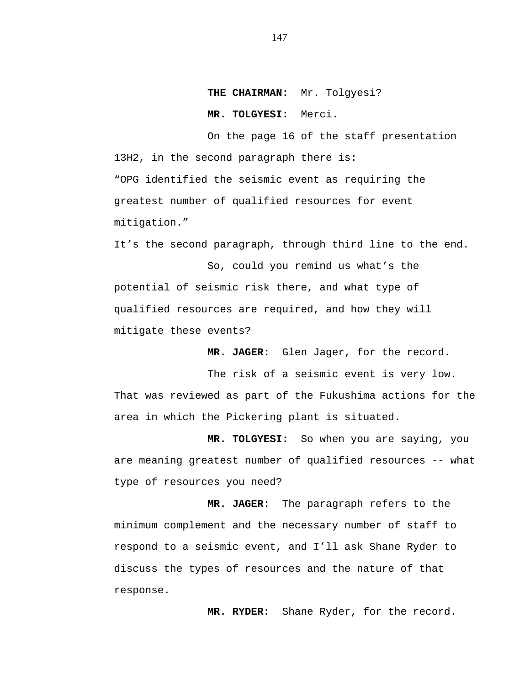**THE CHAIRMAN:** Mr. Tolgyesi?

 **MR. TOLGYESI:** Merci.

On the page 16 of the staff presentation 13H2, in the second paragraph there is: "OPG identified the seismic event as requiring the greatest number of qualified resources for event mitigation."

It's the second paragraph, through third line to the end.

So, could you remind us what's the potential of seismic risk there, and what type of qualified resources are required, and how they will mitigate these events?

**MR. JAGER:** Glen Jager, for the record.

The risk of a seismic event is very low. That was reviewed as part of the Fukushima actions for the area in which the Pickering plant is situated.

**MR. TOLGYESI:** So when you are saying, you are meaning greatest number of qualified resources -- what type of resources you need?

 **MR. JAGER:** The paragraph refers to the minimum complement and the necessary number of staff to respond to a seismic event, and I'll ask Shane Ryder to discuss the types of resources and the nature of that response.

 **MR. RYDER:** Shane Ryder, for the record.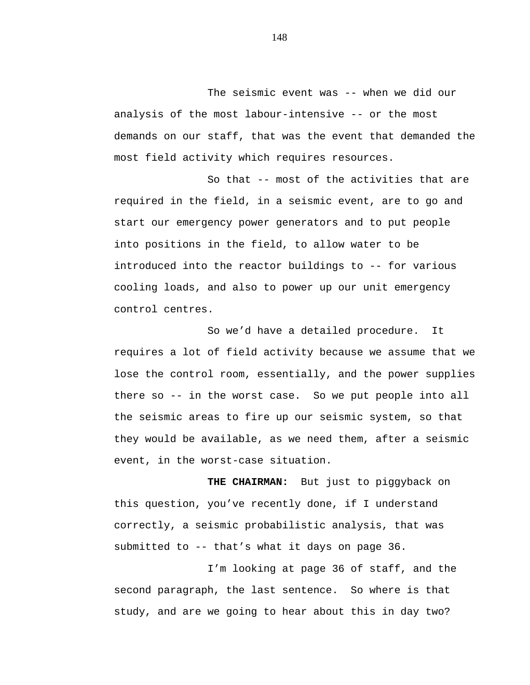The seismic event was -- when we did our analysis of the most labour-intensive -- or the most demands on our staff, that was the event that demanded the most field activity which requires resources.

So that -- most of the activities that are required in the field, in a seismic event, are to go and start our emergency power generators and to put people into positions in the field, to allow water to be introduced into the reactor buildings to -- for various cooling loads, and also to power up our unit emergency control centres.

So we'd have a detailed procedure. It requires a lot of field activity because we assume that we lose the control room, essentially, and the power supplies there so -- in the worst case. So we put people into all the seismic areas to fire up our seismic system, so that they would be available, as we need them, after a seismic event, in the worst-case situation.

**THE CHAIRMAN:** But just to piggyback on this question, you've recently done, if I understand correctly, a seismic probabilistic analysis, that was submitted to -- that's what it days on page 36.

I'm looking at page 36 of staff, and the second paragraph, the last sentence. So where is that study, and are we going to hear about this in day two?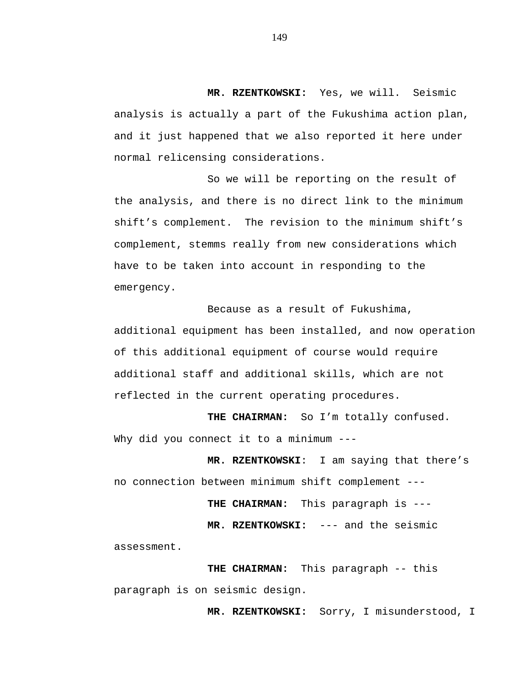**MR. RZENTKOWSKI:** Yes, we will. Seismic analysis is actually a part of the Fukushima action plan, and it just happened that we also reported it here under normal relicensing considerations.

So we will be reporting on the result of the analysis, and there is no direct link to the minimum shift's complement. The revision to the minimum shift's complement, stemms really from new considerations which have to be taken into account in responding to the emergency.

Because as a result of Fukushima, additional equipment has been installed, and now operation of this additional equipment of course would require additional staff and additional skills, which are not reflected in the current operating procedures.

**THE CHAIRMAN:** So I'm totally confused. Why did you connect it to a minimum ---

 **MR. RZENTKOWSKI**: I am saying that there's no connection between minimum shift complement ---

 **THE CHAIRMAN:** This paragraph is ---

 **MR. RZENTKOWSKI:** --- and the seismic

assessment.

 **THE CHAIRMAN:** This paragraph -- this paragraph is on seismic design.

 **MR. RZENTKOWSKI:** Sorry, I misunderstood, I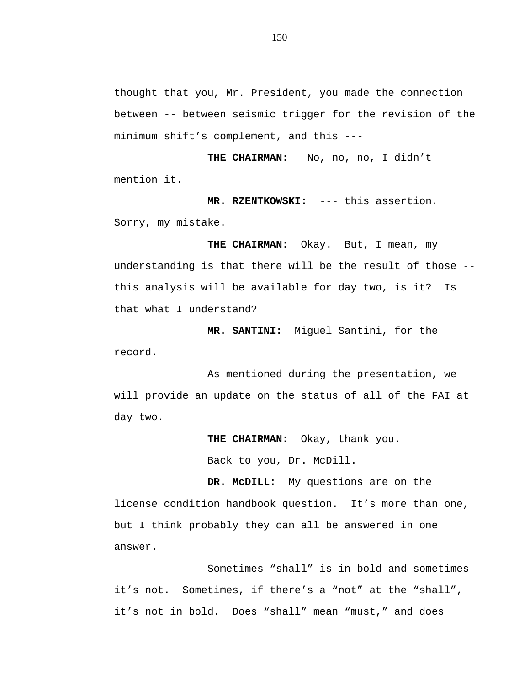thought that you, Mr. President, you made the connection between -- between seismic trigger for the revision of the minimum shift's complement, and this ---

THE CHAIRMAN: No, no, no, I didn't mention it.

 **MR. RZENTKOWSKI:** --- this assertion. Sorry, my mistake.

 **THE CHAIRMAN:** Okay. But, I mean, my understanding is that there will be the result of those - this analysis will be available for day two, is it? Is that what I understand?

**MR. SANTINI:** Miguel Santini, for the record.

As mentioned during the presentation, we will provide an update on the status of all of the FAI at day two.

> **THE CHAIRMAN:** Okay, thank you. Back to you, Dr. McDill.

**DR. McDILL:** My questions are on the license condition handbook question. It's more than one, but I think probably they can all be answered in one answer.

Sometimes "shall" is in bold and sometimes it's not. Sometimes, if there's a "not" at the "shall", it's not in bold. Does "shall" mean "must," and does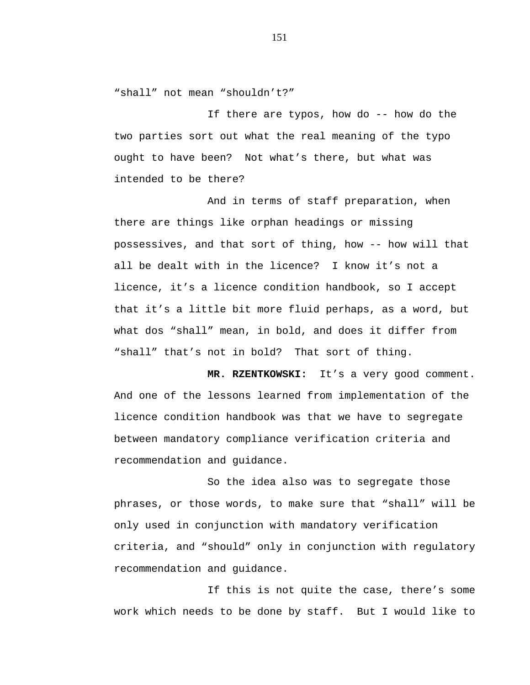"shall" not mean "shouldn't?"

If there are typos, how do -- how do the two parties sort out what the real meaning of the typo ought to have been? Not what's there, but what was intended to be there?

And in terms of staff preparation, when there are things like orphan headings or missing possessives, and that sort of thing, how -- how will that all be dealt with in the licence? I know it's not a licence, it's a licence condition handbook, so I accept that it's a little bit more fluid perhaps, as a word, but what dos "shall" mean, in bold, and does it differ from "shall" that's not in bold? That sort of thing.

**MR. RZENTKOWSKI:** It's a very good comment. And one of the lessons learned from implementation of the licence condition handbook was that we have to segregate between mandatory compliance verification criteria and recommendation and guidance.

So the idea also was to segregate those phrases, or those words, to make sure that "shall" will be only used in conjunction with mandatory verification criteria, and "should" only in conjunction with regulatory recommendation and guidance.

If this is not quite the case, there's some work which needs to be done by staff. But I would like to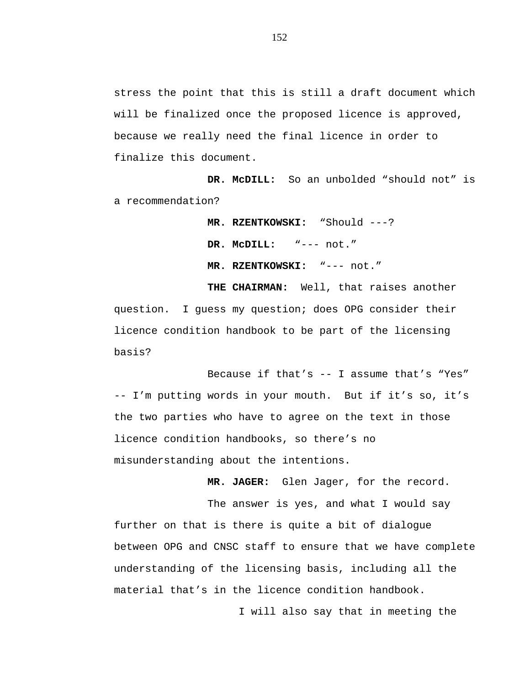stress the point that this is still a draft document which will be finalized once the proposed licence is approved, because we really need the final licence in order to finalize this document.

**DR. McDILL:** So an unbolded "should not" is a recommendation?

> **MR. RZENTKOWSKI:** "Should ---? **DR. McDILL:** "--- not."  **MR. RZENTKOWSKI:** "--- not."

**THE CHAIRMAN:** Well, that raises another question. I guess my question; does OPG consider their licence condition handbook to be part of the licensing basis?

Because if that's -- I assume that's "Yes" -- I'm putting words in your mouth. But if it's so, it's the two parties who have to agree on the text in those licence condition handbooks, so there's no misunderstanding about the intentions.

**MR. JAGER:** Glen Jager, for the record.

The answer is yes, and what I would say further on that is there is quite a bit of dialogue between OPG and CNSC staff to ensure that we have complete understanding of the licensing basis, including all the material that's in the licence condition handbook.

I will also say that in meeting the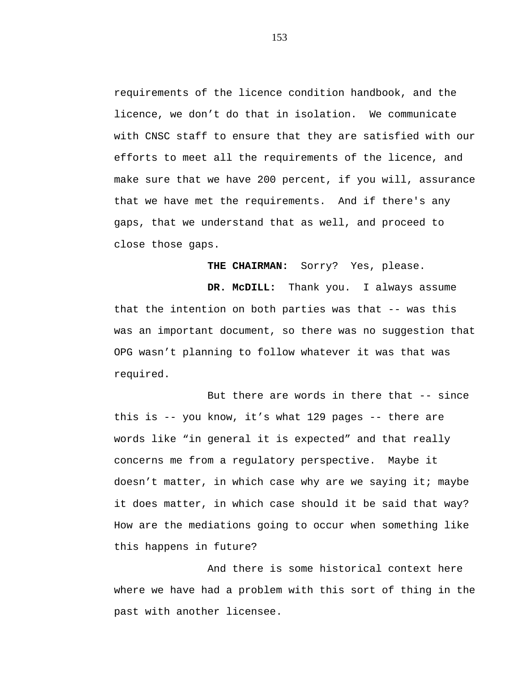requirements of the licence condition handbook, and the licence, we don't do that in isolation. We communicate with CNSC staff to ensure that they are satisfied with our efforts to meet all the requirements of the licence, and make sure that we have 200 percent, if you will, assurance that we have met the requirements. And if there's any gaps, that we understand that as well, and proceed to close those gaps.

**THE CHAIRMAN:** Sorry? Yes, please.

**DR. McDILL:** Thank you. I always assume that the intention on both parties was that -- was this was an important document, so there was no suggestion that OPG wasn't planning to follow whatever it was that was required.

But there are words in there that -- since this is -- you know, it's what 129 pages -- there are words like "in general it is expected" and that really concerns me from a regulatory perspective. Maybe it doesn't matter, in which case why are we saying it; maybe it does matter, in which case should it be said that way? How are the mediations going to occur when something like this happens in future?

And there is some historical context here where we have had a problem with this sort of thing in the past with another licensee.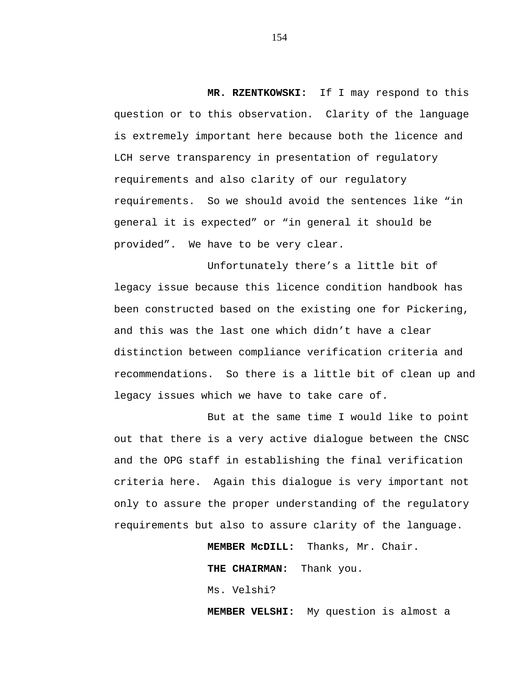**MR. RZENTKOWSKI:** If I may respond to this question or to this observation. Clarity of the language is extremely important here because both the licence and LCH serve transparency in presentation of regulatory requirements and also clarity of our regulatory requirements. So we should avoid the sentences like "in general it is expected" or "in general it should be provided". We have to be very clear.

Unfortunately there's a little bit of legacy issue because this licence condition handbook has been constructed based on the existing one for Pickering, and this was the last one which didn't have a clear distinction between compliance verification criteria and recommendations. So there is a little bit of clean up and legacy issues which we have to take care of.

But at the same time I would like to point out that there is a very active dialogue between the CNSC and the OPG staff in establishing the final verification criteria here. Again this dialogue is very important not only to assure the proper understanding of the regulatory requirements but also to assure clarity of the language.

**MEMBER McDILL:** Thanks, Mr. Chair.

**THE CHAIRMAN:** Thank you.

Ms. Velshi?

**MEMBER VELSHI:** My question is almost a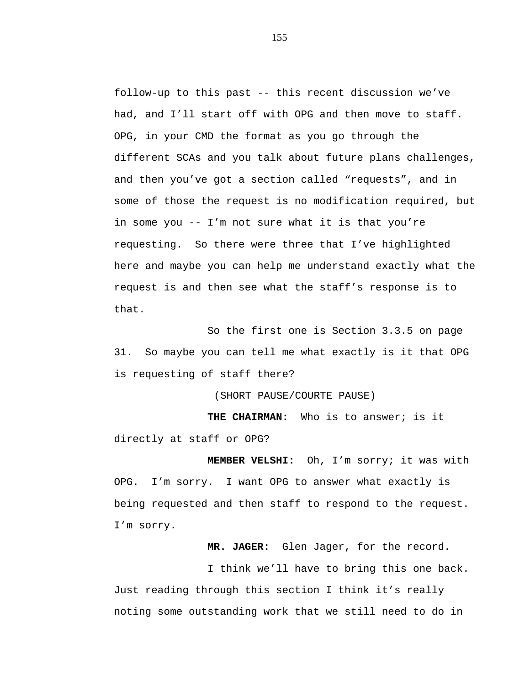follow-up to this past -- this recent discussion we've had, and I'll start off with OPG and then move to staff. OPG, in your CMD the format as you go through the different SCAs and you talk about future plans challenges, and then you've got a section called "requests", and in some of those the request is no modification required, but in some you -- I'm not sure what it is that you're requesting. So there were three that I've highlighted here and maybe you can help me understand exactly what the request is and then see what the staff's response is to that.

So the first one is Section 3.3.5 on page 31. So maybe you can tell me what exactly is it that OPG is requesting of staff there?

(SHORT PAUSE/COURTE PAUSE)

**THE CHAIRMAN:** Who is to answer; is it directly at staff or OPG?

**MEMBER VELSHI:** Oh, I'm sorry; it was with OPG. I'm sorry. I want OPG to answer what exactly is being requested and then staff to respond to the request. I'm sorry.

**MR. JAGER:** Glen Jager, for the record.

I think we'll have to bring this one back. Just reading through this section I think it's really noting some outstanding work that we still need to do in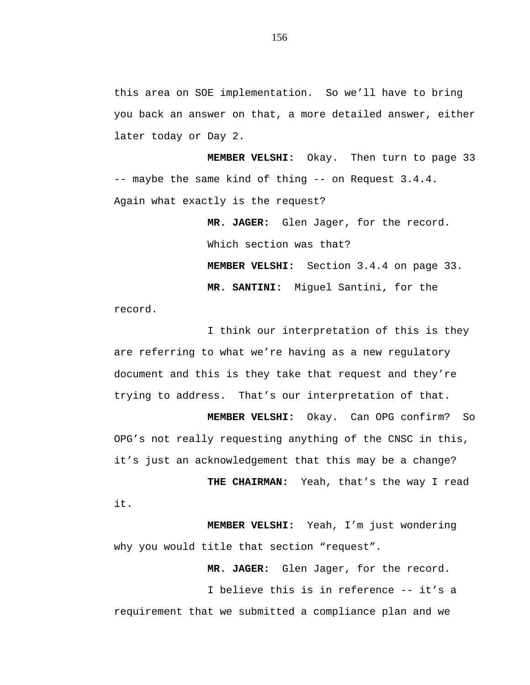this area on SOE implementation. So we'll have to bring you back an answer on that, a more detailed answer, either later today or Day 2.

**MEMBER VELSHI:** Okay. Then turn to page 33 -- maybe the same kind of thing -- on Request 3.4.4. Again what exactly is the request?

> **MR. JAGER:** Glen Jager, for the record. Which section was that? **MEMBER VELSHI:** Section 3.4.4 on page 33.  **MR. SANTINI:** Miguel Santini, for the

record.

it.

I think our interpretation of this is they are referring to what we're having as a new regulatory document and this is they take that request and they're trying to address. That's our interpretation of that.

**MEMBER VELSHI:** Okay. Can OPG confirm? So OPG's not really requesting anything of the CNSC in this, it's just an acknowledgement that this may be a change?

**THE CHAIRMAN:** Yeah, that's the way I read

**MEMBER VELSHI:** Yeah, I'm just wondering why you would title that section "request".

**MR. JAGER:** Glen Jager, for the record.

I believe this is in reference -- it's a requirement that we submitted a compliance plan and we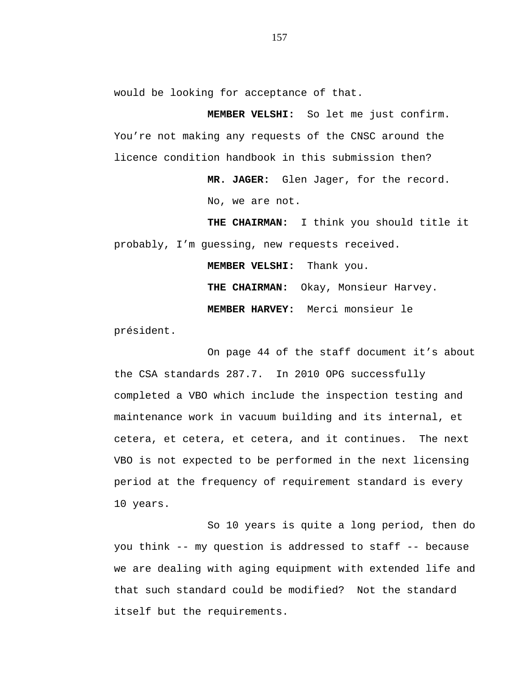would be looking for acceptance of that.

**MEMBER VELSHI:** So let me just confirm. You're not making any requests of the CNSC around the licence condition handbook in this submission then?

> **MR. JAGER:** Glen Jager, for the record. No, we are not.

**THE CHAIRMAN:** I think you should title it probably, I'm guessing, new requests received.

**MEMBER VELSHI:** Thank you.

**THE CHAIRMAN:** Okay, Monsieur Harvey.

**MEMBER HARVEY:** Merci monsieur le

président.

On page 44 of the staff document it's about the CSA standards 287.7. In 2010 OPG successfully completed a VBO which include the inspection testing and maintenance work in vacuum building and its internal, et cetera, et cetera, et cetera, and it continues. The next VBO is not expected to be performed in the next licensing period at the frequency of requirement standard is every 10 years.

So 10 years is quite a long period, then do you think -- my question is addressed to staff -- because we are dealing with aging equipment with extended life and that such standard could be modified? Not the standard itself but the requirements.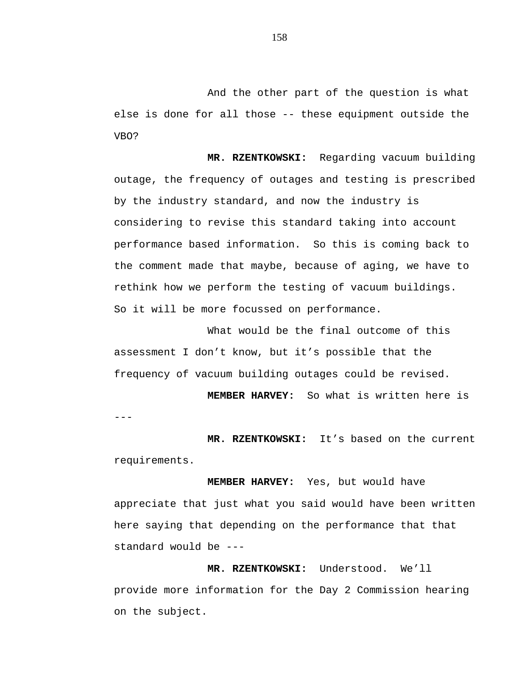And the other part of the question is what else is done for all those -- these equipment outside the VBO?

**MR. RZENTKOWSKI:** Regarding vacuum building outage, the frequency of outages and testing is prescribed by the industry standard, and now the industry is considering to revise this standard taking into account performance based information. So this is coming back to the comment made that maybe, because of aging, we have to rethink how we perform the testing of vacuum buildings. So it will be more focussed on performance.

What would be the final outcome of this assessment I don't know, but it's possible that the frequency of vacuum building outages could be revised.

 $- - -$ **MEMBER HARVEY:** So what is written here is

**MR. RZENTKOWSKI:** It's based on the current requirements.

**MEMBER HARVEY:** Yes, but would have appreciate that just what you said would have been written here saying that depending on the performance that that standard would be ---

**MR. RZENTKOWSKI:** Understood. We'll provide more information for the Day 2 Commission hearing on the subject.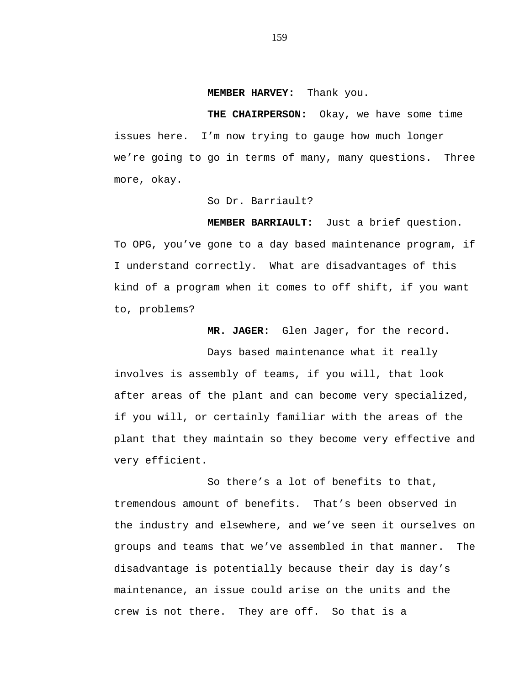#### **MEMBER HARVEY:** Thank you.

**THE CHAIRPERSON:** Okay, we have some time issues here. I'm now trying to gauge how much longer we're going to go in terms of many, many questions. Three more, okay.

So Dr. Barriault?

**MEMBER BARRIAULT:** Just a brief question.

To OPG, you've gone to a day based maintenance program, if I understand correctly. What are disadvantages of this kind of a program when it comes to off shift, if you want to, problems?

**MR. JAGER:** Glen Jager, for the record.

Days based maintenance what it really involves is assembly of teams, if you will, that look after areas of the plant and can become very specialized, if you will, or certainly familiar with the areas of the plant that they maintain so they become very effective and very efficient.

So there's a lot of benefits to that, tremendous amount of benefits. That's been observed in the industry and elsewhere, and we've seen it ourselves on groups and teams that we've assembled in that manner. The disadvantage is potentially because their day is day's maintenance, an issue could arise on the units and the crew is not there. They are off. So that is a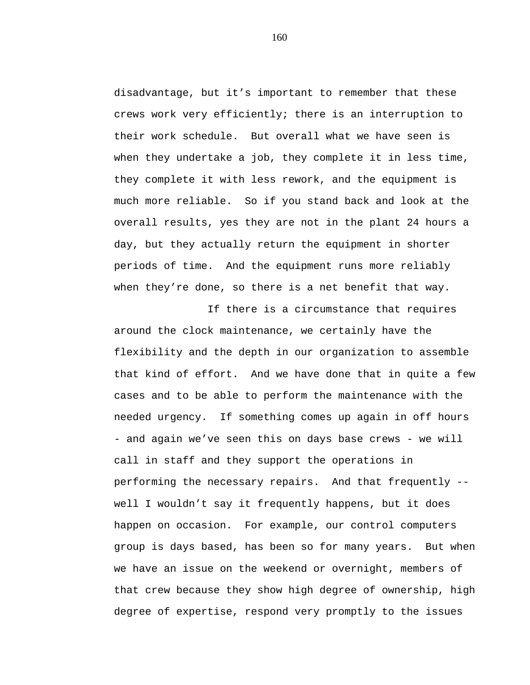disadvantage, but it's important to remember that these crews work very efficiently; there is an interruption to their work schedule. But overall what we have seen is when they undertake a job, they complete it in less time, they complete it with less rework, and the equipment is much more reliable. So if you stand back and look at the overall results, yes they are not in the plant 24 hours a day, but they actually return the equipment in shorter periods of time. And the equipment runs more reliably when they're done, so there is a net benefit that way.

If there is a circumstance that requires around the clock maintenance, we certainly have the flexibility and the depth in our organization to assemble that kind of effort. And we have done that in quite a few cases and to be able to perform the maintenance with the needed urgency. If something comes up again in off hours - and again we've seen this on days base crews - we will call in staff and they support the operations in performing the necessary repairs. And that frequently - well I wouldn't say it frequently happens, but it does happen on occasion. For example, our control computers group is days based, has been so for many years. But when we have an issue on the weekend or overnight, members of that crew because they show high degree of ownership, high degree of expertise, respond very promptly to the issues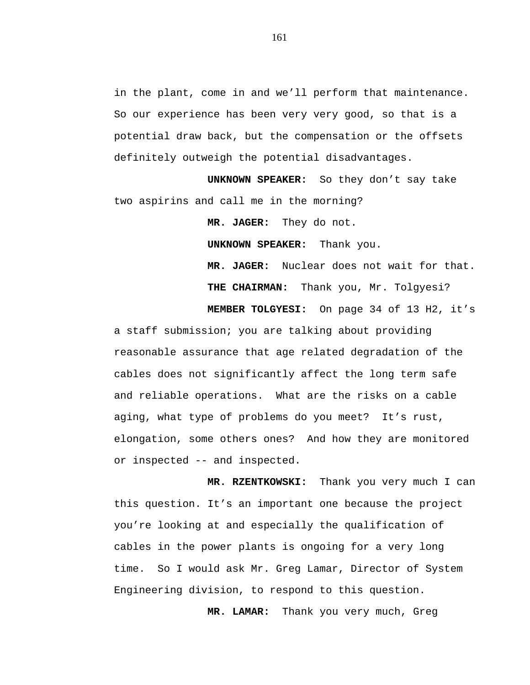in the plant, come in and we'll perform that maintenance. So our experience has been very very good, so that is a potential draw back, but the compensation or the offsets definitely outweigh the potential disadvantages.

**UNKNOWN SPEAKER:** So they don't say take two aspirins and call me in the morning?

> **MR. JAGER:** They do not.  **UNKNOWN SPEAKER:** Thank you. **MR. JAGER:** Nuclear does not wait for that. **THE CHAIRMAN:** Thank you, Mr. Tolgyesi?

**MEMBER TOLGYESI:** On page 34 of 13 H2, it's a staff submission; you are talking about providing reasonable assurance that age related degradation of the cables does not significantly affect the long term safe and reliable operations. What are the risks on a cable aging, what type of problems do you meet? It's rust, elongation, some others ones? And how they are monitored or inspected -- and inspected.

**MR. RZENTKOWSKI:** Thank you very much I can this question. It's an important one because the project you're looking at and especially the qualification of cables in the power plants is ongoing for a very long time. So I would ask Mr. Greg Lamar, Director of System Engineering division, to respond to this question.

 **MR. LAMAR:** Thank you very much, Greg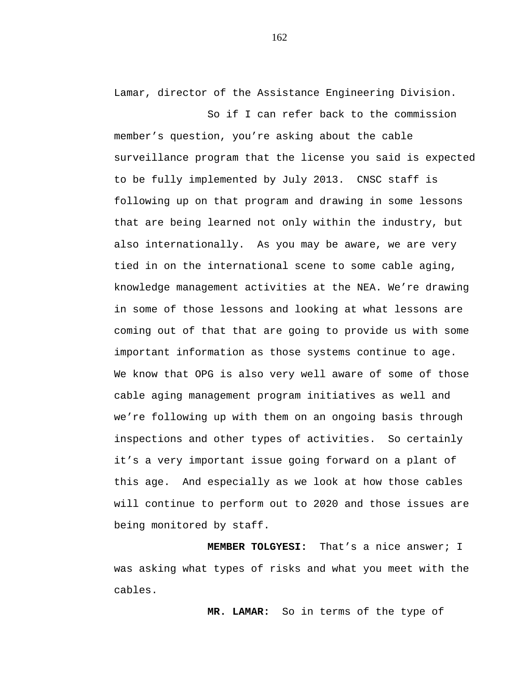Lamar, director of the Assistance Engineering Division.

So if I can refer back to the commission member's question, you're asking about the cable surveillance program that the license you said is expected to be fully implemented by July 2013. CNSC staff is following up on that program and drawing in some lessons that are being learned not only within the industry, but also internationally. As you may be aware, we are very tied in on the international scene to some cable aging, knowledge management activities at the NEA. We're drawing in some of those lessons and looking at what lessons are coming out of that that are going to provide us with some important information as those systems continue to age. We know that OPG is also very well aware of some of those cable aging management program initiatives as well and we're following up with them on an ongoing basis through inspections and other types of activities. So certainly it's a very important issue going forward on a plant of this age. And especially as we look at how those cables will continue to perform out to 2020 and those issues are being monitored by staff.

**MEMBER TOLGYESI:** That's a nice answer; I was asking what types of risks and what you meet with the cables.

 **MR. LAMAR:** So in terms of the type of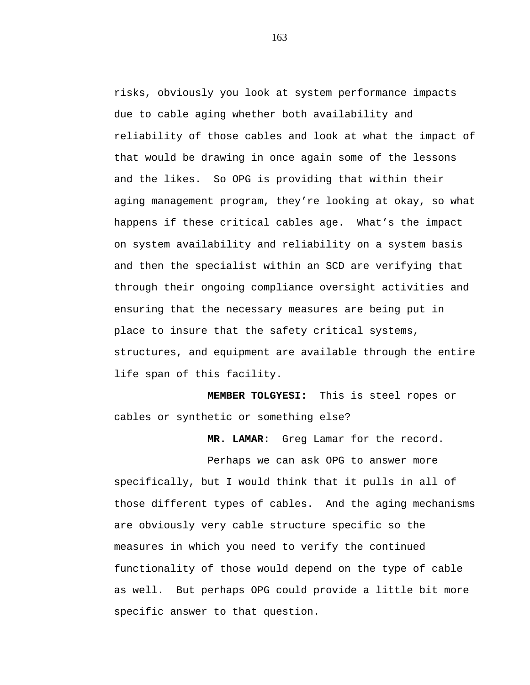risks, obviously you look at system performance impacts due to cable aging whether both availability and reliability of those cables and look at what the impact of that would be drawing in once again some of the lessons and the likes. So OPG is providing that within their aging management program, they're looking at okay, so what happens if these critical cables age. What's the impact on system availability and reliability on a system basis and then the specialist within an SCD are verifying that through their ongoing compliance oversight activities and ensuring that the necessary measures are being put in place to insure that the safety critical systems, structures, and equipment are available through the entire life span of this facility.

 **MEMBER TOLGYESI:** This is steel ropes or cables or synthetic or something else?

 **MR. LAMAR:** Greg Lamar for the record.

Perhaps we can ask OPG to answer more specifically, but I would think that it pulls in all of those different types of cables. And the aging mechanisms are obviously very cable structure specific so the measures in which you need to verify the continued functionality of those would depend on the type of cable as well. But perhaps OPG could provide a little bit more specific answer to that question.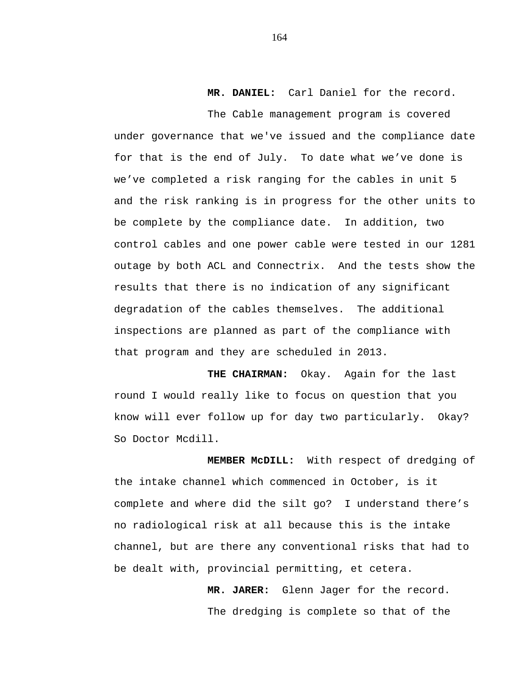# **MR. DANIEL:** Carl Daniel for the record.

The Cable management program is covered under governance that we've issued and the compliance date for that is the end of July. To date what we've done is we've completed a risk ranging for the cables in unit 5 and the risk ranking is in progress for the other units to be complete by the compliance date. In addition, two control cables and one power cable were tested in our 1281 outage by both ACL and Connectrix. And the tests show the results that there is no indication of any significant degradation of the cables themselves. The additional inspections are planned as part of the compliance with that program and they are scheduled in 2013.

**THE CHAIRMAN:** Okay. Again for the last round I would really like to focus on question that you know will ever follow up for day two particularly. Okay? So Doctor Mcdill.

 **MEMBER McDILL:** With respect of dredging of the intake channel which commenced in October, is it complete and where did the silt go? I understand there's no radiological risk at all because this is the intake channel, but are there any conventional risks that had to be dealt with, provincial permitting, et cetera.

> **MR. JARER:** Glenn Jager for the record. The dredging is complete so that of the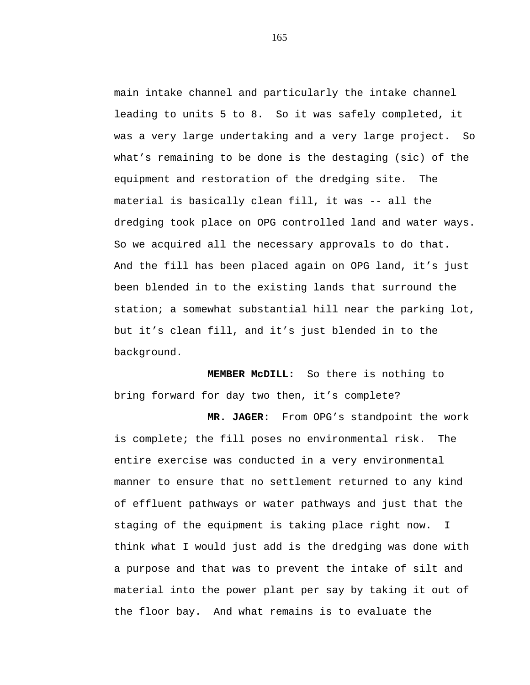main intake channel and particularly the intake channel leading to units 5 to 8. So it was safely completed, it was a very large undertaking and a very large project. So what's remaining to be done is the destaging (sic) of the equipment and restoration of the dredging site. The material is basically clean fill, it was -- all the dredging took place on OPG controlled land and water ways. So we acquired all the necessary approvals to do that. And the fill has been placed again on OPG land, it's just been blended in to the existing lands that surround the station; a somewhat substantial hill near the parking lot, but it's clean fill, and it's just blended in to the background.

**MEMBER McDILL:** So there is nothing to bring forward for day two then, it's complete?

**MR. JAGER:** From OPG's standpoint the work is complete; the fill poses no environmental risk. The entire exercise was conducted in a very environmental manner to ensure that no settlement returned to any kind of effluent pathways or water pathways and just that the staging of the equipment is taking place right now. I think what I would just add is the dredging was done with a purpose and that was to prevent the intake of silt and material into the power plant per say by taking it out of the floor bay. And what remains is to evaluate the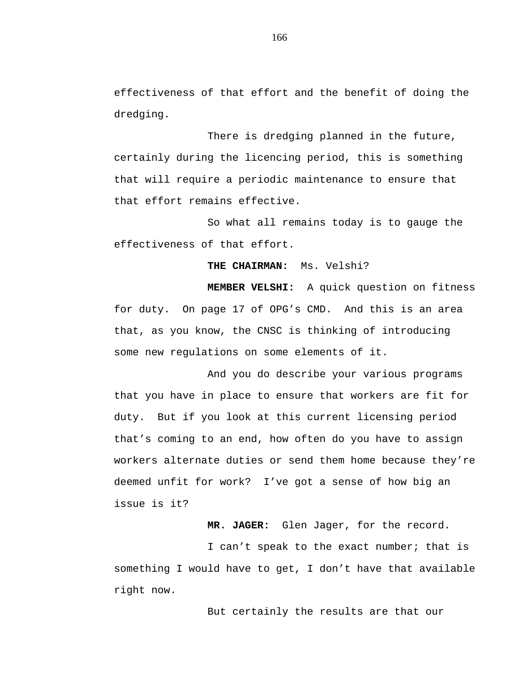effectiveness of that effort and the benefit of doing the dredging.

There is dredging planned in the future, certainly during the licencing period, this is something that will require a periodic maintenance to ensure that that effort remains effective.

So what all remains today is to gauge the effectiveness of that effort.

## **THE CHAIRMAN:** Ms. Velshi?

**MEMBER VELSHI:** A quick question on fitness for duty. On page 17 of OPG's CMD. And this is an area that, as you know, the CNSC is thinking of introducing some new regulations on some elements of it.

And you do describe your various programs that you have in place to ensure that workers are fit for duty. But if you look at this current licensing period that's coming to an end, how often do you have to assign workers alternate duties or send them home because they're deemed unfit for work? I've got a sense of how big an issue is it?

**MR. JAGER:** Glen Jager, for the record.

I can't speak to the exact number; that is something I would have to get, I don't have that available right now.

But certainly the results are that our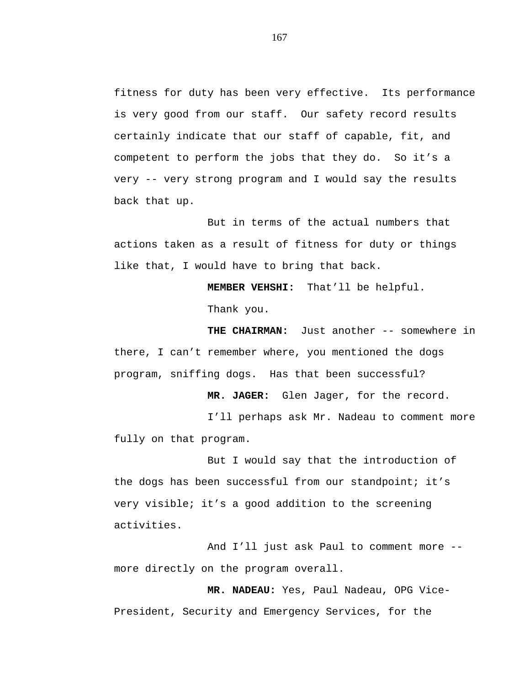fitness for duty has been very effective. Its performance is very good from our staff. Our safety record results certainly indicate that our staff of capable, fit, and competent to perform the jobs that they do. So it's a very -- very strong program and I would say the results back that up.

But in terms of the actual numbers that actions taken as a result of fitness for duty or things like that, I would have to bring that back.

**MEMBER VEHSHI:** That'll be helpful.

Thank you.

**THE CHAIRMAN:** Just another -- somewhere in there, I can't remember where, you mentioned the dogs program, sniffing dogs. Has that been successful?

**MR. JAGER:** Glen Jager, for the record.

I'll perhaps ask Mr. Nadeau to comment more fully on that program.

But I would say that the introduction of the dogs has been successful from our standpoint; it's very visible; it's a good addition to the screening activities.

And I'll just ask Paul to comment more - more directly on the program overall.

**MR. NADEAU:** Yes, Paul Nadeau, OPG Vice-President, Security and Emergency Services, for the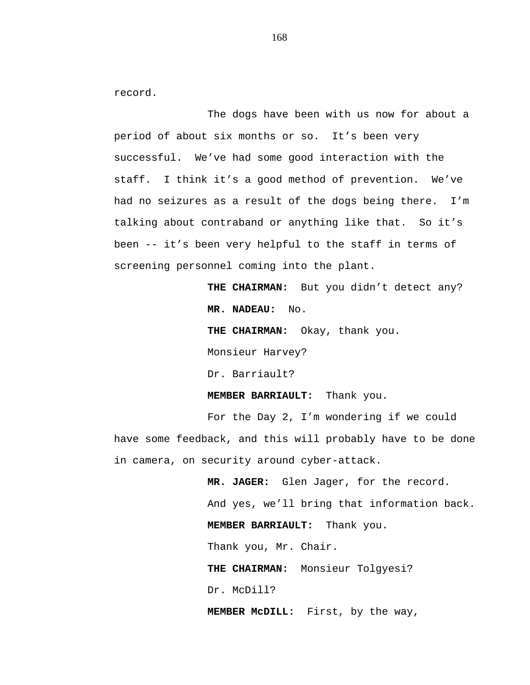record.

The dogs have been with us now for about a period of about six months or so. It's been very successful. We've had some good interaction with the staff. I think it's a good method of prevention. We've had no seizures as a result of the dogs being there. I'm talking about contraband or anything like that. So it's been -- it's been very helpful to the staff in terms of screening personnel coming into the plant.

> THE CHAIRMAN: But you didn't detect any? **MR. NADEAU:** No.

**THE CHAIRMAN:** Okay, thank you.

Monsieur Harvey?

Dr. Barriault?

**MEMBER BARRIAULT:** Thank you.

For the Day 2, I'm wondering if we could have some feedback, and this will probably have to be done in camera, on security around cyber-attack.

> **MR. JAGER:** Glen Jager, for the record. And yes, we'll bring that information back. **MEMBER BARRIAULT:** Thank you. Thank you, Mr. Chair. **THE CHAIRMAN:** Monsieur Tolgyesi? Dr. McDill? **MEMBER McDILL:** First, by the way,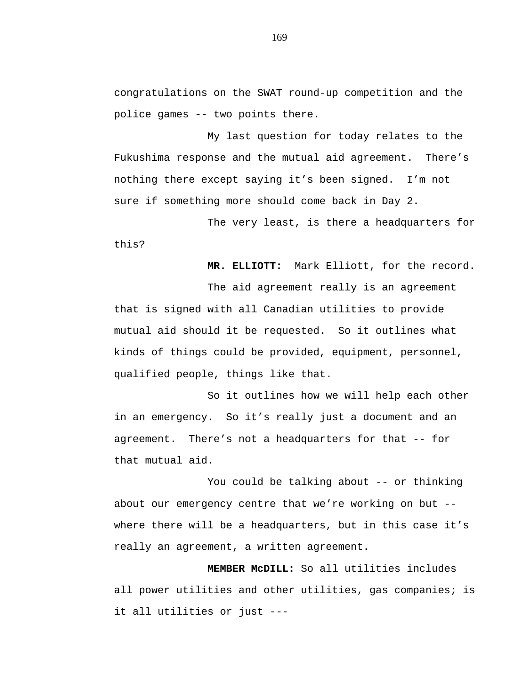congratulations on the SWAT round-up competition and the police games -- two points there.

My last question for today relates to the Fukushima response and the mutual aid agreement. There's nothing there except saying it's been signed. I'm not sure if something more should come back in Day 2.

The very least, is there a headquarters for this?

**MR. ELLIOTT:** Mark Elliott, for the record.

The aid agreement really is an agreement that is signed with all Canadian utilities to provide mutual aid should it be requested. So it outlines what kinds of things could be provided, equipment, personnel, qualified people, things like that.

So it outlines how we will help each other in an emergency. So it's really just a document and an agreement. There's not a headquarters for that -- for that mutual aid.

You could be talking about -- or thinking about our emergency centre that we're working on but - where there will be a headquarters, but in this case it's really an agreement, a written agreement.

**MEMBER McDILL:** So all utilities includes all power utilities and other utilities, gas companies; is it all utilities or just ---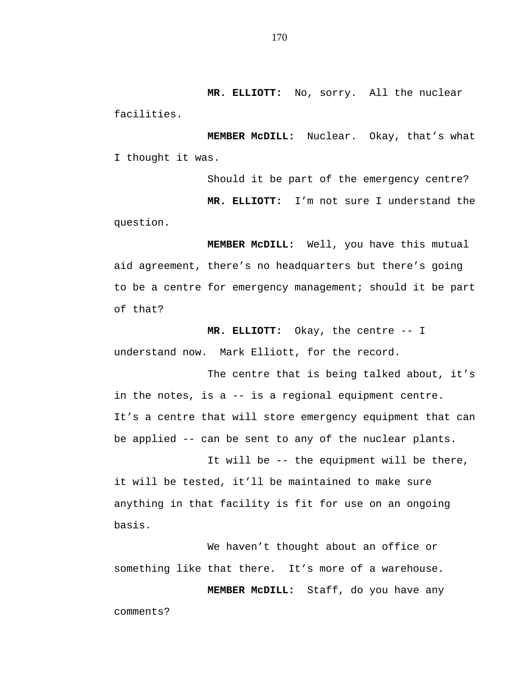**MR. ELLIOTT:** No, sorry. All the nuclear facilities.

**MEMBER McDILL:** Nuclear. Okay, that's what I thought it was.

Should it be part of the emergency centre? **MR. ELLIOTT:** I'm not sure I understand the question.

**MEMBER McDILL:** Well, you have this mutual aid agreement, there's no headquarters but there's going to be a centre for emergency management; should it be part of that?

**MR. ELLIOTT:** Okay, the centre -- I understand now. Mark Elliott, for the record.

The centre that is being talked about, it's in the notes, is a -- is a regional equipment centre. It's a centre that will store emergency equipment that can be applied -- can be sent to any of the nuclear plants.

It will be -- the equipment will be there, it will be tested, it'll be maintained to make sure anything in that facility is fit for use on an ongoing basis.

We haven't thought about an office or something like that there. It's more of a warehouse.

**MEMBER McDILL:** Staff, do you have any comments?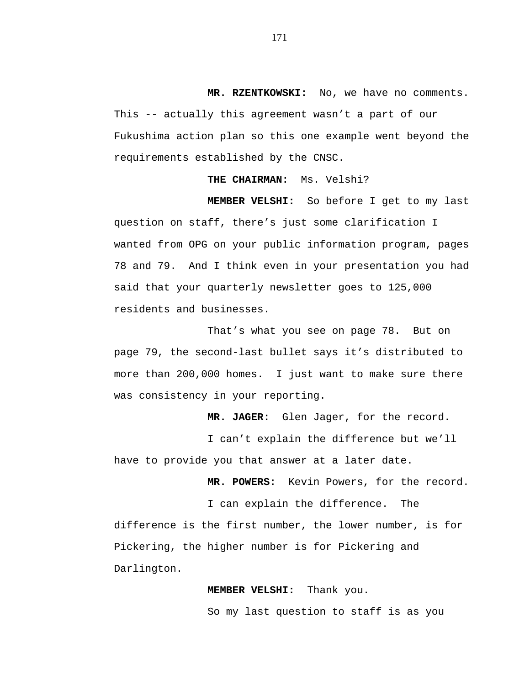**MR. RZENTKOWSKI:** No, we have no comments. This -- actually this agreement wasn't a part of our Fukushima action plan so this one example went beyond the

requirements established by the CNSC.

## **THE CHAIRMAN:** Ms. Velshi?

**MEMBER VELSHI:** So before I get to my last question on staff, there's just some clarification I wanted from OPG on your public information program, pages 78 and 79. And I think even in your presentation you had said that your quarterly newsletter goes to 125,000 residents and businesses.

That's what you see on page 78. But on page 79, the second-last bullet says it's distributed to more than 200,000 homes. I just want to make sure there was consistency in your reporting.

**MR. JAGER:** Glen Jager, for the record.

I can't explain the difference but we'll have to provide you that answer at a later date.

**MR. POWERS:** Kevin Powers, for the record.

I can explain the difference. The difference is the first number, the lower number, is for Pickering, the higher number is for Pickering and Darlington.

## **MEMBER VELSHI:** Thank you.

So my last question to staff is as you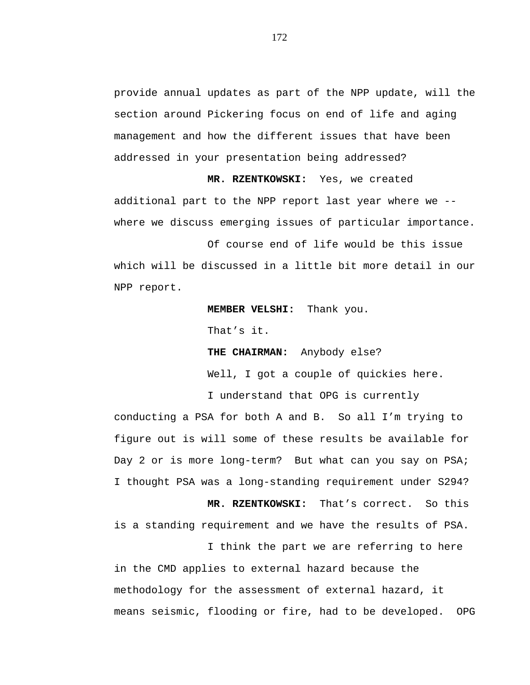provide annual updates as part of the NPP update, will the section around Pickering focus on end of life and aging management and how the different issues that have been addressed in your presentation being addressed?

**MR. RZENTKOWSKI:** Yes, we created additional part to the NPP report last year where we - where we discuss emerging issues of particular importance.

Of course end of life would be this issue which will be discussed in a little bit more detail in our NPP report.

**MEMBER VELSHI:** Thank you.

That's it.

**THE CHAIRMAN:** Anybody else?

Well, I got a couple of quickies here.

I think the part we are referring to here

I understand that OPG is currently

conducting a PSA for both A and B. So all I'm trying to figure out is will some of these results be available for Day 2 or is more long-term? But what can you say on PSA; I thought PSA was a long-standing requirement under S294?

**MR. RZENTKOWSKI:** That's correct. So this is a standing requirement and we have the results of PSA.

in the CMD applies to external hazard because the methodology for the assessment of external hazard, it means seismic, flooding or fire, had to be developed. OPG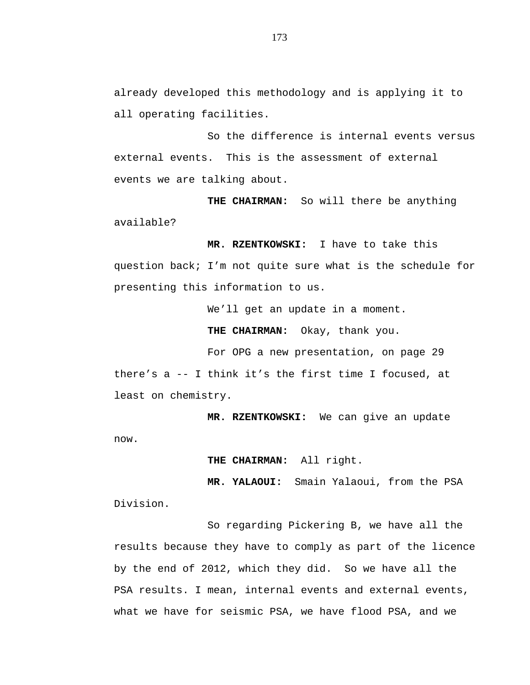already developed this methodology and is applying it to all operating facilities.

So the difference is internal events versus external events. This is the assessment of external events we are talking about.

**THE CHAIRMAN:** So will there be anything available?

**MR. RZENTKOWSKI:** I have to take this question back; I'm not quite sure what is the schedule for presenting this information to us.

We'll get an update in a moment.

**THE CHAIRMAN:** Okay, thank you.

For OPG a new presentation, on page 29 there's a -- I think it's the first time I focused, at least on chemistry.

**MR. RZENTKOWSKI:** We can give an update now.

**THE CHAIRMAN:** All right.

**MR. YALAOUI:** Smain Yalaoui, from the PSA Division.

So regarding Pickering B, we have all the results because they have to comply as part of the licence by the end of 2012, which they did. So we have all the PSA results. I mean, internal events and external events, what we have for seismic PSA, we have flood PSA, and we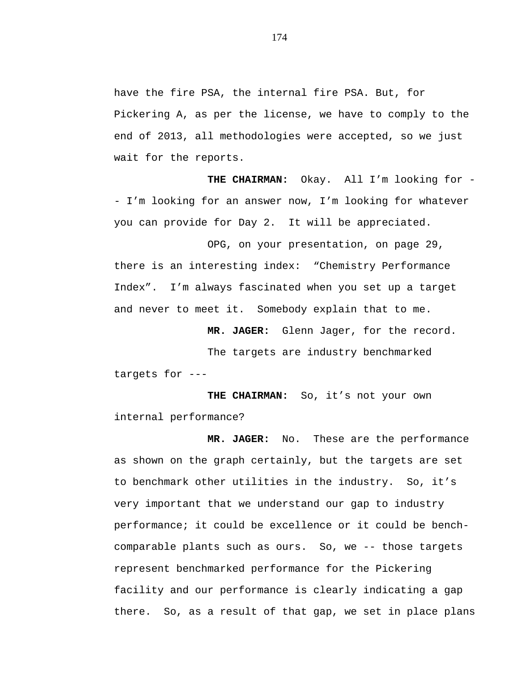have the fire PSA, the internal fire PSA. But, for Pickering A, as per the license, we have to comply to the end of 2013, all methodologies were accepted, so we just wait for the reports.

**THE CHAIRMAN:** Okay. All I'm looking for - I'm looking for an answer now, I'm looking for whatever you can provide for Day 2. It will be appreciated.

OPG, on your presentation, on page 29, there is an interesting index: "Chemistry Performance Index". I'm always fascinated when you set up a target and never to meet it. Somebody explain that to me.

**MR. JAGER:** Glenn Jager, for the record.

The targets are industry benchmarked targets for ---

**THE CHAIRMAN:** So, it's not your own internal performance?

**MR. JAGER:** No. These are the performance as shown on the graph certainly, but the targets are set to benchmark other utilities in the industry. So, it's very important that we understand our gap to industry performance; it could be excellence or it could be benchcomparable plants such as ours. So, we -- those targets represent benchmarked performance for the Pickering facility and our performance is clearly indicating a gap there. So, as a result of that gap, we set in place plans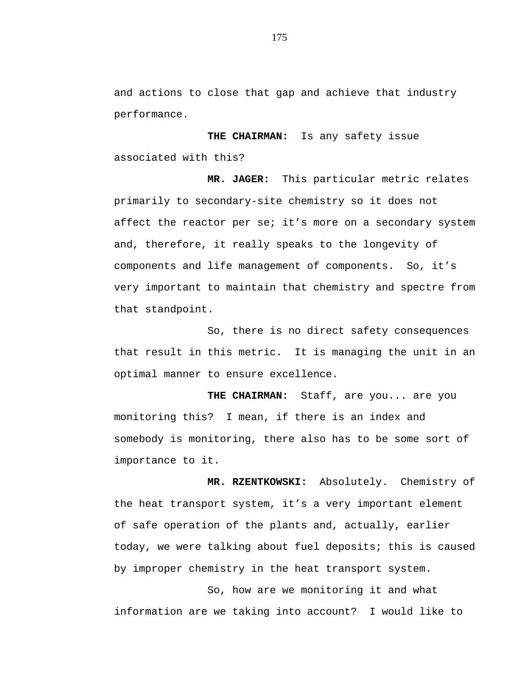and actions to close that gap and achieve that industry performance.

**THE CHAIRMAN:** Is any safety issue associated with this?

**MR. JAGER:** This particular metric relates primarily to secondary-site chemistry so it does not affect the reactor per se; it's more on a secondary system and, therefore, it really speaks to the longevity of components and life management of components. So, it's very important to maintain that chemistry and spectre from that standpoint.

So, there is no direct safety consequences that result in this metric. It is managing the unit in an optimal manner to ensure excellence.

**THE CHAIRMAN:** Staff, are you... are you monitoring this? I mean, if there is an index and somebody is monitoring, there also has to be some sort of importance to it.

 **MR. RZENTKOWSKI:** Absolutely. Chemistry of the heat transport system, it's a very important element of safe operation of the plants and, actually, earlier today, we were talking about fuel deposits; this is caused by improper chemistry in the heat transport system.

So, how are we monitoring it and what information are we taking into account? I would like to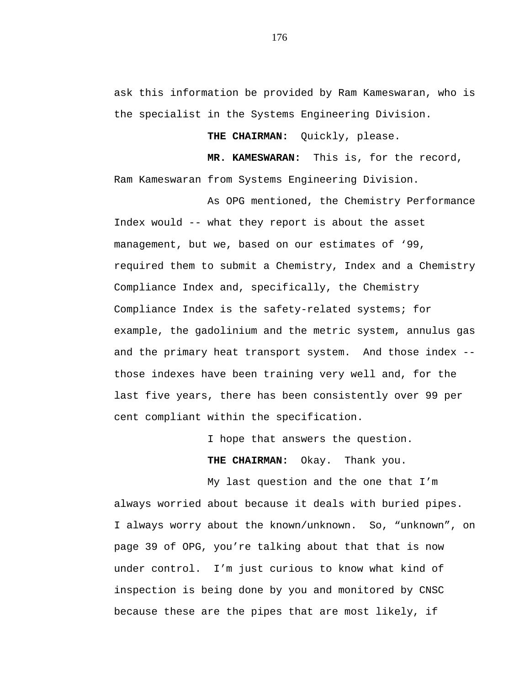ask this information be provided by Ram Kameswaran, who is the specialist in the Systems Engineering Division.

**THE CHAIRMAN:** Quickly, please.

 **MR. KAMESWARAN:** This is, for the record, Ram Kameswaran from Systems Engineering Division.

As OPG mentioned, the Chemistry Performance Index would -- what they report is about the asset management, but we, based on our estimates of '99, required them to submit a Chemistry, Index and a Chemistry Compliance Index and, specifically, the Chemistry Compliance Index is the safety-related systems; for example, the gadolinium and the metric system, annulus gas and the primary heat transport system. And those index - those indexes have been training very well and, for the last five years, there has been consistently over 99 per cent compliant within the specification.

I hope that answers the question.

**THE CHAIRMAN:** Okay. Thank you.

My last question and the one that I'm always worried about because it deals with buried pipes. I always worry about the known/unknown. So, "unknown", on page 39 of OPG, you're talking about that that is now under control. I'm just curious to know what kind of inspection is being done by you and monitored by CNSC because these are the pipes that are most likely, if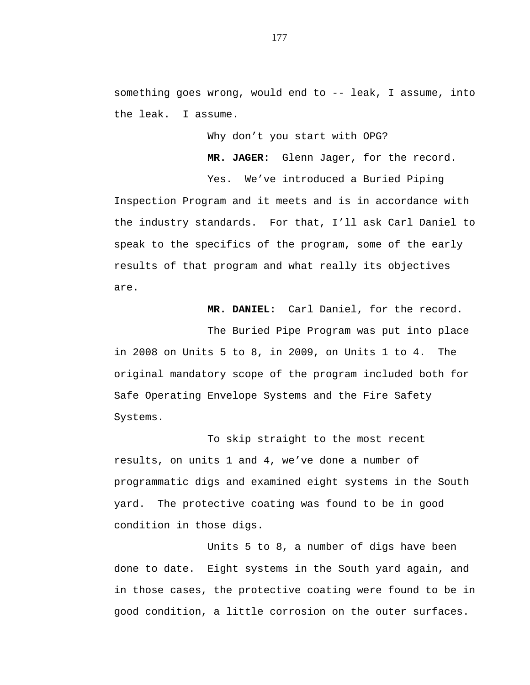something goes wrong, would end to -- leak, I assume, into the leak. I assume.

Why don't you start with OPG?

**MR. JAGER:** Glenn Jager, for the record.

Yes. We've introduced a Buried Piping Inspection Program and it meets and is in accordance with the industry standards. For that, I'll ask Carl Daniel to speak to the specifics of the program, some of the early results of that program and what really its objectives are.

**MR. DANIEL:** Carl Daniel, for the record.

The Buried Pipe Program was put into place in 2008 on Units 5 to 8, in 2009, on Units 1 to 4. The original mandatory scope of the program included both for Safe Operating Envelope Systems and the Fire Safety Systems.

To skip straight to the most recent results, on units 1 and 4, we've done a number of programmatic digs and examined eight systems in the South yard. The protective coating was found to be in good condition in those digs.

Units 5 to 8, a number of digs have been done to date. Eight systems in the South yard again, and in those cases, the protective coating were found to be in good condition, a little corrosion on the outer surfaces.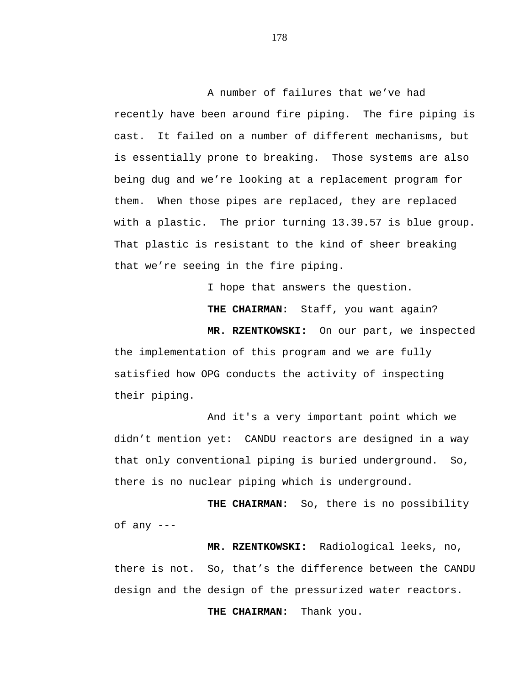A number of failures that we've had recently have been around fire piping. The fire piping is cast. It failed on a number of different mechanisms, but is essentially prone to breaking. Those systems are also being dug and we're looking at a replacement program for them. When those pipes are replaced, they are replaced with a plastic. The prior turning 13.39.57 is blue group. That plastic is resistant to the kind of sheer breaking that we're seeing in the fire piping.

I hope that answers the question.

**THE CHAIRMAN:** Staff, you want again?

**MR. RZENTKOWSKI:** On our part, we inspected

the implementation of this program and we are fully satisfied how OPG conducts the activity of inspecting their piping.

And it's a very important point which we didn't mention yet: CANDU reactors are designed in a way that only conventional piping is buried underground. So, there is no nuclear piping which is underground.

**THE CHAIRMAN:** So, there is no possibility of any ---

**MR. RZENTKOWSKI:** Radiological leeks, no, there is not. So, that's the difference between the CANDU design and the design of the pressurized water reactors.

**THE CHAIRMAN:** Thank you.